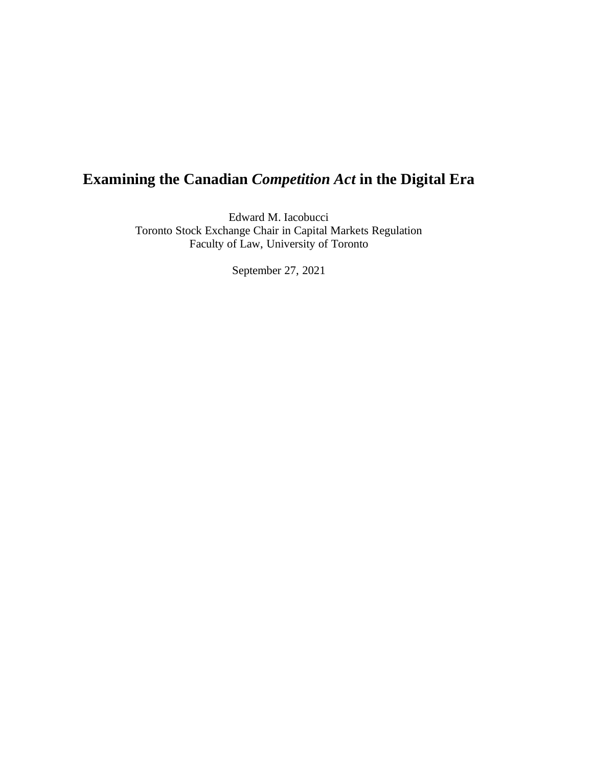## **Examining the Canadian** *Competition Act* **in the Digital Era**

Edward M. Iacobucci Toronto Stock Exchange Chair in Capital Markets Regulation Faculty of Law, University of Toronto

September 27, 2021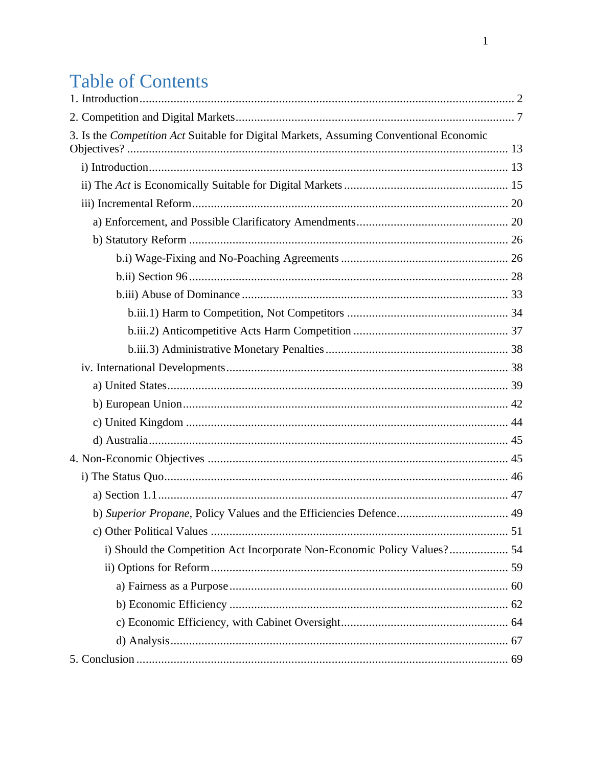# **Table of Contents**

| 3. Is the Competition Act Suitable for Digital Markets, Assuming Conventional Economic |  |
|----------------------------------------------------------------------------------------|--|
|                                                                                        |  |
|                                                                                        |  |
|                                                                                        |  |
|                                                                                        |  |
|                                                                                        |  |
|                                                                                        |  |
|                                                                                        |  |
|                                                                                        |  |
|                                                                                        |  |
|                                                                                        |  |
|                                                                                        |  |
|                                                                                        |  |
|                                                                                        |  |
|                                                                                        |  |
|                                                                                        |  |
|                                                                                        |  |
|                                                                                        |  |
|                                                                                        |  |
|                                                                                        |  |
|                                                                                        |  |
|                                                                                        |  |
| i) Should the Competition Act Incorporate Non-Economic Policy Values? 54               |  |
|                                                                                        |  |
|                                                                                        |  |
|                                                                                        |  |
|                                                                                        |  |
|                                                                                        |  |
|                                                                                        |  |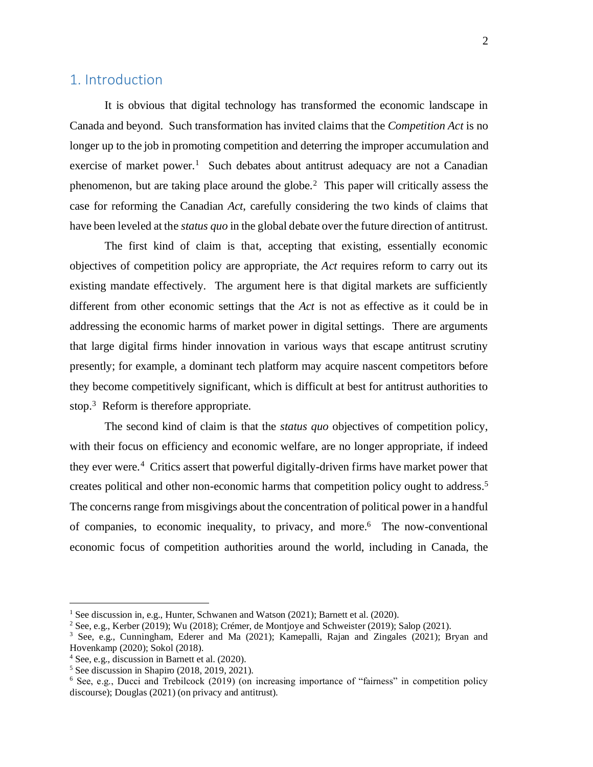### <span id="page-2-0"></span>1. Introduction

It is obvious that digital technology has transformed the economic landscape in Canada and beyond. Such transformation has invited claims that the *Competition Act* is no longer up to the job in promoting competition and deterring the improper accumulation and exercise of market power.<sup>1</sup> Such debates about antitrust adequacy are not a Canadian phenomenon, but are taking place around the globe.<sup>2</sup> This paper will critically assess the case for reforming the Canadian *Act*, carefully considering the two kinds of claims that have been leveled at the *status quo* in the global debate over the future direction of antitrust.

The first kind of claim is that, accepting that existing, essentially economic objectives of competition policy are appropriate, the *Act* requires reform to carry out its existing mandate effectively. The argument here is that digital markets are sufficiently different from other economic settings that the *Act* is not as effective as it could be in addressing the economic harms of market power in digital settings. There are arguments that large digital firms hinder innovation in various ways that escape antitrust scrutiny presently; for example, a dominant tech platform may acquire nascent competitors before they become competitively significant, which is difficult at best for antitrust authorities to stop.<sup>3</sup> Reform is therefore appropriate.

The second kind of claim is that the *status quo* objectives of competition policy, with their focus on efficiency and economic welfare, are no longer appropriate, if indeed they ever were.<sup>4</sup> Critics assert that powerful digitally-driven firms have market power that creates political and other non-economic harms that competition policy ought to address.<sup>5</sup> The concerns range from misgivings about the concentration of political power in a handful of companies, to economic inequality, to privacy, and more. 6 The now-conventional economic focus of competition authorities around the world, including in Canada, the

<sup>&</sup>lt;sup>1</sup> See discussion in, e.g., Hunter, Schwanen and Watson (2021); Barnett et al. (2020).

<sup>2</sup> See, e.g., Kerber (2019); Wu (2018); Crémer, de Montjoye and Schweister (2019); Salop (2021).

<sup>3</sup> See, e.g., Cunningham, Ederer and Ma (2021); Kamepalli, Rajan and Zingales (2021); Bryan and Hovenkamp (2020); Sokol (2018).

<sup>4</sup> See, e.g., discussion in Barnett et al. (2020).

 $<sup>5</sup>$  See discussion in Shapiro (2018, 2019, 2021).</sup>

<sup>&</sup>lt;sup>6</sup> See, e.g., Ducci and Trebilcock (2019) (on increasing importance of "fairness" in competition policy discourse); Douglas (2021) (on privacy and antitrust).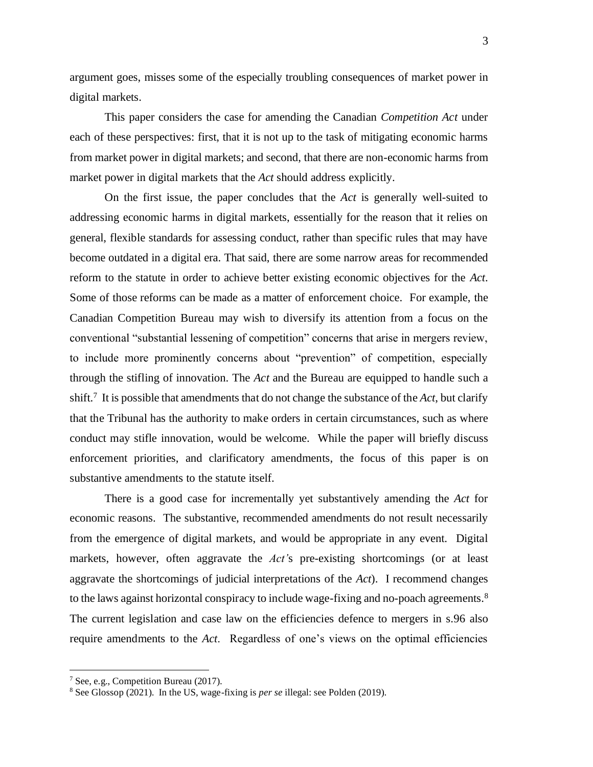argument goes, misses some of the especially troubling consequences of market power in digital markets.

This paper considers the case for amending the Canadian *Competition Act* under each of these perspectives: first, that it is not up to the task of mitigating economic harms from market power in digital markets; and second, that there are non-economic harms from market power in digital markets that the *Act* should address explicitly.

On the first issue, the paper concludes that the *Act* is generally well-suited to addressing economic harms in digital markets, essentially for the reason that it relies on general, flexible standards for assessing conduct, rather than specific rules that may have become outdated in a digital era. That said, there are some narrow areas for recommended reform to the statute in order to achieve better existing economic objectives for the *Act*. Some of those reforms can be made as a matter of enforcement choice. For example, the Canadian Competition Bureau may wish to diversify its attention from a focus on the conventional "substantial lessening of competition" concerns that arise in mergers review, to include more prominently concerns about "prevention" of competition, especially through the stifling of innovation. The *Act* and the Bureau are equipped to handle such a shift. 7 It is possible that amendments that do not change the substance of the *Act*, but clarify that the Tribunal has the authority to make orders in certain circumstances, such as where conduct may stifle innovation, would be welcome. While the paper will briefly discuss enforcement priorities, and clarificatory amendments, the focus of this paper is on substantive amendments to the statute itself.

There is a good case for incrementally yet substantively amending the *Act* for economic reasons. The substantive, recommended amendments do not result necessarily from the emergence of digital markets, and would be appropriate in any event. Digital markets, however, often aggravate the *Act'*s pre-existing shortcomings (or at least aggravate the shortcomings of judicial interpretations of the *Act*). I recommend changes to the laws against horizontal conspiracy to include wage-fixing and no-poach agreements.<sup>8</sup> The current legislation and case law on the efficiencies defence to mergers in s.96 also require amendments to the *Act*. Regardless of one's views on the optimal efficiencies

<sup>7</sup> See, e.g., Competition Bureau (2017).

<sup>8</sup> See Glossop (2021). In the US, wage-fixing is *per se* illegal: see Polden (2019).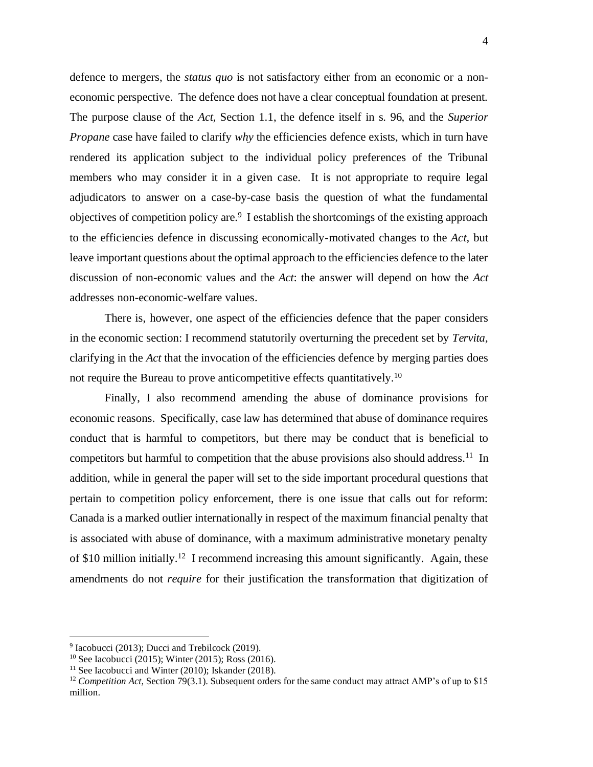defence to mergers, the *status quo* is not satisfactory either from an economic or a noneconomic perspective. The defence does not have a clear conceptual foundation at present. The purpose clause of the *Act,* Section 1.1, the defence itself in s. 96, and the *Superior Propane* case have failed to clarify *why* the efficiencies defence exists, which in turn have rendered its application subject to the individual policy preferences of the Tribunal members who may consider it in a given case. It is not appropriate to require legal adjudicators to answer on a case-by-case basis the question of what the fundamental objectives of competition policy are. 9 I establish the shortcomings of the existing approach to the efficiencies defence in discussing economically-motivated changes to the *Act,* but leave important questions about the optimal approach to the efficiencies defence to the later discussion of non-economic values and the *Act*: the answer will depend on how the *Act*  addresses non-economic-welfare values.

There is, however, one aspect of the efficiencies defence that the paper considers in the economic section: I recommend statutorily overturning the precedent set by *Tervita,*  clarifying in the *Act* that the invocation of the efficiencies defence by merging parties does not require the Bureau to prove anticompetitive effects quantitatively.<sup>10</sup>

Finally, I also recommend amending the abuse of dominance provisions for economic reasons. Specifically, case law has determined that abuse of dominance requires conduct that is harmful to competitors, but there may be conduct that is beneficial to competitors but harmful to competition that the abuse provisions also should address.<sup>11</sup> In addition, while in general the paper will set to the side important procedural questions that pertain to competition policy enforcement, there is one issue that calls out for reform: Canada is a marked outlier internationally in respect of the maximum financial penalty that is associated with abuse of dominance, with a maximum administrative monetary penalty of \$10 million initially.<sup>12</sup> I recommend increasing this amount significantly. Again, these amendments do not *require* for their justification the transformation that digitization of

<sup>&</sup>lt;sup>9</sup> Iacobucci (2013); Ducci and Trebilcock (2019).

 $10$  See Iacobucci (2015); Winter (2015); Ross (2016).

 $11$  See Iacobucci and Winter (2010); Iskander (2018).

<sup>&</sup>lt;sup>12</sup> *Competition Act*, Section 79(3.1). Subsequent orders for the same conduct may attract AMP's of up to \$15 million.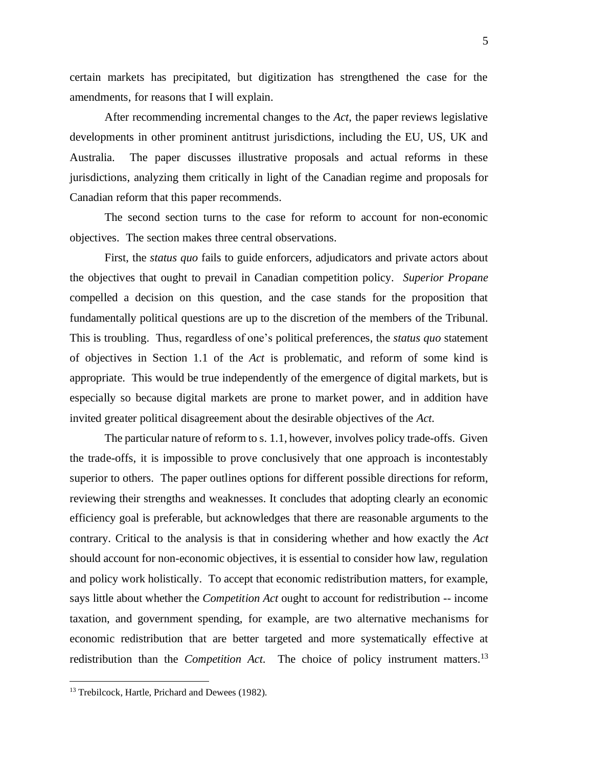certain markets has precipitated, but digitization has strengthened the case for the amendments, for reasons that I will explain.

After recommending incremental changes to the *Act*, the paper reviews legislative developments in other prominent antitrust jurisdictions, including the EU, US, UK and Australia. The paper discusses illustrative proposals and actual reforms in these jurisdictions, analyzing them critically in light of the Canadian regime and proposals for Canadian reform that this paper recommends.

The second section turns to the case for reform to account for non-economic objectives. The section makes three central observations.

First, the *status quo* fails to guide enforcers, adjudicators and private actors about the objectives that ought to prevail in Canadian competition policy. *Superior Propane*  compelled a decision on this question, and the case stands for the proposition that fundamentally political questions are up to the discretion of the members of the Tribunal. This is troubling. Thus, regardless of one's political preferences, the *status quo* statement of objectives in Section 1.1 of the *Act* is problematic, and reform of some kind is appropriate. This would be true independently of the emergence of digital markets, but is especially so because digital markets are prone to market power, and in addition have invited greater political disagreement about the desirable objectives of the *Act*.

The particular nature of reform to s. 1.1, however, involves policy trade-offs. Given the trade-offs, it is impossible to prove conclusively that one approach is incontestably superior to others. The paper outlines options for different possible directions for reform, reviewing their strengths and weaknesses. It concludes that adopting clearly an economic efficiency goal is preferable, but acknowledges that there are reasonable arguments to the contrary. Critical to the analysis is that in considering whether and how exactly the *Act*  should account for non-economic objectives, it is essential to consider how law, regulation and policy work holistically. To accept that economic redistribution matters, for example, says little about whether the *Competition Act* ought to account for redistribution -- income taxation, and government spending, for example, are two alternative mechanisms for economic redistribution that are better targeted and more systematically effective at redistribution than the *Competition Act*. The choice of policy instrument matters.<sup>13</sup>

<sup>&</sup>lt;sup>13</sup> Trebilcock, Hartle, Prichard and Dewees (1982).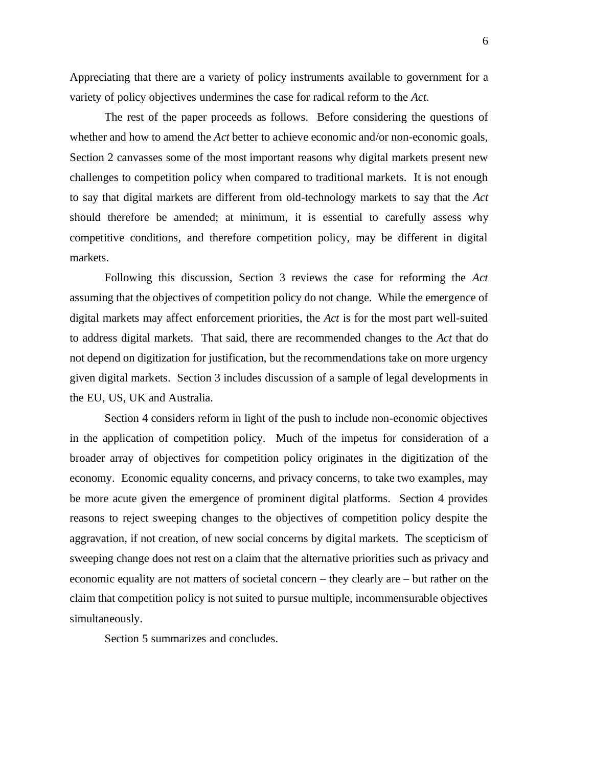Appreciating that there are a variety of policy instruments available to government for a variety of policy objectives undermines the case for radical reform to the *Act*.

The rest of the paper proceeds as follows. Before considering the questions of whether and how to amend the *Act* better to achieve economic and/or non-economic goals, Section 2 canvasses some of the most important reasons why digital markets present new challenges to competition policy when compared to traditional markets. It is not enough to say that digital markets are different from old-technology markets to say that the *Act* should therefore be amended; at minimum, it is essential to carefully assess why competitive conditions, and therefore competition policy, may be different in digital markets.

Following this discussion, Section 3 reviews the case for reforming the *Act* assuming that the objectives of competition policy do not change. While the emergence of digital markets may affect enforcement priorities, the *Act* is for the most part well-suited to address digital markets. That said, there are recommended changes to the *Act* that do not depend on digitization for justification, but the recommendations take on more urgency given digital markets. Section 3 includes discussion of a sample of legal developments in the EU, US, UK and Australia.

Section 4 considers reform in light of the push to include non-economic objectives in the application of competition policy. Much of the impetus for consideration of a broader array of objectives for competition policy originates in the digitization of the economy. Economic equality concerns, and privacy concerns, to take two examples, may be more acute given the emergence of prominent digital platforms. Section 4 provides reasons to reject sweeping changes to the objectives of competition policy despite the aggravation, if not creation, of new social concerns by digital markets. The scepticism of sweeping change does not rest on a claim that the alternative priorities such as privacy and economic equality are not matters of societal concern – they clearly are – but rather on the claim that competition policy is not suited to pursue multiple, incommensurable objectives simultaneously.

Section 5 summarizes and concludes.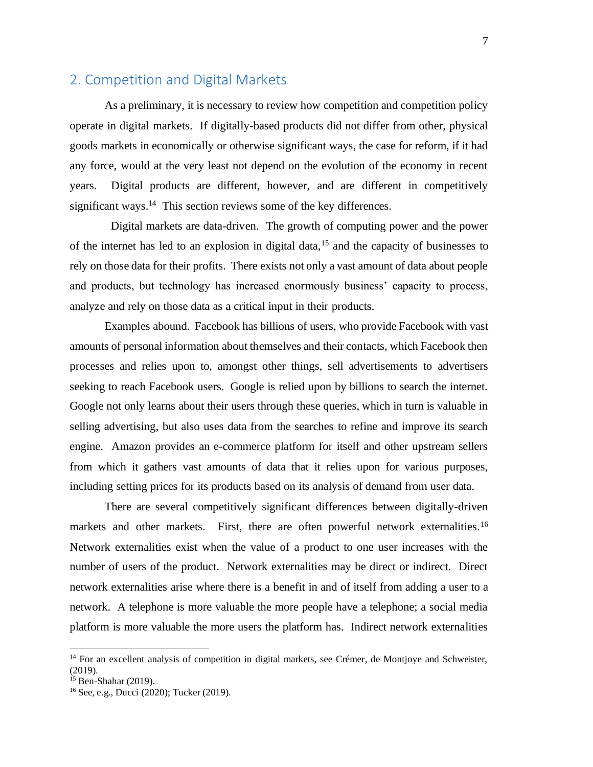### <span id="page-7-0"></span>2. Competition and Digital Markets

As a preliminary, it is necessary to review how competition and competition policy operate in digital markets. If digitally-based products did not differ from other, physical goods markets in economically or otherwise significant ways, the case for reform, if it had any force, would at the very least not depend on the evolution of the economy in recent years. Digital products are different, however, and are different in competitively significant ways.<sup>14</sup> This section reviews some of the key differences.

 Digital markets are data-driven. The growth of computing power and the power of the internet has led to an explosion in digital data,<sup>15</sup> and the capacity of businesses to rely on those data for their profits. There exists not only a vast amount of data about people and products, but technology has increased enormously business' capacity to process, analyze and rely on those data as a critical input in their products.

Examples abound. Facebook has billions of users, who provide Facebook with vast amounts of personal information about themselves and their contacts, which Facebook then processes and relies upon to, amongst other things, sell advertisements to advertisers seeking to reach Facebook users. Google is relied upon by billions to search the internet. Google not only learns about their users through these queries, which in turn is valuable in selling advertising, but also uses data from the searches to refine and improve its search engine. Amazon provides an e-commerce platform for itself and other upstream sellers from which it gathers vast amounts of data that it relies upon for various purposes, including setting prices for its products based on its analysis of demand from user data.

There are several competitively significant differences between digitally-driven markets and other markets. First, there are often powerful network externalities.<sup>16</sup> Network externalities exist when the value of a product to one user increases with the number of users of the product. Network externalities may be direct or indirect. Direct network externalities arise where there is a benefit in and of itself from adding a user to a network. A telephone is more valuable the more people have a telephone; a social media platform is more valuable the more users the platform has. Indirect network externalities

 $14$  For an excellent analysis of competition in digital markets, see Crémer, de Montjoye and Schweister, (2019).

<sup>15</sup> Ben-Shahar (2019).

<sup>16</sup> See, e.g., Ducci (2020); Tucker (2019).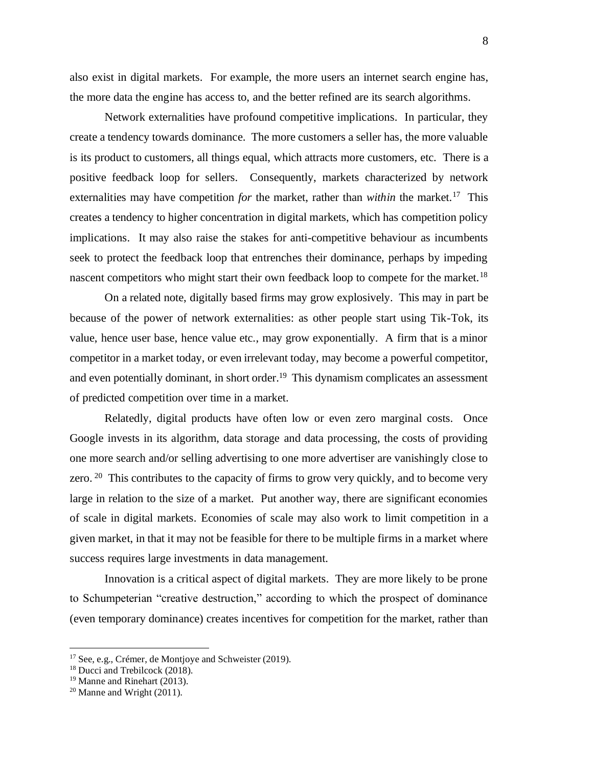also exist in digital markets. For example, the more users an internet search engine has, the more data the engine has access to, and the better refined are its search algorithms.

Network externalities have profound competitive implications. In particular, they create a tendency towards dominance. The more customers a seller has, the more valuable is its product to customers, all things equal, which attracts more customers, etc. There is a positive feedback loop for sellers. Consequently, markets characterized by network externalities may have competition *for* the market, rather than *within* the market.<sup>17</sup> This creates a tendency to higher concentration in digital markets, which has competition policy implications. It may also raise the stakes for anti-competitive behaviour as incumbents seek to protect the feedback loop that entrenches their dominance, perhaps by impeding nascent competitors who might start their own feedback loop to compete for the market.<sup>18</sup>

On a related note, digitally based firms may grow explosively. This may in part be because of the power of network externalities: as other people start using Tik-Tok, its value, hence user base, hence value etc., may grow exponentially. A firm that is a minor competitor in a market today, or even irrelevant today, may become a powerful competitor, and even potentially dominant, in short order.<sup>19</sup> This dynamism complicates an assessment of predicted competition over time in a market.

Relatedly, digital products have often low or even zero marginal costs. Once Google invests in its algorithm, data storage and data processing, the costs of providing one more search and/or selling advertising to one more advertiser are vanishingly close to zero.  $20$  This contributes to the capacity of firms to grow very quickly, and to become very large in relation to the size of a market. Put another way, there are significant economies of scale in digital markets. Economies of scale may also work to limit competition in a given market, in that it may not be feasible for there to be multiple firms in a market where success requires large investments in data management.

Innovation is a critical aspect of digital markets. They are more likely to be prone to Schumpeterian "creative destruction," according to which the prospect of dominance (even temporary dominance) creates incentives for competition for the market, rather than

<sup>&</sup>lt;sup>17</sup> See, e.g., Crémer, de Montjoye and Schweister (2019).

<sup>18</sup> Ducci and Trebilcock (2018).

<sup>19</sup> Manne and Rinehart (2013).

 $20$  Manne and Wright (2011).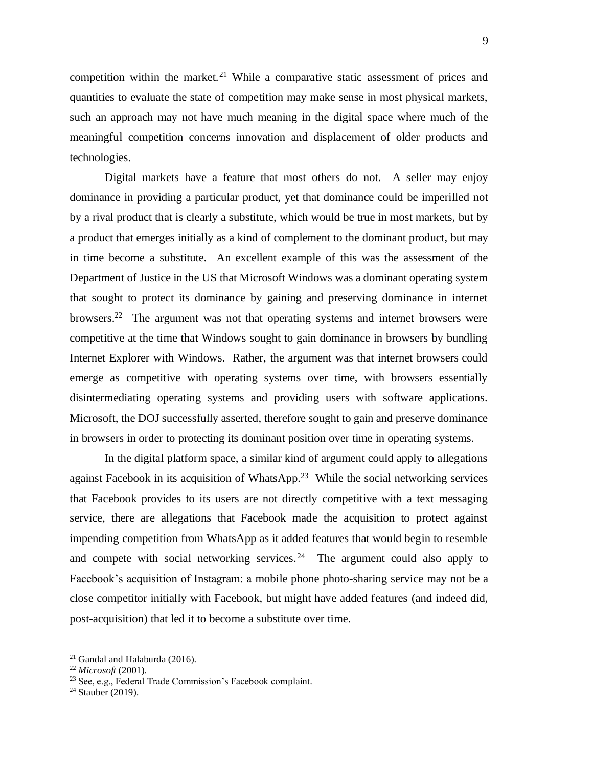competition within the market.<sup>21</sup> While a comparative static assessment of prices and quantities to evaluate the state of competition may make sense in most physical markets, such an approach may not have much meaning in the digital space where much of the meaningful competition concerns innovation and displacement of older products and technologies.

Digital markets have a feature that most others do not. A seller may enjoy dominance in providing a particular product, yet that dominance could be imperilled not by a rival product that is clearly a substitute, which would be true in most markets, but by a product that emerges initially as a kind of complement to the dominant product, but may in time become a substitute. An excellent example of this was the assessment of the Department of Justice in the US that Microsoft Windows was a dominant operating system that sought to protect its dominance by gaining and preserving dominance in internet browsers.<sup>22</sup> The argument was not that operating systems and internet browsers were competitive at the time that Windows sought to gain dominance in browsers by bundling Internet Explorer with Windows. Rather, the argument was that internet browsers could emerge as competitive with operating systems over time, with browsers essentially disintermediating operating systems and providing users with software applications. Microsoft, the DOJ successfully asserted, therefore sought to gain and preserve dominance in browsers in order to protecting its dominant position over time in operating systems.

In the digital platform space, a similar kind of argument could apply to allegations against Facebook in its acquisition of WhatsApp.<sup>23</sup> While the social networking services that Facebook provides to its users are not directly competitive with a text messaging service, there are allegations that Facebook made the acquisition to protect against impending competition from WhatsApp as it added features that would begin to resemble and compete with social networking services.<sup>24</sup> The argument could also apply to Facebook's acquisition of Instagram: a mobile phone photo-sharing service may not be a close competitor initially with Facebook, but might have added features (and indeed did, post-acquisition) that led it to become a substitute over time.

 $21$  Gandal and Halaburda (2016).

<sup>22</sup> *Microsoft* (2001).

<sup>23</sup> See, e.g., Federal Trade Commission's Facebook complaint.

 $24$  Stauber (2019).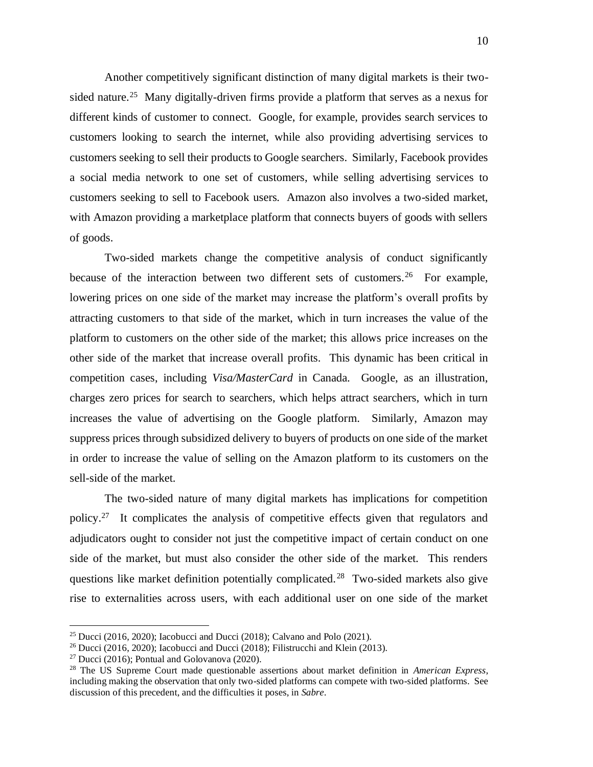Another competitively significant distinction of many digital markets is their twosided nature.<sup>25</sup> Many digitally-driven firms provide a platform that serves as a nexus for different kinds of customer to connect. Google, for example, provides search services to customers looking to search the internet, while also providing advertising services to customers seeking to sell their products to Google searchers. Similarly, Facebook provides a social media network to one set of customers, while selling advertising services to customers seeking to sell to Facebook users. Amazon also involves a two-sided market, with Amazon providing a marketplace platform that connects buyers of goods with sellers of goods.

Two-sided markets change the competitive analysis of conduct significantly because of the interaction between two different sets of customers.<sup>26</sup> For example, lowering prices on one side of the market may increase the platform's overall profits by attracting customers to that side of the market, which in turn increases the value of the platform to customers on the other side of the market; this allows price increases on the other side of the market that increase overall profits. This dynamic has been critical in competition cases, including *Visa/MasterCard* in Canada. Google, as an illustration, charges zero prices for search to searchers, which helps attract searchers, which in turn increases the value of advertising on the Google platform. Similarly, Amazon may suppress prices through subsidized delivery to buyers of products on one side of the market in order to increase the value of selling on the Amazon platform to its customers on the sell-side of the market.

The two-sided nature of many digital markets has implications for competition policy.<sup>27</sup> It complicates the analysis of competitive effects given that regulators and adjudicators ought to consider not just the competitive impact of certain conduct on one side of the market, but must also consider the other side of the market. This renders questions like market definition potentially complicated.<sup>28</sup> Two-sided markets also give rise to externalities across users, with each additional user on one side of the market

<sup>&</sup>lt;sup>25</sup> Ducci (2016, 2020); Iacobucci and Ducci (2018); Calvano and Polo (2021).

<sup>&</sup>lt;sup>26</sup> Ducci (2016, 2020); Iacobucci and Ducci (2018); Filistrucchi and Klein (2013).

<sup>&</sup>lt;sup>27</sup> Ducci (2016); Pontual and Golovanova (2020).

<sup>28</sup> The US Supreme Court made questionable assertions about market definition in *American Express*, including making the observation that only two-sided platforms can compete with two-sided platforms. See discussion of this precedent, and the difficulties it poses, in *Sabre*.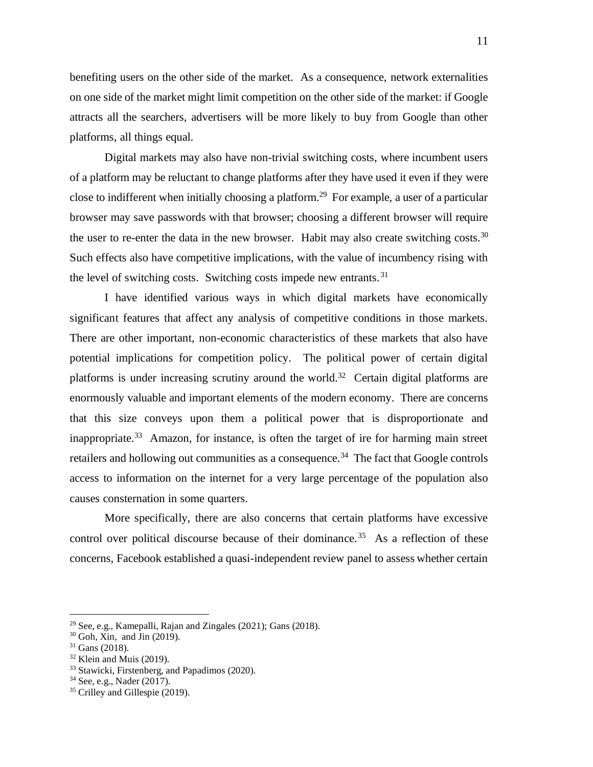benefiting users on the other side of the market. As a consequence, network externalities on one side of the market might limit competition on the other side of the market: if Google attracts all the searchers, advertisers will be more likely to buy from Google than other platforms, all things equal.

Digital markets may also have non-trivial switching costs, where incumbent users of a platform may be reluctant to change platforms after they have used it even if they were close to indifferent when initially choosing a platform.<sup>29</sup> For example, a user of a particular browser may save passwords with that browser; choosing a different browser will require the user to re-enter the data in the new browser. Habit may also create switching costs.<sup>30</sup> Such effects also have competitive implications, with the value of incumbency rising with the level of switching costs. Switching costs impede new entrants.<sup>31</sup>

I have identified various ways in which digital markets have economically significant features that affect any analysis of competitive conditions in those markets. There are other important, non-economic characteristics of these markets that also have potential implications for competition policy. The political power of certain digital platforms is under increasing scrutiny around the world.<sup>32</sup> Certain digital platforms are enormously valuable and important elements of the modern economy. There are concerns that this size conveys upon them a political power that is disproportionate and inappropriate.<sup>33</sup> Amazon, for instance, is often the target of ire for harming main street retailers and hollowing out communities as a consequence.<sup>34</sup> The fact that Google controls access to information on the internet for a very large percentage of the population also causes consternation in some quarters.

More specifically, there are also concerns that certain platforms have excessive control over political discourse because of their dominance.<sup>35</sup> As a reflection of these concerns, Facebook established a quasi-independent review panel to assess whether certain

<sup>&</sup>lt;sup>29</sup> See, e.g., Kamepalli, Rajan and Zingales  $(2021)$ ; Gans  $(2018)$ .

 $30$  Goh, Xin, and  $\overline{J}$ in (2019).

 $31$  Gans (2018).

 $32$  Klein and Muis (2019).

<sup>&</sup>lt;sup>33</sup> Stawicki, Firstenberg, and Papadimos (2020).

<sup>34</sup> See, e.g., Nader (2017).

<sup>&</sup>lt;sup>35</sup> Crilley and Gillespie (2019).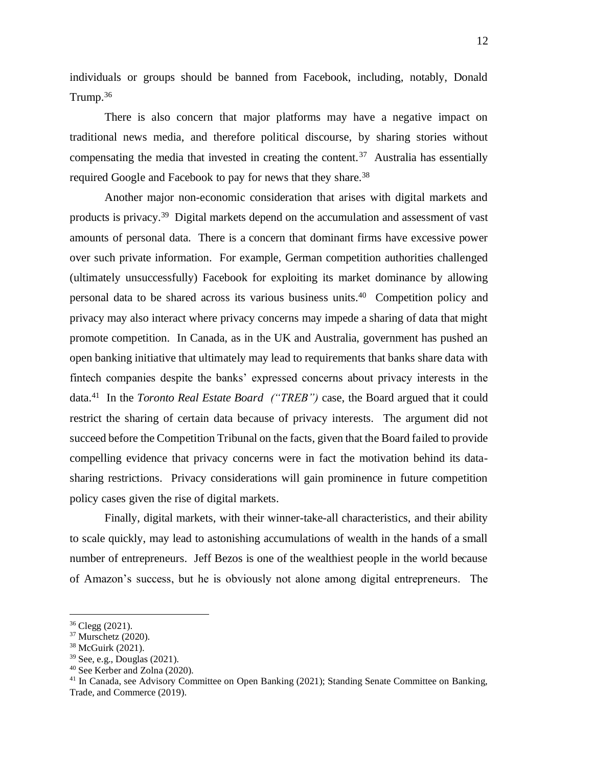individuals or groups should be banned from Facebook, including, notably, Donald Trump. $36$ 

There is also concern that major platforms may have a negative impact on traditional news media, and therefore political discourse, by sharing stories without compensating the media that invested in creating the content.<sup>37</sup> Australia has essentially required Google and Facebook to pay for news that they share.<sup>38</sup>

Another major non-economic consideration that arises with digital markets and products is privacy.<sup>39</sup> Digital markets depend on the accumulation and assessment of vast amounts of personal data. There is a concern that dominant firms have excessive power over such private information. For example, German competition authorities challenged (ultimately unsuccessfully) Facebook for exploiting its market dominance by allowing personal data to be shared across its various business units.<sup>40</sup> Competition policy and privacy may also interact where privacy concerns may impede a sharing of data that might promote competition. In Canada, as in the UK and Australia, government has pushed an open banking initiative that ultimately may lead to requirements that banks share data with fintech companies despite the banks' expressed concerns about privacy interests in the data.<sup>41</sup> In the *Toronto Real Estate Board ("TREB")* case, the Board argued that it could restrict the sharing of certain data because of privacy interests. The argument did not succeed before the Competition Tribunal on the facts, given that the Board failed to provide compelling evidence that privacy concerns were in fact the motivation behind its datasharing restrictions. Privacy considerations will gain prominence in future competition policy cases given the rise of digital markets.

Finally, digital markets, with their winner-take-all characteristics, and their ability to scale quickly, may lead to astonishing accumulations of wealth in the hands of a small number of entrepreneurs. Jeff Bezos is one of the wealthiest people in the world because of Amazon's success, but he is obviously not alone among digital entrepreneurs. The

 $36$  Clegg (2021).

<sup>37</sup> Murschetz (2020).

<sup>38</sup> McGuirk (2021).

<sup>39</sup> See, e.g., Douglas (2021).

<sup>40</sup> See Kerber and Zolna (2020).

<sup>&</sup>lt;sup>41</sup> In Canada, see Advisory Committee on Open Banking (2021); Standing Senate Committee on Banking, Trade, and Commerce (2019).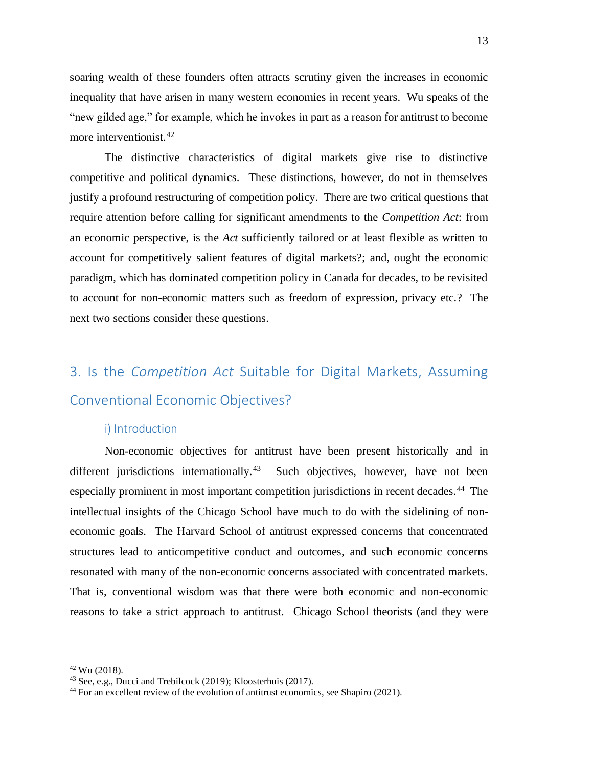soaring wealth of these founders often attracts scrutiny given the increases in economic inequality that have arisen in many western economies in recent years. Wu speaks of the "new gilded age," for example, which he invokes in part as a reason for antitrust to become more interventionist.<sup>42</sup>

The distinctive characteristics of digital markets give rise to distinctive competitive and political dynamics. These distinctions, however, do not in themselves justify a profound restructuring of competition policy. There are two critical questions that require attention before calling for significant amendments to the *Competition Act*: from an economic perspective, is the *Act* sufficiently tailored or at least flexible as written to account for competitively salient features of digital markets?; and, ought the economic paradigm, which has dominated competition policy in Canada for decades, to be revisited to account for non-economic matters such as freedom of expression, privacy etc.? The next two sections consider these questions.

## <span id="page-13-0"></span>3. Is the *Competition Act* Suitable for Digital Markets, Assuming Conventional Economic Objectives?

#### <span id="page-13-1"></span>i) Introduction

Non-economic objectives for antitrust have been present historically and in different jurisdictions internationally.<sup>43</sup> Such objectives, however, have not been especially prominent in most important competition jurisdictions in recent decades. 44 The intellectual insights of the Chicago School have much to do with the sidelining of noneconomic goals. The Harvard School of antitrust expressed concerns that concentrated structures lead to anticompetitive conduct and outcomes, and such economic concerns resonated with many of the non-economic concerns associated with concentrated markets. That is, conventional wisdom was that there were both economic and non-economic reasons to take a strict approach to antitrust. Chicago School theorists (and they were

 $42$  Wu (2018).

<sup>43</sup> See, e.g., Ducci and Trebilcock (2019); Kloosterhuis (2017).

<sup>&</sup>lt;sup>44</sup> For an excellent review of the evolution of antitrust economics, see Shapiro (2021).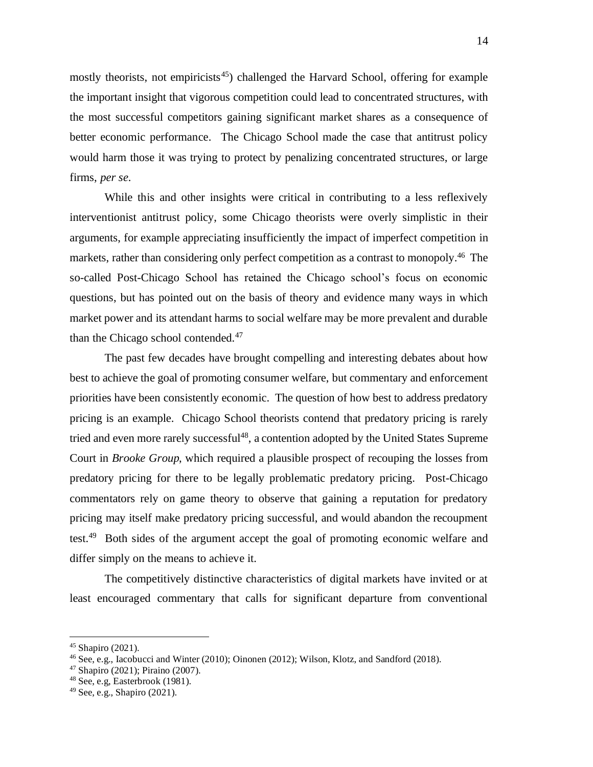mostly theorists, not empiricists<sup>45</sup>) challenged the Harvard School, offering for example the important insight that vigorous competition could lead to concentrated structures, with the most successful competitors gaining significant market shares as a consequence of better economic performance. The Chicago School made the case that antitrust policy would harm those it was trying to protect by penalizing concentrated structures, or large firms, *per se*.

While this and other insights were critical in contributing to a less reflexively interventionist antitrust policy, some Chicago theorists were overly simplistic in their arguments, for example appreciating insufficiently the impact of imperfect competition in markets, rather than considering only perfect competition as a contrast to monopoly.<sup>46</sup> The so-called Post-Chicago School has retained the Chicago school's focus on economic questions, but has pointed out on the basis of theory and evidence many ways in which market power and its attendant harms to social welfare may be more prevalent and durable than the Chicago school contended.<sup>47</sup>

The past few decades have brought compelling and interesting debates about how best to achieve the goal of promoting consumer welfare, but commentary and enforcement priorities have been consistently economic. The question of how best to address predatory pricing is an example. Chicago School theorists contend that predatory pricing is rarely tried and even more rarely successful<sup>48</sup>, a contention adopted by the United States Supreme Court in *Brooke Group*, which required a plausible prospect of recouping the losses from predatory pricing for there to be legally problematic predatory pricing. Post-Chicago commentators rely on game theory to observe that gaining a reputation for predatory pricing may itself make predatory pricing successful, and would abandon the recoupment test.<sup>49</sup> Both sides of the argument accept the goal of promoting economic welfare and differ simply on the means to achieve it.

The competitively distinctive characteristics of digital markets have invited or at least encouraged commentary that calls for significant departure from conventional

 $45$  Shapiro (2021).

 $^{46}$  See, e.g., Iacobucci and Winter (2010); Oinonen (2012); Wilson, Klotz, and Sandford (2018).

 $47$  Shapiro (2021): Piraino (2007).

<sup>48</sup> See, e.g, Easterbrook (1981).

<sup>49</sup> See, e.g., Shapiro (2021).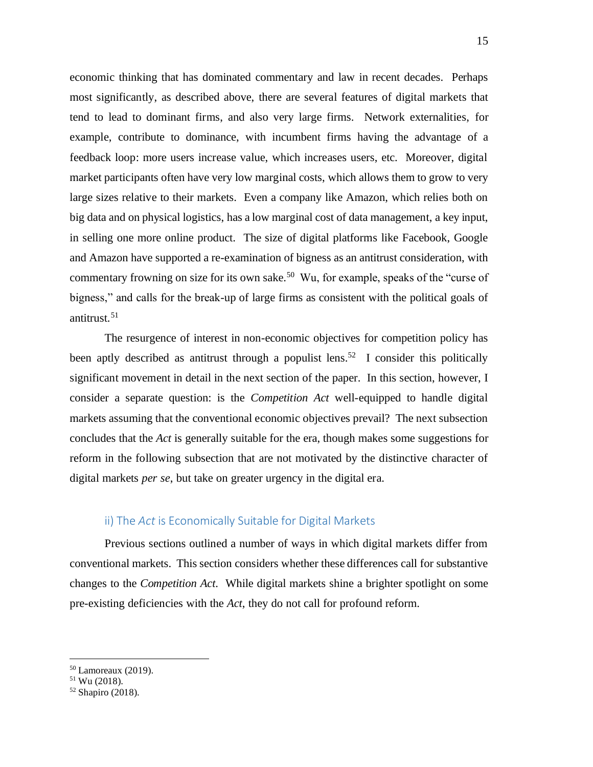economic thinking that has dominated commentary and law in recent decades. Perhaps most significantly, as described above, there are several features of digital markets that tend to lead to dominant firms, and also very large firms. Network externalities, for example, contribute to dominance, with incumbent firms having the advantage of a feedback loop: more users increase value, which increases users, etc. Moreover, digital market participants often have very low marginal costs, which allows them to grow to very large sizes relative to their markets. Even a company like Amazon, which relies both on big data and on physical logistics, has a low marginal cost of data management, a key input, in selling one more online product. The size of digital platforms like Facebook, Google and Amazon have supported a re-examination of bigness as an antitrust consideration, with commentary frowning on size for its own sake.<sup>50</sup> Wu, for example, speaks of the "curse of bigness," and calls for the break-up of large firms as consistent with the political goals of antitrust.<sup>51</sup>

The resurgence of interest in non-economic objectives for competition policy has been aptly described as antitrust through a populist lens.<sup>52</sup> I consider this politically significant movement in detail in the next section of the paper. In this section, however, I consider a separate question: is the *Competition Act* well-equipped to handle digital markets assuming that the conventional economic objectives prevail? The next subsection concludes that the *Act* is generally suitable for the era, though makes some suggestions for reform in the following subsection that are not motivated by the distinctive character of digital markets *per se*, but take on greater urgency in the digital era.

#### <span id="page-15-0"></span>ii) The *Act* is Economically Suitable for Digital Markets

Previous sections outlined a number of ways in which digital markets differ from conventional markets. This section considers whether these differences call for substantive changes to the *Competition Act*. While digital markets shine a brighter spotlight on some pre-existing deficiencies with the *Act*, they do not call for profound reform.

<sup>50</sup> Lamoreaux (2019).

<sup>51</sup> Wu (2018).

 $52$  Shapiro (2018).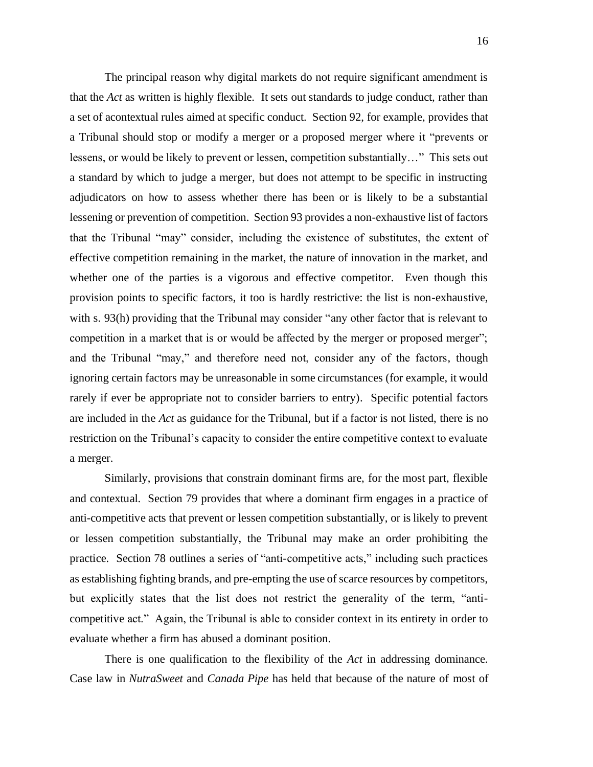The principal reason why digital markets do not require significant amendment is that the *Act* as written is highly flexible. It sets out standards to judge conduct, rather than a set of acontextual rules aimed at specific conduct. Section 92, for example, provides that a Tribunal should stop or modify a merger or a proposed merger where it "prevents or lessens, or would be likely to prevent or lessen, competition substantially…" This sets out a standard by which to judge a merger, but does not attempt to be specific in instructing adjudicators on how to assess whether there has been or is likely to be a substantial lessening or prevention of competition. Section 93 provides a non-exhaustive list of factors that the Tribunal "may" consider, including the existence of substitutes, the extent of effective competition remaining in the market, the nature of innovation in the market, and whether one of the parties is a vigorous and effective competitor. Even though this provision points to specific factors, it too is hardly restrictive: the list is non-exhaustive, with s. 93(h) providing that the Tribunal may consider "any other factor that is relevant to competition in a market that is or would be affected by the merger or proposed merger"; and the Tribunal "may," and therefore need not, consider any of the factors, though ignoring certain factors may be unreasonable in some circumstances (for example, it would rarely if ever be appropriate not to consider barriers to entry). Specific potential factors are included in the *Act* as guidance for the Tribunal, but if a factor is not listed, there is no restriction on the Tribunal's capacity to consider the entire competitive context to evaluate a merger.

Similarly, provisions that constrain dominant firms are, for the most part, flexible and contextual. Section 79 provides that where a dominant firm engages in a practice of anti-competitive acts that prevent or lessen competition substantially, or is likely to prevent or lessen competition substantially, the Tribunal may make an order prohibiting the practice. Section 78 outlines a series of "anti-competitive acts," including such practices as establishing fighting brands, and pre-empting the use of scarce resources by competitors, but explicitly states that the list does not restrict the generality of the term, "anticompetitive act." Again, the Tribunal is able to consider context in its entirety in order to evaluate whether a firm has abused a dominant position.

There is one qualification to the flexibility of the *Act* in addressing dominance. Case law in *NutraSweet* and *Canada Pipe* has held that because of the nature of most of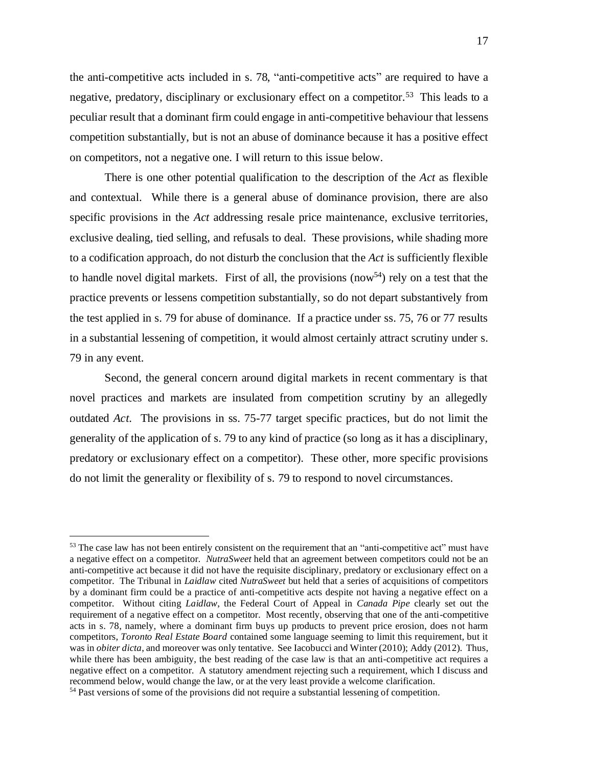the anti-competitive acts included in s. 78, "anti-competitive acts" are required to have a negative, predatory, disciplinary or exclusionary effect on a competitor.<sup>53</sup> This leads to a peculiar result that a dominant firm could engage in anti-competitive behaviour that lessens competition substantially, but is not an abuse of dominance because it has a positive effect on competitors, not a negative one. I will return to this issue below.

There is one other potential qualification to the description of the *Act* as flexible and contextual. While there is a general abuse of dominance provision, there are also specific provisions in the *Act* addressing resale price maintenance, exclusive territories, exclusive dealing, tied selling, and refusals to deal. These provisions, while shading more to a codification approach, do not disturb the conclusion that the *Act* is sufficiently flexible to handle novel digital markets. First of all, the provisions (now<sup>54</sup>) rely on a test that the practice prevents or lessens competition substantially, so do not depart substantively from the test applied in s. 79 for abuse of dominance. If a practice under ss. 75, 76 or 77 results in a substantial lessening of competition, it would almost certainly attract scrutiny under s. 79 in any event.

Second, the general concern around digital markets in recent commentary is that novel practices and markets are insulated from competition scrutiny by an allegedly outdated *Act*. The provisions in ss. 75-77 target specific practices, but do not limit the generality of the application of s. 79 to any kind of practice (so long as it has a disciplinary, predatory or exclusionary effect on a competitor). These other, more specific provisions do not limit the generality or flexibility of s. 79 to respond to novel circumstances.

<sup>&</sup>lt;sup>53</sup> The case law has not been entirely consistent on the requirement that an "anti-competitive act" must have a negative effect on a competitor. *NutraSweet* held that an agreement between competitors could not be an anti-competitive act because it did not have the requisite disciplinary, predatory or exclusionary effect on a competitor. The Tribunal in *Laidlaw* cited *NutraSweet* but held that a series of acquisitions of competitors by a dominant firm could be a practice of anti-competitive acts despite not having a negative effect on a competitor. Without citing *Laidlaw*, the Federal Court of Appeal in *Canada Pipe* clearly set out the requirement of a negative effect on a competitor. Most recently, observing that one of the anti-competitive acts in s. 78, namely, where a dominant firm buys up products to prevent price erosion, does not harm competitors, *Toronto Real Estate Board* contained some language seeming to limit this requirement, but it was in *obiter dicta*, and moreover was only tentative. See Iacobucci and Winter (2010); Addy (2012). Thus, while there has been ambiguity, the best reading of the case law is that an anti-competitive act requires a negative effect on a competitor. A statutory amendment rejecting such a requirement, which I discuss and recommend below, would change the law, or at the very least provide a welcome clarification.

<sup>&</sup>lt;sup>54</sup> Past versions of some of the provisions did not require a substantial lessening of competition.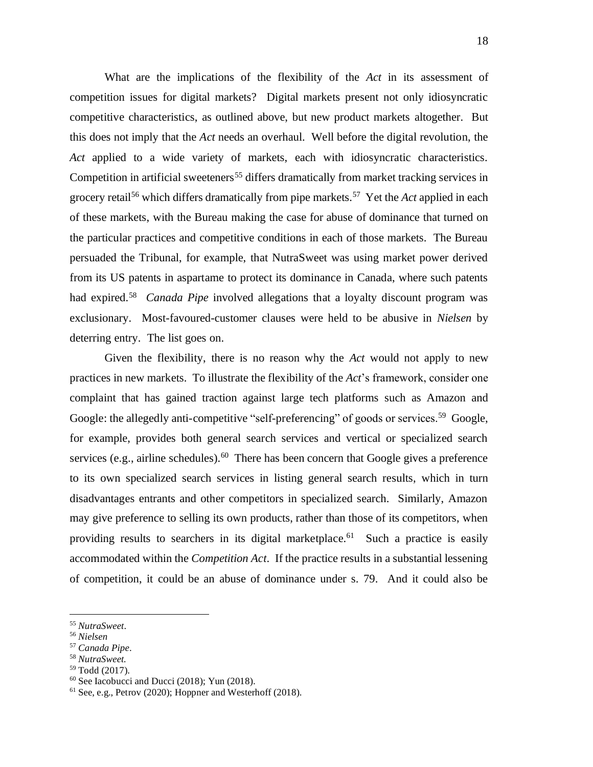What are the implications of the flexibility of the *Act* in its assessment of competition issues for digital markets? Digital markets present not only idiosyncratic competitive characteristics, as outlined above, but new product markets altogether. But this does not imply that the *Act* needs an overhaul. Well before the digital revolution, the *Act* applied to a wide variety of markets, each with idiosyncratic characteristics. Competition in artificial sweeteners<sup>55</sup> differs dramatically from market tracking services in grocery retail<sup>56</sup> which differs dramatically from pipe markets.<sup>57</sup> Yet the *Act* applied in each of these markets, with the Bureau making the case for abuse of dominance that turned on the particular practices and competitive conditions in each of those markets. The Bureau persuaded the Tribunal, for example, that NutraSweet was using market power derived from its US patents in aspartame to protect its dominance in Canada, where such patents had expired.<sup>58</sup> *Canada Pipe* involved allegations that a loyalty discount program was exclusionary. Most-favoured-customer clauses were held to be abusive in *Nielsen* by deterring entry. The list goes on.

Given the flexibility, there is no reason why the *Act* would not apply to new practices in new markets. To illustrate the flexibility of the *Act*'s framework, consider one complaint that has gained traction against large tech platforms such as Amazon and Google: the allegedly anti-competitive "self-preferencing" of goods or services.<sup>59</sup> Google, for example, provides both general search services and vertical or specialized search services (e.g., airline schedules). <sup>60</sup> There has been concern that Google gives a preference to its own specialized search services in listing general search results, which in turn disadvantages entrants and other competitors in specialized search. Similarly, Amazon may give preference to selling its own products, rather than those of its competitors, when providing results to searchers in its digital marketplace.<sup>61</sup> Such a practice is easily accommodated within the *Competition Act*. If the practice results in a substantial lessening of competition, it could be an abuse of dominance under s. 79. And it could also be

<sup>55</sup> *NutraSweet*.

<sup>56</sup> *Nielsen*

<sup>57</sup> *Canada Pipe*.

<sup>58</sup> *NutraSweet.*

<sup>59</sup> Todd (2017).

 $60$  See Iacobucci and Ducci (2018); Yun (2018).

<sup>61</sup> See, e.g., Petrov (2020); Hoppner and Westerhoff (2018).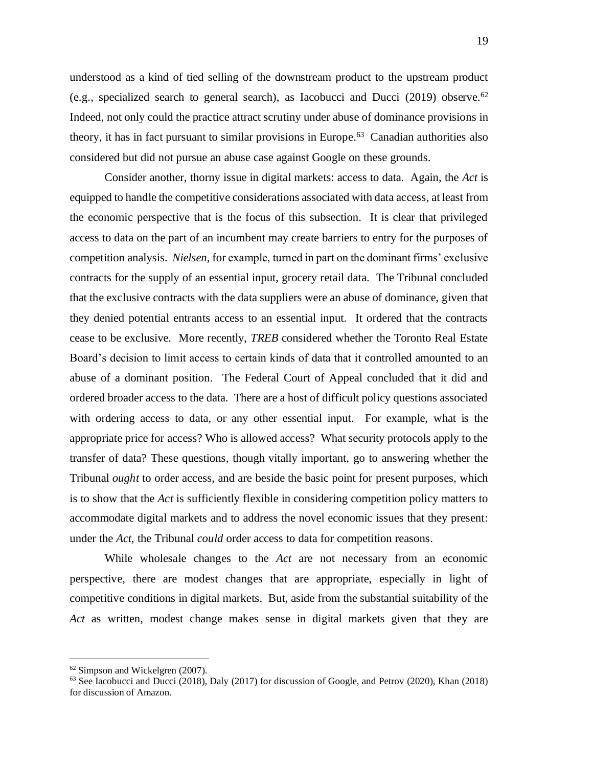understood as a kind of tied selling of the downstream product to the upstream product (e.g., specialized search to general search), as Iacobucci and Ducci (2019) observe.<sup>62</sup> Indeed, not only could the practice attract scrutiny under abuse of dominance provisions in theory, it has in fact pursuant to similar provisions in Europe. 63 Canadian authorities also considered but did not pursue an abuse case against Google on these grounds.

Consider another, thorny issue in digital markets: access to data. Again, the *Act* is equipped to handle the competitive considerations associated with data access, at least from the economic perspective that is the focus of this subsection. It is clear that privileged access to data on the part of an incumbent may create barriers to entry for the purposes of competition analysis. *Nielsen*, for example, turned in part on the dominant firms' exclusive contracts for the supply of an essential input, grocery retail data. The Tribunal concluded that the exclusive contracts with the data suppliers were an abuse of dominance, given that they denied potential entrants access to an essential input. It ordered that the contracts cease to be exclusive. More recently, *TREB* considered whether the Toronto Real Estate Board's decision to limit access to certain kinds of data that it controlled amounted to an abuse of a dominant position. The Federal Court of Appeal concluded that it did and ordered broader access to the data. There are a host of difficult policy questions associated with ordering access to data, or any other essential input. For example, what is the appropriate price for access? Who is allowed access? What security protocols apply to the transfer of data? These questions, though vitally important, go to answering whether the Tribunal *ought* to order access, and are beside the basic point for present purposes, which is to show that the *Act* is sufficiently flexible in considering competition policy matters to accommodate digital markets and to address the novel economic issues that they present: under the *Act*, the Tribunal *could* order access to data for competition reasons.

While wholesale changes to the *Act* are not necessary from an economic perspective, there are modest changes that are appropriate, especially in light of competitive conditions in digital markets. But, aside from the substantial suitability of the *Act* as written, modest change makes sense in digital markets given that they are

<sup>62</sup> Simpson and Wickelgren (2007).

<sup>63</sup> See Iacobucci and Ducci (2018), Daly (2017) for discussion of Google, and Petrov (2020), Khan (2018) for discussion of Amazon.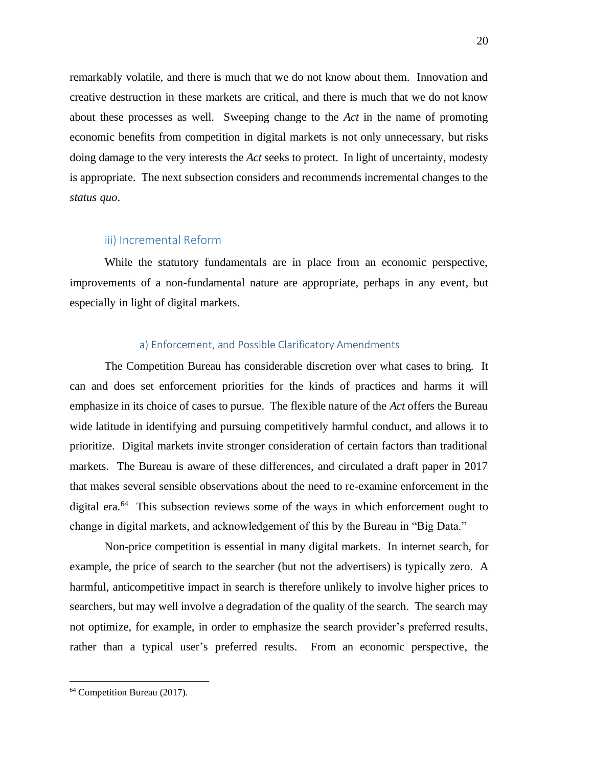remarkably volatile, and there is much that we do not know about them. Innovation and creative destruction in these markets are critical, and there is much that we do not know about these processes as well. Sweeping change to the *Act* in the name of promoting economic benefits from competition in digital markets is not only unnecessary, but risks doing damage to the very interests the *Act* seeks to protect. In light of uncertainty, modesty is appropriate. The next subsection considers and recommends incremental changes to the *status quo*.

#### <span id="page-20-0"></span>iii) Incremental Reform

While the statutory fundamentals are in place from an economic perspective, improvements of a non-fundamental nature are appropriate, perhaps in any event, but especially in light of digital markets.

#### <span id="page-20-1"></span>a) Enforcement, and Possible Clarificatory Amendments

The Competition Bureau has considerable discretion over what cases to bring. It can and does set enforcement priorities for the kinds of practices and harms it will emphasize in its choice of cases to pursue. The flexible nature of the *Act* offers the Bureau wide latitude in identifying and pursuing competitively harmful conduct, and allows it to prioritize. Digital markets invite stronger consideration of certain factors than traditional markets. The Bureau is aware of these differences, and circulated a draft paper in 2017 that makes several sensible observations about the need to re-examine enforcement in the digital era.<sup>64</sup> This subsection reviews some of the ways in which enforcement ought to change in digital markets, and acknowledgement of this by the Bureau in "Big Data."

Non-price competition is essential in many digital markets. In internet search, for example, the price of search to the searcher (but not the advertisers) is typically zero. A harmful, anticompetitive impact in search is therefore unlikely to involve higher prices to searchers, but may well involve a degradation of the quality of the search. The search may not optimize, for example, in order to emphasize the search provider's preferred results, rather than a typical user's preferred results. From an economic perspective, the

<sup>64</sup> Competition Bureau (2017).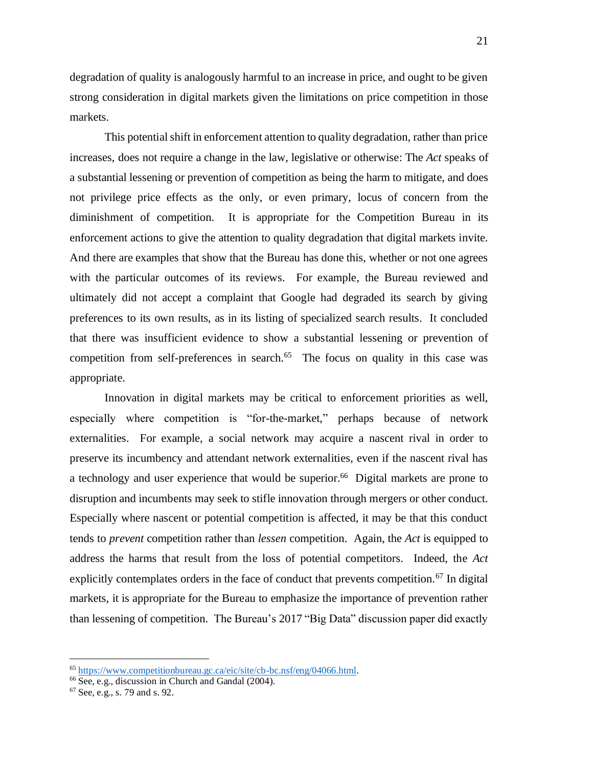degradation of quality is analogously harmful to an increase in price, and ought to be given strong consideration in digital markets given the limitations on price competition in those markets.

This potential shift in enforcement attention to quality degradation, rather than price increases, does not require a change in the law, legislative or otherwise: The *Act* speaks of a substantial lessening or prevention of competition as being the harm to mitigate, and does not privilege price effects as the only, or even primary, locus of concern from the diminishment of competition. It is appropriate for the Competition Bureau in its enforcement actions to give the attention to quality degradation that digital markets invite. And there are examples that show that the Bureau has done this, whether or not one agrees with the particular outcomes of its reviews. For example, the Bureau reviewed and ultimately did not accept a complaint that Google had degraded its search by giving preferences to its own results, as in its listing of specialized search results. It concluded that there was insufficient evidence to show a substantial lessening or prevention of competition from self-preferences in search. $65$  The focus on quality in this case was appropriate.

Innovation in digital markets may be critical to enforcement priorities as well, especially where competition is "for-the-market," perhaps because of network externalities. For example, a social network may acquire a nascent rival in order to preserve its incumbency and attendant network externalities, even if the nascent rival has a technology and user experience that would be superior.<sup>66</sup> Digital markets are prone to disruption and incumbents may seek to stifle innovation through mergers or other conduct. Especially where nascent or potential competition is affected, it may be that this conduct tends to *prevent* competition rather than *lessen* competition. Again, the *Act* is equipped to address the harms that result from the loss of potential competitors. Indeed, the *Act* explicitly contemplates orders in the face of conduct that prevents competition.<sup>67</sup> In digital markets, it is appropriate for the Bureau to emphasize the importance of prevention rather than lessening of competition. The Bureau's 2017 "Big Data" discussion paper did exactly

<sup>65</sup> [https://www.competitionbureau.gc.ca/eic/site/cb-bc.nsf/eng/04066.html.](https://www.competitionbureau.gc.ca/eic/site/cb-bc.nsf/eng/04066.html)

<sup>&</sup>lt;sup>66</sup> See, e.g., discussion in Church and Gandal (2004).

<sup>67</sup> See, e.g., s. 79 and s. 92.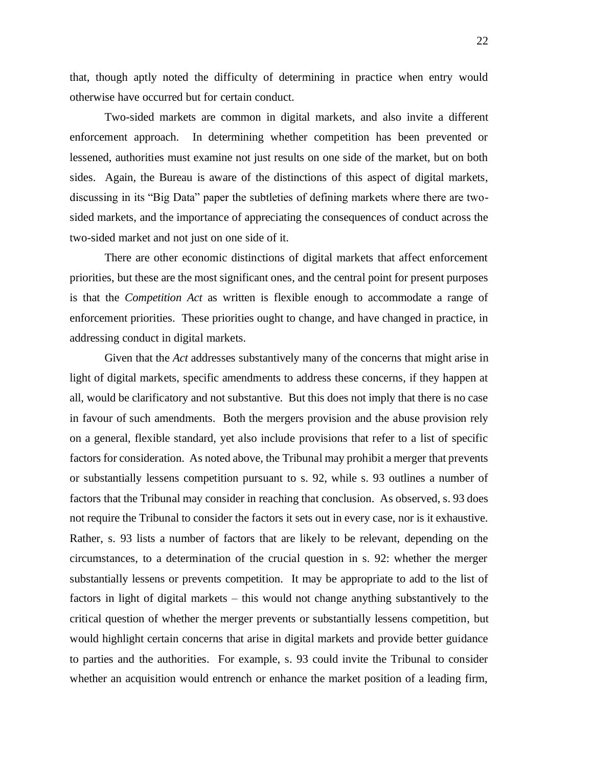that, though aptly noted the difficulty of determining in practice when entry would otherwise have occurred but for certain conduct.

Two-sided markets are common in digital markets, and also invite a different enforcement approach. In determining whether competition has been prevented or lessened, authorities must examine not just results on one side of the market, but on both sides. Again, the Bureau is aware of the distinctions of this aspect of digital markets, discussing in its "Big Data" paper the subtleties of defining markets where there are twosided markets, and the importance of appreciating the consequences of conduct across the two-sided market and not just on one side of it.

There are other economic distinctions of digital markets that affect enforcement priorities, but these are the most significant ones, and the central point for present purposes is that the *Competition Act* as written is flexible enough to accommodate a range of enforcement priorities. These priorities ought to change, and have changed in practice, in addressing conduct in digital markets.

Given that the *Act* addresses substantively many of the concerns that might arise in light of digital markets, specific amendments to address these concerns, if they happen at all, would be clarificatory and not substantive. But this does not imply that there is no case in favour of such amendments. Both the mergers provision and the abuse provision rely on a general, flexible standard, yet also include provisions that refer to a list of specific factors for consideration. As noted above, the Tribunal may prohibit a merger that prevents or substantially lessens competition pursuant to s. 92, while s. 93 outlines a number of factors that the Tribunal may consider in reaching that conclusion. As observed, s. 93 does not require the Tribunal to consider the factors it sets out in every case, nor is it exhaustive. Rather, s. 93 lists a number of factors that are likely to be relevant, depending on the circumstances, to a determination of the crucial question in s. 92: whether the merger substantially lessens or prevents competition. It may be appropriate to add to the list of factors in light of digital markets – this would not change anything substantively to the critical question of whether the merger prevents or substantially lessens competition, but would highlight certain concerns that arise in digital markets and provide better guidance to parties and the authorities. For example, s. 93 could invite the Tribunal to consider whether an acquisition would entrench or enhance the market position of a leading firm,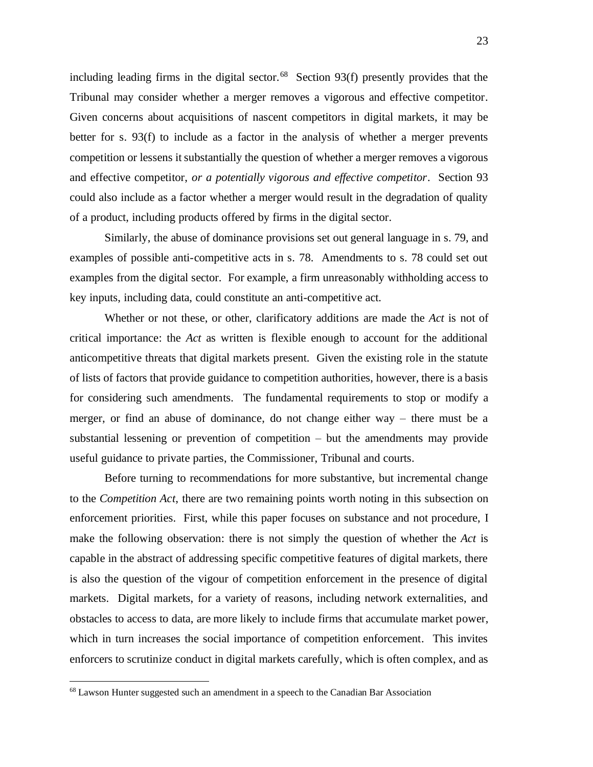including leading firms in the digital sector. $68$  Section 93(f) presently provides that the Tribunal may consider whether a merger removes a vigorous and effective competitor. Given concerns about acquisitions of nascent competitors in digital markets, it may be better for s. 93(f) to include as a factor in the analysis of whether a merger prevents competition or lessens it substantially the question of whether a merger removes a vigorous and effective competitor, *or a potentially vigorous and effective competitor*. Section 93 could also include as a factor whether a merger would result in the degradation of quality of a product, including products offered by firms in the digital sector.

Similarly, the abuse of dominance provisions set out general language in s. 79, and examples of possible anti-competitive acts in s. 78. Amendments to s. 78 could set out examples from the digital sector. For example, a firm unreasonably withholding access to key inputs, including data, could constitute an anti-competitive act.

Whether or not these, or other, clarificatory additions are made the *Act* is not of critical importance: the *Act* as written is flexible enough to account for the additional anticompetitive threats that digital markets present. Given the existing role in the statute of lists of factors that provide guidance to competition authorities, however, there is a basis for considering such amendments. The fundamental requirements to stop or modify a merger, or find an abuse of dominance, do not change either way – there must be a substantial lessening or prevention of competition – but the amendments may provide useful guidance to private parties, the Commissioner, Tribunal and courts.

Before turning to recommendations for more substantive, but incremental change to the *Competition Act*, there are two remaining points worth noting in this subsection on enforcement priorities. First, while this paper focuses on substance and not procedure, I make the following observation: there is not simply the question of whether the *Act* is capable in the abstract of addressing specific competitive features of digital markets, there is also the question of the vigour of competition enforcement in the presence of digital markets. Digital markets, for a variety of reasons, including network externalities, and obstacles to access to data, are more likely to include firms that accumulate market power, which in turn increases the social importance of competition enforcement. This invites enforcers to scrutinize conduct in digital markets carefully, which is often complex, and as

<sup>&</sup>lt;sup>68</sup> Lawson Hunter suggested such an amendment in a speech to the Canadian Bar Association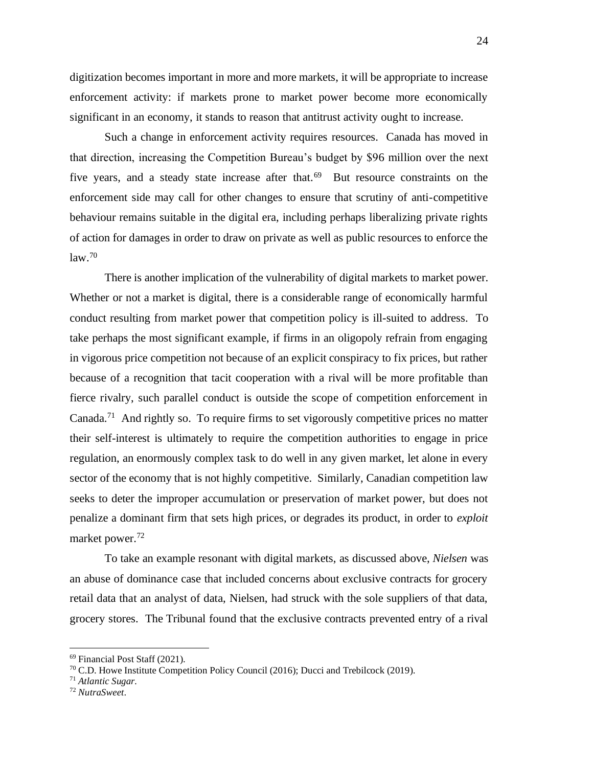digitization becomes important in more and more markets, it will be appropriate to increase enforcement activity: if markets prone to market power become more economically significant in an economy, it stands to reason that antitrust activity ought to increase.

Such a change in enforcement activity requires resources. Canada has moved in that direction, increasing the Competition Bureau's budget by \$96 million over the next five years, and a steady state increase after that. 69 But resource constraints on the enforcement side may call for other changes to ensure that scrutiny of anti-competitive behaviour remains suitable in the digital era, including perhaps liberalizing private rights of action for damages in order to draw on private as well as public resources to enforce the law. 70

There is another implication of the vulnerability of digital markets to market power. Whether or not a market is digital, there is a considerable range of economically harmful conduct resulting from market power that competition policy is ill-suited to address. To take perhaps the most significant example, if firms in an oligopoly refrain from engaging in vigorous price competition not because of an explicit conspiracy to fix prices, but rather because of a recognition that tacit cooperation with a rival will be more profitable than fierce rivalry, such parallel conduct is outside the scope of competition enforcement in Canada.<sup>71</sup> And rightly so. To require firms to set vigorously competitive prices no matter their self-interest is ultimately to require the competition authorities to engage in price regulation, an enormously complex task to do well in any given market, let alone in every sector of the economy that is not highly competitive. Similarly, Canadian competition law seeks to deter the improper accumulation or preservation of market power, but does not penalize a dominant firm that sets high prices, or degrades its product, in order to *exploit* market power.<sup>72</sup>

To take an example resonant with digital markets, as discussed above, *Nielsen* was an abuse of dominance case that included concerns about exclusive contracts for grocery retail data that an analyst of data, Nielsen, had struck with the sole suppliers of that data, grocery stores. The Tribunal found that the exclusive contracts prevented entry of a rival

<sup>69</sup> Financial Post Staff (2021).

 $70$  C.D. Howe Institute Competition Policy Council (2016); Ducci and Trebilcock (2019).

<sup>71</sup> *Atlantic Sugar.*

<sup>72</sup> *NutraSweet*.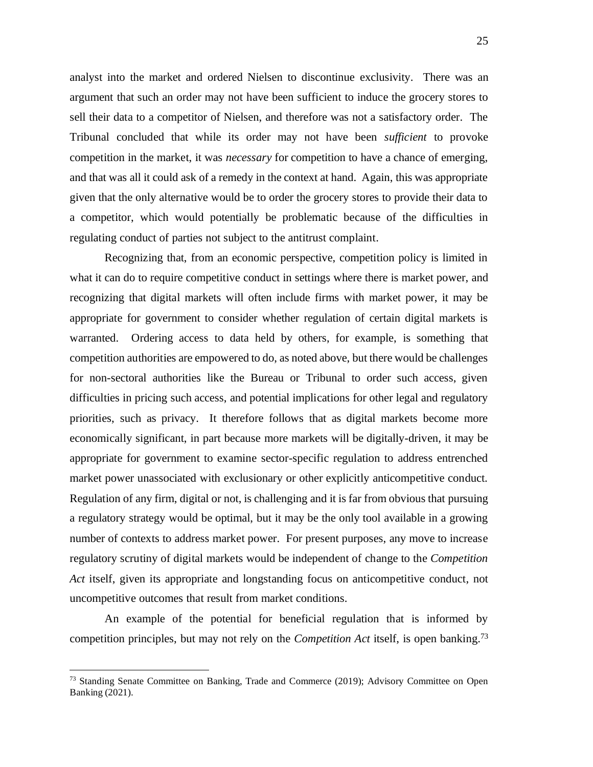analyst into the market and ordered Nielsen to discontinue exclusivity. There was an argument that such an order may not have been sufficient to induce the grocery stores to sell their data to a competitor of Nielsen, and therefore was not a satisfactory order. The Tribunal concluded that while its order may not have been *sufficient* to provoke competition in the market, it was *necessary* for competition to have a chance of emerging, and that was all it could ask of a remedy in the context at hand. Again, this was appropriate given that the only alternative would be to order the grocery stores to provide their data to a competitor, which would potentially be problematic because of the difficulties in regulating conduct of parties not subject to the antitrust complaint.

Recognizing that, from an economic perspective, competition policy is limited in what it can do to require competitive conduct in settings where there is market power, and recognizing that digital markets will often include firms with market power, it may be appropriate for government to consider whether regulation of certain digital markets is warranted. Ordering access to data held by others, for example, is something that competition authorities are empowered to do, as noted above, but there would be challenges for non-sectoral authorities like the Bureau or Tribunal to order such access, given difficulties in pricing such access, and potential implications for other legal and regulatory priorities, such as privacy. It therefore follows that as digital markets become more economically significant, in part because more markets will be digitally-driven, it may be appropriate for government to examine sector-specific regulation to address entrenched market power unassociated with exclusionary or other explicitly anticompetitive conduct. Regulation of any firm, digital or not, is challenging and it is far from obvious that pursuing a regulatory strategy would be optimal, but it may be the only tool available in a growing number of contexts to address market power. For present purposes, any move to increase regulatory scrutiny of digital markets would be independent of change to the *Competition Act* itself, given its appropriate and longstanding focus on anticompetitive conduct, not uncompetitive outcomes that result from market conditions.

An example of the potential for beneficial regulation that is informed by competition principles, but may not rely on the *Competition Act* itself, is open banking.<sup>73</sup>

<sup>&</sup>lt;sup>73</sup> Standing Senate Committee on Banking, Trade and Commerce (2019); Advisory Committee on Open Banking (2021).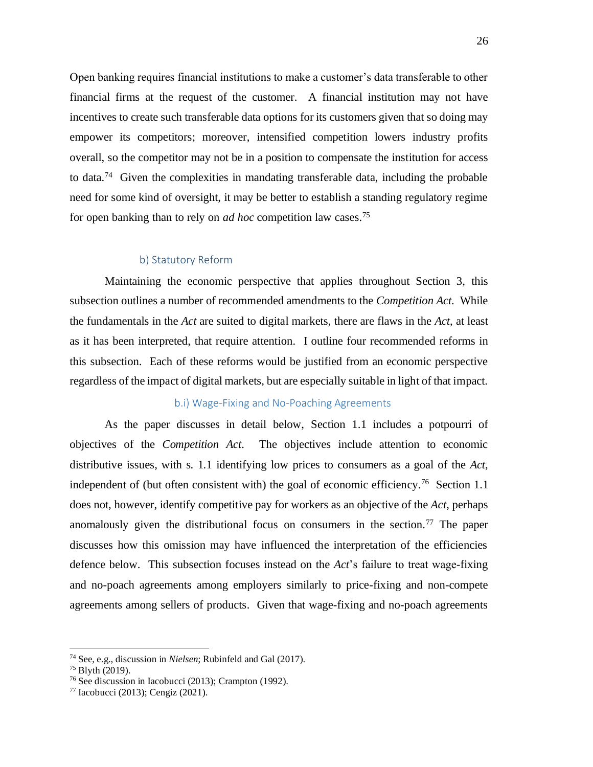Open banking requires financial institutions to make a customer's data transferable to other financial firms at the request of the customer. A financial institution may not have incentives to create such transferable data options for its customers given that so doing may empower its competitors; moreover, intensified competition lowers industry profits overall, so the competitor may not be in a position to compensate the institution for access to data.<sup>74</sup> Given the complexities in mandating transferable data, including the probable need for some kind of oversight, it may be better to establish a standing regulatory regime for open banking than to rely on *ad hoc* competition law cases.<sup>75</sup>

#### <span id="page-26-0"></span>b) Statutory Reform

Maintaining the economic perspective that applies throughout Section 3, this subsection outlines a number of recommended amendments to the *Competition Act*. While the fundamentals in the *Act* are suited to digital markets, there are flaws in the *Act*, at least as it has been interpreted, that require attention. I outline four recommended reforms in this subsection. Each of these reforms would be justified from an economic perspective regardless of the impact of digital markets, but are especially suitable in light of that impact.

#### <span id="page-26-1"></span>b.i) Wage-Fixing and No-Poaching Agreements

As the paper discusses in detail below, Section 1.1 includes a potpourri of objectives of the *Competition Act*. The objectives include attention to economic distributive issues, with s. 1.1 identifying low prices to consumers as a goal of the *Act*, independent of (but often consistent with) the goal of economic efficiency.<sup>76</sup> Section 1.1 does not, however, identify competitive pay for workers as an objective of the *Act*, perhaps anomalously given the distributional focus on consumers in the section.<sup>77</sup> The paper discusses how this omission may have influenced the interpretation of the efficiencies defence below. This subsection focuses instead on the *Act*'s failure to treat wage-fixing and no-poach agreements among employers similarly to price-fixing and non-compete agreements among sellers of products. Given that wage-fixing and no-poach agreements

<sup>74</sup> See, e.g., discussion in *Nielsen*; Rubinfeld and Gal (2017).

<sup>75</sup> Blyth (2019).

<sup>76</sup> See discussion in Iacobucci (2013); Crampton (1992).

<sup>77</sup> Iacobucci (2013); Cengiz (2021).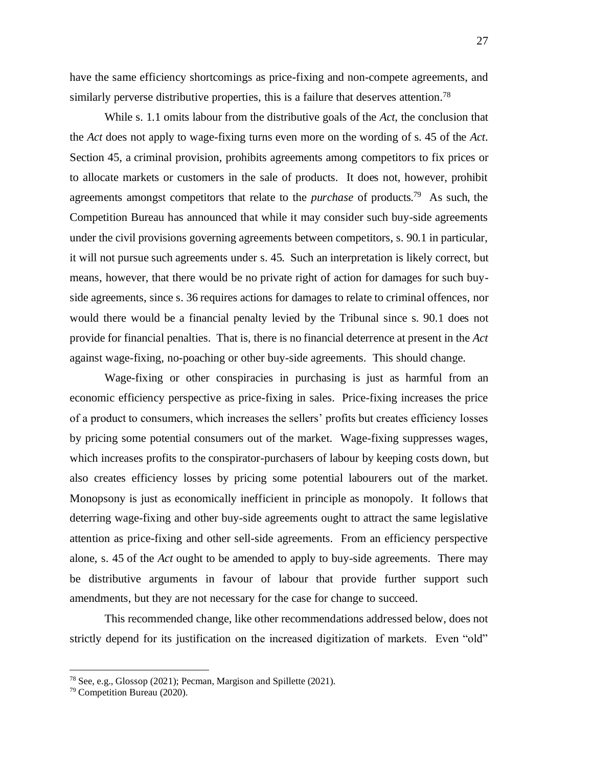have the same efficiency shortcomings as price-fixing and non-compete agreements, and similarly perverse distributive properties, this is a failure that deserves attention.<sup>78</sup>

While s. 1.1 omits labour from the distributive goals of the *Act*, the conclusion that the *Act* does not apply to wage-fixing turns even more on the wording of s. 45 of the *Act*. Section 45, a criminal provision, prohibits agreements among competitors to fix prices or to allocate markets or customers in the sale of products. It does not, however, prohibit agreements amongst competitors that relate to the *purchase* of products.<sup>79</sup> As such, the Competition Bureau has announced that while it may consider such buy-side agreements under the civil provisions governing agreements between competitors, s. 90.1 in particular, it will not pursue such agreements under s. 45. Such an interpretation is likely correct, but means, however, that there would be no private right of action for damages for such buyside agreements, since s. 36 requires actions for damages to relate to criminal offences, nor would there would be a financial penalty levied by the Tribunal since s. 90.1 does not provide for financial penalties. That is, there is no financial deterrence at present in the *Act* against wage-fixing, no-poaching or other buy-side agreements. This should change.

Wage-fixing or other conspiracies in purchasing is just as harmful from an economic efficiency perspective as price-fixing in sales. Price-fixing increases the price of a product to consumers, which increases the sellers' profits but creates efficiency losses by pricing some potential consumers out of the market. Wage-fixing suppresses wages, which increases profits to the conspirator-purchasers of labour by keeping costs down, but also creates efficiency losses by pricing some potential labourers out of the market. Monopsony is just as economically inefficient in principle as monopoly. It follows that deterring wage-fixing and other buy-side agreements ought to attract the same legislative attention as price-fixing and other sell-side agreements. From an efficiency perspective alone, s. 45 of the *Act* ought to be amended to apply to buy-side agreements. There may be distributive arguments in favour of labour that provide further support such amendments, but they are not necessary for the case for change to succeed.

This recommended change, like other recommendations addressed below, does not strictly depend for its justification on the increased digitization of markets. Even "old"

<sup>78</sup> See, e.g., Glossop (2021); Pecman, Margison and Spillette (2021).

<sup>79</sup> Competition Bureau (2020).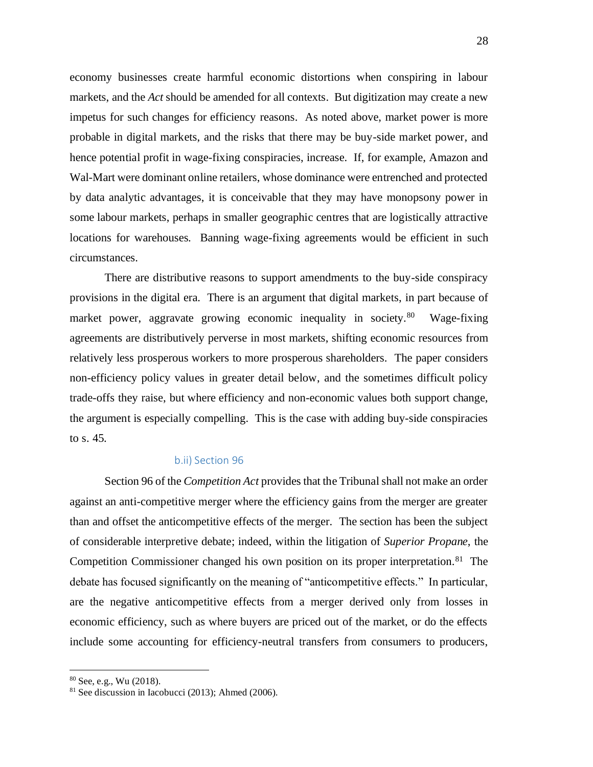economy businesses create harmful economic distortions when conspiring in labour markets, and the *Act* should be amended for all contexts. But digitization may create a new impetus for such changes for efficiency reasons. As noted above, market power is more probable in digital markets, and the risks that there may be buy-side market power, and hence potential profit in wage-fixing conspiracies, increase. If, for example, Amazon and Wal-Mart were dominant online retailers, whose dominance were entrenched and protected by data analytic advantages, it is conceivable that they may have monopsony power in some labour markets, perhaps in smaller geographic centres that are logistically attractive locations for warehouses. Banning wage-fixing agreements would be efficient in such circumstances.

There are distributive reasons to support amendments to the buy-side conspiracy provisions in the digital era. There is an argument that digital markets, in part because of market power, aggravate growing economic inequality in society.<sup>80</sup> Wage-fixing agreements are distributively perverse in most markets, shifting economic resources from relatively less prosperous workers to more prosperous shareholders. The paper considers non-efficiency policy values in greater detail below, and the sometimes difficult policy trade-offs they raise, but where efficiency and non-economic values both support change, the argument is especially compelling. This is the case with adding buy-side conspiracies to s. 45.

#### <span id="page-28-0"></span>b.ii) Section 96

Section 96 of the *Competition Act* provides that the Tribunal shall not make an order against an anti-competitive merger where the efficiency gains from the merger are greater than and offset the anticompetitive effects of the merger. The section has been the subject of considerable interpretive debate; indeed, within the litigation of *Superior Propane*, the Competition Commissioner changed his own position on its proper interpretation.<sup>81</sup> The debate has focused significantly on the meaning of "anticompetitive effects." In particular, are the negative anticompetitive effects from a merger derived only from losses in economic efficiency, such as where buyers are priced out of the market, or do the effects include some accounting for efficiency-neutral transfers from consumers to producers,

<sup>80</sup> See, e.g., Wu (2018).

<sup>81</sup> See discussion in Iacobucci (2013); Ahmed (2006).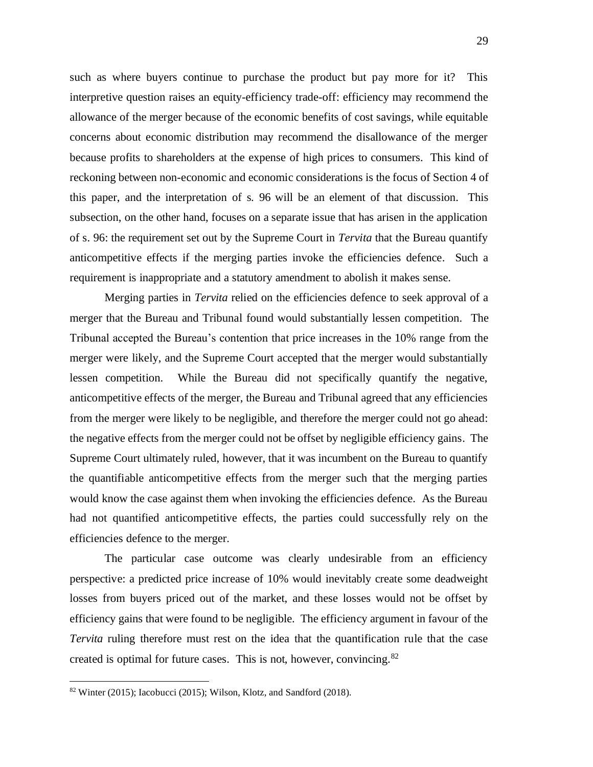such as where buyers continue to purchase the product but pay more for it? This interpretive question raises an equity-efficiency trade-off: efficiency may recommend the allowance of the merger because of the economic benefits of cost savings, while equitable concerns about economic distribution may recommend the disallowance of the merger because profits to shareholders at the expense of high prices to consumers. This kind of reckoning between non-economic and economic considerations is the focus of Section 4 of this paper, and the interpretation of s. 96 will be an element of that discussion. This subsection, on the other hand, focuses on a separate issue that has arisen in the application of s. 96: the requirement set out by the Supreme Court in *Tervita* that the Bureau quantify anticompetitive effects if the merging parties invoke the efficiencies defence. Such a requirement is inappropriate and a statutory amendment to abolish it makes sense.

Merging parties in *Tervita* relied on the efficiencies defence to seek approval of a merger that the Bureau and Tribunal found would substantially lessen competition. The Tribunal accepted the Bureau's contention that price increases in the 10% range from the merger were likely, and the Supreme Court accepted that the merger would substantially lessen competition. While the Bureau did not specifically quantify the negative, anticompetitive effects of the merger, the Bureau and Tribunal agreed that any efficiencies from the merger were likely to be negligible, and therefore the merger could not go ahead: the negative effects from the merger could not be offset by negligible efficiency gains. The Supreme Court ultimately ruled, however, that it was incumbent on the Bureau to quantify the quantifiable anticompetitive effects from the merger such that the merging parties would know the case against them when invoking the efficiencies defence. As the Bureau had not quantified anticompetitive effects, the parties could successfully rely on the efficiencies defence to the merger.

The particular case outcome was clearly undesirable from an efficiency perspective: a predicted price increase of 10% would inevitably create some deadweight losses from buyers priced out of the market, and these losses would not be offset by efficiency gains that were found to be negligible. The efficiency argument in favour of the *Tervita* ruling therefore must rest on the idea that the quantification rule that the case created is optimal for future cases. This is not, however, convincing.<sup>82</sup>

 $82$  Winter (2015); Iacobucci (2015); Wilson, Klotz, and Sandford (2018).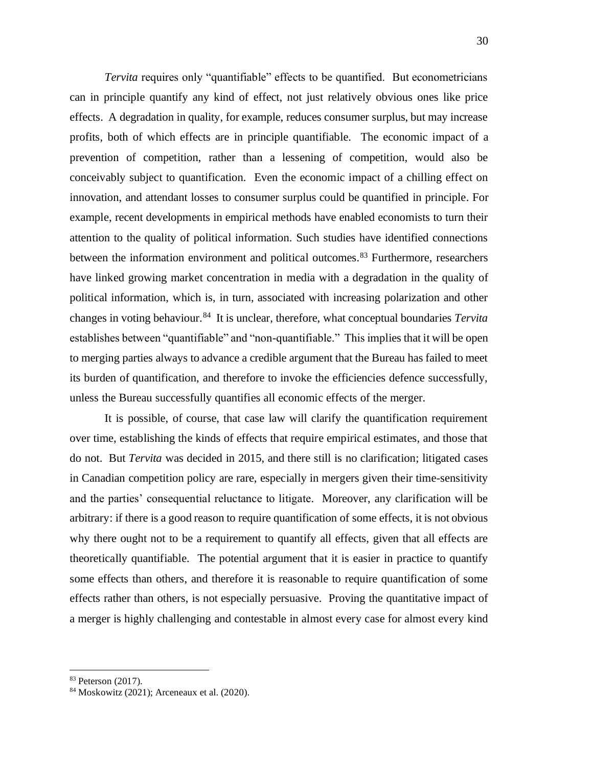*Tervita* requires only "quantifiable" effects to be quantified. But econometricians can in principle quantify any kind of effect, not just relatively obvious ones like price effects. A degradation in quality, for example, reduces consumer surplus, but may increase profits, both of which effects are in principle quantifiable. The economic impact of a prevention of competition, rather than a lessening of competition, would also be conceivably subject to quantification. Even the economic impact of a chilling effect on innovation, and attendant losses to consumer surplus could be quantified in principle. For example, recent developments in empirical methods have enabled economists to turn their attention to the quality of political information. Such studies have identified connections between the information environment and political outcomes.<sup>83</sup> Furthermore, researchers have linked growing market concentration in media with a degradation in the quality of political information, which is, in turn, associated with increasing polarization and other changes in voting behaviour.<sup>84</sup> It is unclear, therefore, what conceptual boundaries *Tervita* establishes between "quantifiable" and "non-quantifiable." This implies that it will be open to merging parties always to advance a credible argument that the Bureau has failed to meet its burden of quantification, and therefore to invoke the efficiencies defence successfully, unless the Bureau successfully quantifies all economic effects of the merger.

It is possible, of course, that case law will clarify the quantification requirement over time, establishing the kinds of effects that require empirical estimates, and those that do not. But *Tervita* was decided in 2015, and there still is no clarification; litigated cases in Canadian competition policy are rare, especially in mergers given their time-sensitivity and the parties' consequential reluctance to litigate. Moreover, any clarification will be arbitrary: if there is a good reason to require quantification of some effects, it is not obvious why there ought not to be a requirement to quantify all effects, given that all effects are theoretically quantifiable. The potential argument that it is easier in practice to quantify some effects than others, and therefore it is reasonable to require quantification of some effects rather than others, is not especially persuasive. Proving the quantitative impact of a merger is highly challenging and contestable in almost every case for almost every kind

<sup>83</sup> Peterson (2017).

<sup>84</sup> Moskowitz (2021); Arceneaux et al. (2020).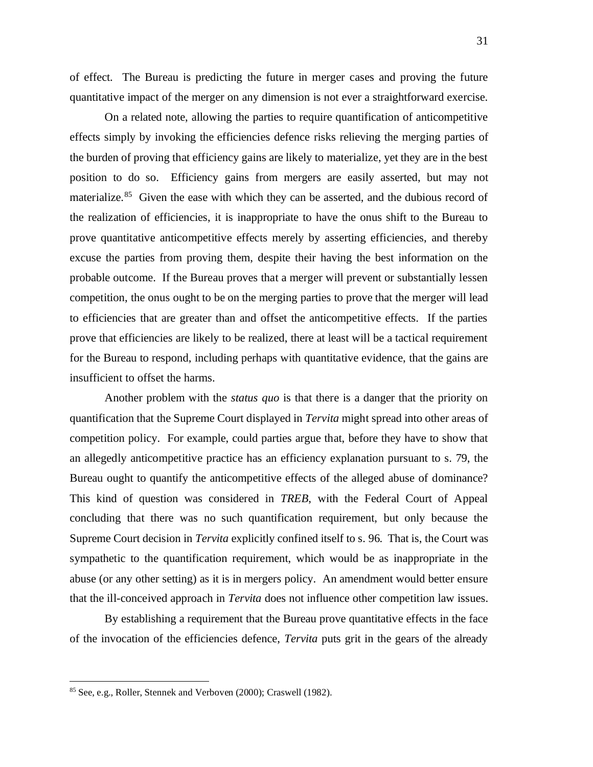of effect. The Bureau is predicting the future in merger cases and proving the future quantitative impact of the merger on any dimension is not ever a straightforward exercise.

On a related note, allowing the parties to require quantification of anticompetitive effects simply by invoking the efficiencies defence risks relieving the merging parties of the burden of proving that efficiency gains are likely to materialize, yet they are in the best position to do so. Efficiency gains from mergers are easily asserted, but may not materialize.<sup>85</sup> Given the ease with which they can be asserted, and the dubious record of the realization of efficiencies, it is inappropriate to have the onus shift to the Bureau to prove quantitative anticompetitive effects merely by asserting efficiencies, and thereby excuse the parties from proving them, despite their having the best information on the probable outcome. If the Bureau proves that a merger will prevent or substantially lessen competition, the onus ought to be on the merging parties to prove that the merger will lead to efficiencies that are greater than and offset the anticompetitive effects. If the parties prove that efficiencies are likely to be realized, there at least will be a tactical requirement for the Bureau to respond, including perhaps with quantitative evidence, that the gains are insufficient to offset the harms.

Another problem with the *status quo* is that there is a danger that the priority on quantification that the Supreme Court displayed in *Tervita* might spread into other areas of competition policy. For example, could parties argue that, before they have to show that an allegedly anticompetitive practice has an efficiency explanation pursuant to s. 79, the Bureau ought to quantify the anticompetitive effects of the alleged abuse of dominance? This kind of question was considered in *TREB*, with the Federal Court of Appeal concluding that there was no such quantification requirement, but only because the Supreme Court decision in *Tervita* explicitly confined itself to s. 96. That is, the Court was sympathetic to the quantification requirement, which would be as inappropriate in the abuse (or any other setting) as it is in mergers policy. An amendment would better ensure that the ill-conceived approach in *Tervita* does not influence other competition law issues.

By establishing a requirement that the Bureau prove quantitative effects in the face of the invocation of the efficiencies defence, *Tervita* puts grit in the gears of the already

<sup>85</sup> See, e.g., Roller, Stennek and Verboven (2000); Craswell (1982).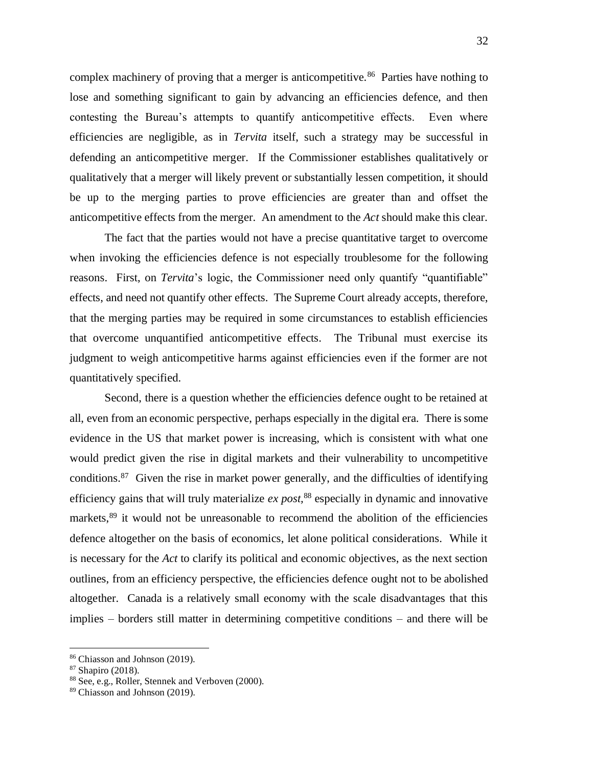complex machinery of proving that a merger is anticompetitive.<sup>86</sup> Parties have nothing to lose and something significant to gain by advancing an efficiencies defence, and then contesting the Bureau's attempts to quantify anticompetitive effects. Even where efficiencies are negligible, as in *Tervita* itself, such a strategy may be successful in defending an anticompetitive merger. If the Commissioner establishes qualitatively or qualitatively that a merger will likely prevent or substantially lessen competition, it should be up to the merging parties to prove efficiencies are greater than and offset the anticompetitive effects from the merger. An amendment to the *Act* should make this clear.

The fact that the parties would not have a precise quantitative target to overcome when invoking the efficiencies defence is not especially troublesome for the following reasons. First, on *Tervita*'s logic, the Commissioner need only quantify "quantifiable" effects, and need not quantify other effects. The Supreme Court already accepts, therefore, that the merging parties may be required in some circumstances to establish efficiencies that overcome unquantified anticompetitive effects. The Tribunal must exercise its judgment to weigh anticompetitive harms against efficiencies even if the former are not quantitatively specified.

Second, there is a question whether the efficiencies defence ought to be retained at all, even from an economic perspective, perhaps especially in the digital era. There is some evidence in the US that market power is increasing, which is consistent with what one would predict given the rise in digital markets and their vulnerability to uncompetitive conditions.<sup>87</sup> Given the rise in market power generally, and the difficulties of identifying efficiency gains that will truly materialize *ex post,*<sup>88</sup> especially in dynamic and innovative markets,<sup>89</sup> it would not be unreasonable to recommend the abolition of the efficiencies defence altogether on the basis of economics, let alone political considerations. While it is necessary for the *Act* to clarify its political and economic objectives, as the next section outlines, from an efficiency perspective, the efficiencies defence ought not to be abolished altogether. Canada is a relatively small economy with the scale disadvantages that this implies – borders still matter in determining competitive conditions – and there will be

<sup>86</sup> Chiasson and Johnson (2019).

<sup>87</sup> Shapiro (2018).

<sup>88</sup> See, e.g., Roller, Stennek and Verboven (2000).

<sup>89</sup> Chiasson and Johnson (2019).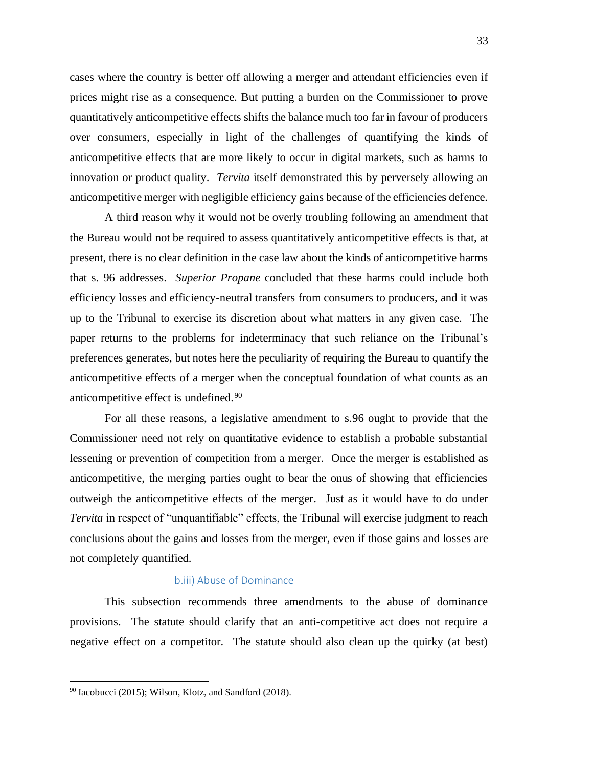cases where the country is better off allowing a merger and attendant efficiencies even if prices might rise as a consequence. But putting a burden on the Commissioner to prove quantitatively anticompetitive effects shifts the balance much too far in favour of producers over consumers, especially in light of the challenges of quantifying the kinds of anticompetitive effects that are more likely to occur in digital markets, such as harms to innovation or product quality. *Tervita* itself demonstrated this by perversely allowing an anticompetitive merger with negligible efficiency gains because of the efficiencies defence.

A third reason why it would not be overly troubling following an amendment that the Bureau would not be required to assess quantitatively anticompetitive effects is that, at present, there is no clear definition in the case law about the kinds of anticompetitive harms that s. 96 addresses. *Superior Propane* concluded that these harms could include both efficiency losses and efficiency-neutral transfers from consumers to producers, and it was up to the Tribunal to exercise its discretion about what matters in any given case. The paper returns to the problems for indeterminacy that such reliance on the Tribunal's preferences generates, but notes here the peculiarity of requiring the Bureau to quantify the anticompetitive effects of a merger when the conceptual foundation of what counts as an anticompetitive effect is undefined.<sup>90</sup>

For all these reasons, a legislative amendment to s.96 ought to provide that the Commissioner need not rely on quantitative evidence to establish a probable substantial lessening or prevention of competition from a merger. Once the merger is established as anticompetitive, the merging parties ought to bear the onus of showing that efficiencies outweigh the anticompetitive effects of the merger. Just as it would have to do under *Tervita* in respect of "unquantifiable" effects, the Tribunal will exercise judgment to reach conclusions about the gains and losses from the merger, even if those gains and losses are not completely quantified.

#### <span id="page-33-0"></span>b.iii) Abuse of Dominance

This subsection recommends three amendments to the abuse of dominance provisions. The statute should clarify that an anti-competitive act does not require a negative effect on a competitor. The statute should also clean up the quirky (at best)

 $90$  Iacobucci (2015); Wilson, Klotz, and Sandford (2018).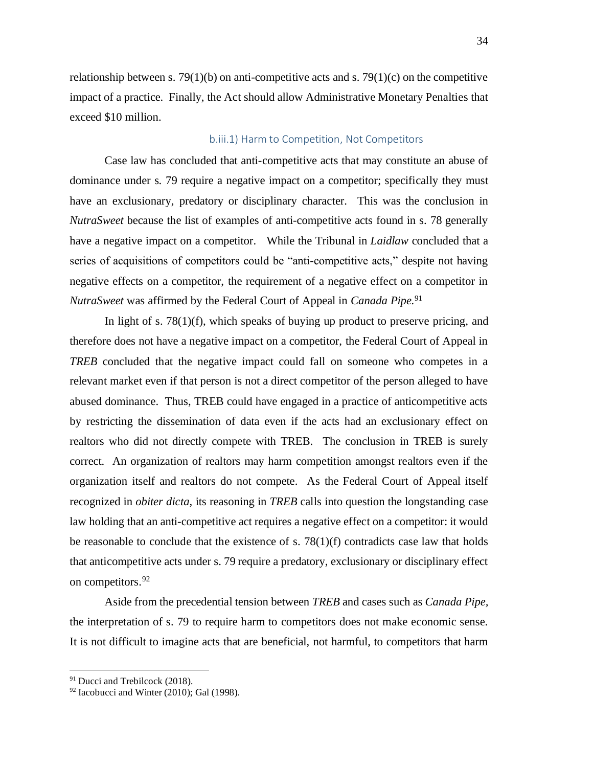relationship between s. 79(1)(b) on anti-competitive acts and s. 79(1)(c) on the competitive impact of a practice. Finally, the Act should allow Administrative Monetary Penalties that exceed \$10 million.

#### <span id="page-34-0"></span>b.iii.1) Harm to Competition, Not Competitors

Case law has concluded that anti-competitive acts that may constitute an abuse of dominance under s. 79 require a negative impact on a competitor; specifically they must have an exclusionary, predatory or disciplinary character. This was the conclusion in *NutraSweet* because the list of examples of anti-competitive acts found in s. 78 generally have a negative impact on a competitor. While the Tribunal in *Laidlaw* concluded that a series of acquisitions of competitors could be "anti-competitive acts," despite not having negative effects on a competitor, the requirement of a negative effect on a competitor in *NutraSweet* was affirmed by the Federal Court of Appeal in *Canada Pipe.* 91

In light of s. 78(1)(f), which speaks of buying up product to preserve pricing, and therefore does not have a negative impact on a competitor, the Federal Court of Appeal in *TREB* concluded that the negative impact could fall on someone who competes in a relevant market even if that person is not a direct competitor of the person alleged to have abused dominance. Thus, TREB could have engaged in a practice of anticompetitive acts by restricting the dissemination of data even if the acts had an exclusionary effect on realtors who did not directly compete with TREB. The conclusion in TREB is surely correct. An organization of realtors may harm competition amongst realtors even if the organization itself and realtors do not compete. As the Federal Court of Appeal itself recognized in *obiter dicta,* its reasoning in *TREB* calls into question the longstanding case law holding that an anti-competitive act requires a negative effect on a competitor: it would be reasonable to conclude that the existence of s.  $78(1)(f)$  contradicts case law that holds that anticompetitive acts under s. 79 require a predatory, exclusionary or disciplinary effect on competitors.<sup>92</sup>

Aside from the precedential tension between *TREB* and cases such as *Canada Pipe,*  the interpretation of s. 79 to require harm to competitors does not make economic sense. It is not difficult to imagine acts that are beneficial, not harmful, to competitors that harm

<sup>&</sup>lt;sup>91</sup> Ducci and Trebilcock (2018).

 $92$  Iacobucci and Winter (2010); Gal (1998).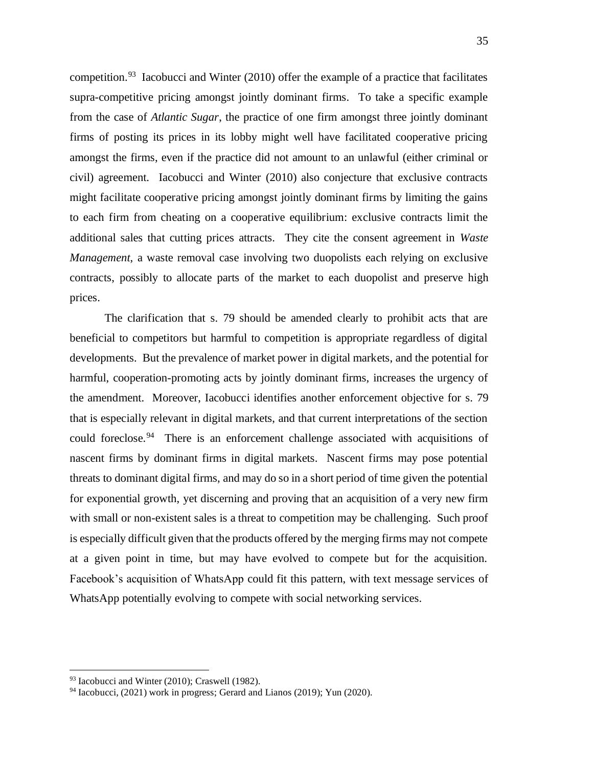competition.<sup>93</sup> Iacobucci and Winter (2010) offer the example of a practice that facilitates supra-competitive pricing amongst jointly dominant firms. To take a specific example from the case of *Atlantic Sugar*, the practice of one firm amongst three jointly dominant firms of posting its prices in its lobby might well have facilitated cooperative pricing amongst the firms, even if the practice did not amount to an unlawful (either criminal or civil) agreement. Iacobucci and Winter (2010) also conjecture that exclusive contracts might facilitate cooperative pricing amongst jointly dominant firms by limiting the gains to each firm from cheating on a cooperative equilibrium: exclusive contracts limit the additional sales that cutting prices attracts. They cite the consent agreement in *Waste Management*, a waste removal case involving two duopolists each relying on exclusive contracts, possibly to allocate parts of the market to each duopolist and preserve high prices.

The clarification that s. 79 should be amended clearly to prohibit acts that are beneficial to competitors but harmful to competition is appropriate regardless of digital developments. But the prevalence of market power in digital markets, and the potential for harmful, cooperation-promoting acts by jointly dominant firms, increases the urgency of the amendment. Moreover, Iacobucci identifies another enforcement objective for s. 79 that is especially relevant in digital markets, and that current interpretations of the section could foreclose.<sup>94</sup> There is an enforcement challenge associated with acquisitions of nascent firms by dominant firms in digital markets. Nascent firms may pose potential threats to dominant digital firms, and may do so in a short period of time given the potential for exponential growth, yet discerning and proving that an acquisition of a very new firm with small or non-existent sales is a threat to competition may be challenging. Such proof is especially difficult given that the products offered by the merging firms may not compete at a given point in time, but may have evolved to compete but for the acquisition. Facebook's acquisition of WhatsApp could fit this pattern, with text message services of WhatsApp potentially evolving to compete with social networking services.

<sup>&</sup>lt;sup>93</sup> Iacobucci and Winter (2010); Craswell (1982).

<sup>94</sup> Iacobucci, (2021) work in progress; Gerard and Lianos (2019); Yun (2020).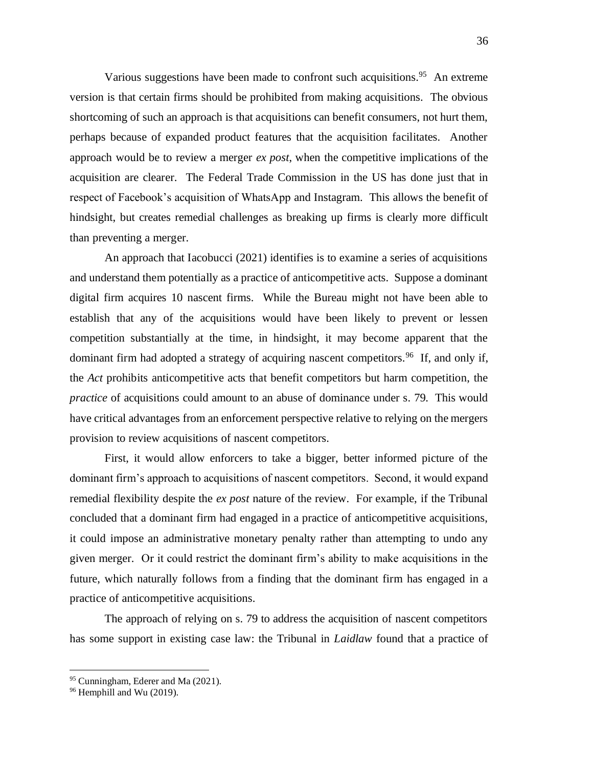Various suggestions have been made to confront such acquisitions.<sup>95</sup> An extreme version is that certain firms should be prohibited from making acquisitions. The obvious shortcoming of such an approach is that acquisitions can benefit consumers, not hurt them, perhaps because of expanded product features that the acquisition facilitates. Another approach would be to review a merger *ex post*, when the competitive implications of the acquisition are clearer. The Federal Trade Commission in the US has done just that in respect of Facebook's acquisition of WhatsApp and Instagram. This allows the benefit of hindsight, but creates remedial challenges as breaking up firms is clearly more difficult than preventing a merger.

An approach that Iacobucci (2021) identifies is to examine a series of acquisitions and understand them potentially as a practice of anticompetitive acts. Suppose a dominant digital firm acquires 10 nascent firms. While the Bureau might not have been able to establish that any of the acquisitions would have been likely to prevent or lessen competition substantially at the time, in hindsight, it may become apparent that the dominant firm had adopted a strategy of acquiring nascent competitors.<sup>96</sup> If, and only if, the *Act* prohibits anticompetitive acts that benefit competitors but harm competition, the *practice* of acquisitions could amount to an abuse of dominance under s. 79. This would have critical advantages from an enforcement perspective relative to relying on the mergers provision to review acquisitions of nascent competitors.

First, it would allow enforcers to take a bigger, better informed picture of the dominant firm's approach to acquisitions of nascent competitors. Second, it would expand remedial flexibility despite the *ex post* nature of the review. For example, if the Tribunal concluded that a dominant firm had engaged in a practice of anticompetitive acquisitions, it could impose an administrative monetary penalty rather than attempting to undo any given merger. Or it could restrict the dominant firm's ability to make acquisitions in the future, which naturally follows from a finding that the dominant firm has engaged in a practice of anticompetitive acquisitions.

The approach of relying on s. 79 to address the acquisition of nascent competitors has some support in existing case law: the Tribunal in *Laidlaw* found that a practice of

<sup>&</sup>lt;sup>95</sup> Cunningham, Ederer and Ma (2021).

<sup>&</sup>lt;sup>96</sup> Hemphill and Wu (2019).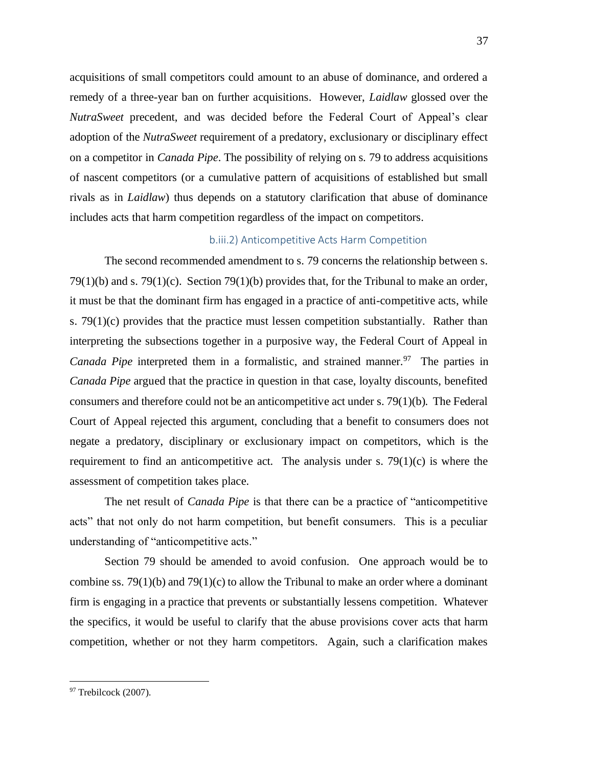acquisitions of small competitors could amount to an abuse of dominance, and ordered a remedy of a three-year ban on further acquisitions. However, *Laidlaw* glossed over the *NutraSweet* precedent, and was decided before the Federal Court of Appeal's clear adoption of the *NutraSweet* requirement of a predatory, exclusionary or disciplinary effect on a competitor in *Canada Pipe*. The possibility of relying on s. 79 to address acquisitions of nascent competitors (or a cumulative pattern of acquisitions of established but small rivals as in *Laidlaw*) thus depends on a statutory clarification that abuse of dominance includes acts that harm competition regardless of the impact on competitors.

## b.iii.2) Anticompetitive Acts Harm Competition

The second recommended amendment to s. 79 concerns the relationship between s. 79(1)(b) and s. 79(1)(c). Section 79(1)(b) provides that, for the Tribunal to make an order, it must be that the dominant firm has engaged in a practice of anti-competitive acts, while s. 79(1)(c) provides that the practice must lessen competition substantially. Rather than interpreting the subsections together in a purposive way, the Federal Court of Appeal in Canada Pipe interpreted them in a formalistic, and strained manner.<sup>97</sup> The parties in *Canada Pipe* argued that the practice in question in that case, loyalty discounts, benefited consumers and therefore could not be an anticompetitive act under s. 79(1)(b). The Federal Court of Appeal rejected this argument, concluding that a benefit to consumers does not negate a predatory, disciplinary or exclusionary impact on competitors, which is the requirement to find an anticompetitive act. The analysis under s.  $79(1)(c)$  is where the assessment of competition takes place.

The net result of *Canada Pipe* is that there can be a practice of "anticompetitive acts" that not only do not harm competition, but benefit consumers. This is a peculiar understanding of "anticompetitive acts."

Section 79 should be amended to avoid confusion. One approach would be to combine ss. 79(1)(b) and 79(1)(c) to allow the Tribunal to make an order where a dominant firm is engaging in a practice that prevents or substantially lessens competition. Whatever the specifics, it would be useful to clarify that the abuse provisions cover acts that harm competition, whether or not they harm competitors. Again, such a clarification makes

<sup>&</sup>lt;sup>97</sup> Trebilcock (2007).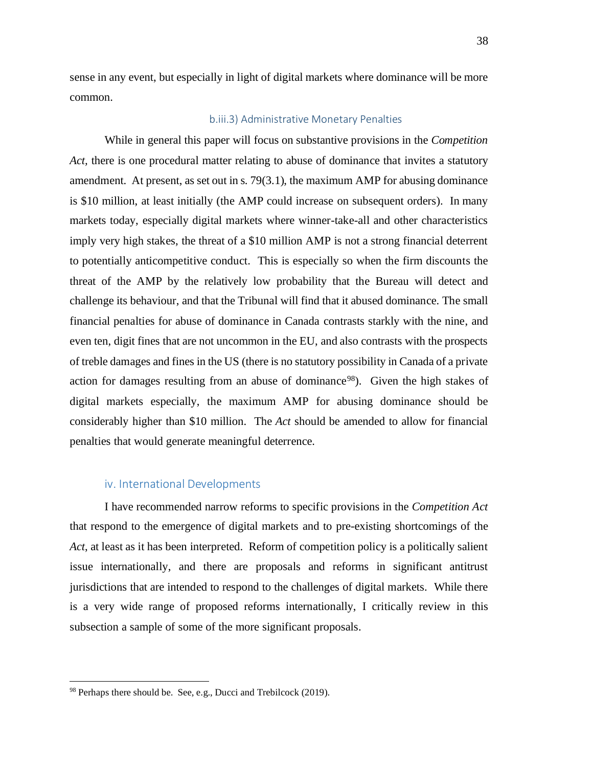sense in any event, but especially in light of digital markets where dominance will be more common.

## b.iii.3) Administrative Monetary Penalties

While in general this paper will focus on substantive provisions in the *Competition*  Act, there is one procedural matter relating to abuse of dominance that invites a statutory amendment. At present, as set out in s. 79(3.1), the maximum AMP for abusing dominance is \$10 million, at least initially (the AMP could increase on subsequent orders). In many markets today, especially digital markets where winner-take-all and other characteristics imply very high stakes, the threat of a \$10 million AMP is not a strong financial deterrent to potentially anticompetitive conduct. This is especially so when the firm discounts the threat of the AMP by the relatively low probability that the Bureau will detect and challenge its behaviour, and that the Tribunal will find that it abused dominance. The small financial penalties for abuse of dominance in Canada contrasts starkly with the nine, and even ten, digit fines that are not uncommon in the EU, and also contrasts with the prospects of treble damages and fines in the US (there is no statutory possibility in Canada of a private action for damages resulting from an abuse of dominance<sup>98</sup>). Given the high stakes of digital markets especially, the maximum AMP for abusing dominance should be considerably higher than \$10 million. The *Act* should be amended to allow for financial penalties that would generate meaningful deterrence.

# iv. International Developments

I have recommended narrow reforms to specific provisions in the *Competition Act* that respond to the emergence of digital markets and to pre-existing shortcomings of the *Act*, at least as it has been interpreted. Reform of competition policy is a politically salient issue internationally, and there are proposals and reforms in significant antitrust jurisdictions that are intended to respond to the challenges of digital markets. While there is a very wide range of proposed reforms internationally, I critically review in this subsection a sample of some of the more significant proposals.

 $98$  Perhaps there should be. See, e.g., Ducci and Trebilcock (2019).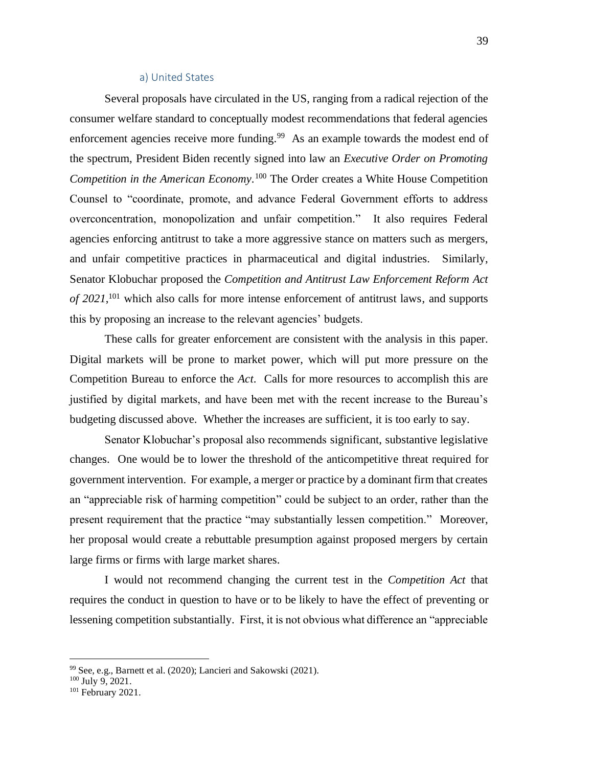#### a) United States

Several proposals have circulated in the US, ranging from a radical rejection of the consumer welfare standard to conceptually modest recommendations that federal agencies enforcement agencies receive more funding.<sup>99</sup> As an example towards the modest end of the spectrum, President Biden recently signed into law an *Executive Order on Promoting Competition in the American Economy*. <sup>100</sup> The Order creates a White House Competition Counsel to "coordinate, promote, and advance Federal Government efforts to address overconcentration, monopolization and unfair competition." It also requires Federal agencies enforcing antitrust to take a more aggressive stance on matters such as mergers, and unfair competitive practices in pharmaceutical and digital industries. Similarly, Senator Klobuchar proposed the *Competition and Antitrust Law Enforcement Reform Act of 2021*, <sup>101</sup> which also calls for more intense enforcement of antitrust laws, and supports this by proposing an increase to the relevant agencies' budgets.

These calls for greater enforcement are consistent with the analysis in this paper. Digital markets will be prone to market power, which will put more pressure on the Competition Bureau to enforce the *Act*. Calls for more resources to accomplish this are justified by digital markets, and have been met with the recent increase to the Bureau's budgeting discussed above. Whether the increases are sufficient, it is too early to say.

Senator Klobuchar's proposal also recommends significant, substantive legislative changes. One would be to lower the threshold of the anticompetitive threat required for government intervention. For example, a merger or practice by a dominant firm that creates an "appreciable risk of harming competition" could be subject to an order, rather than the present requirement that the practice "may substantially lessen competition." Moreover, her proposal would create a rebuttable presumption against proposed mergers by certain large firms or firms with large market shares.

I would not recommend changing the current test in the *Competition Act* that requires the conduct in question to have or to be likely to have the effect of preventing or lessening competition substantially. First, it is not obvious what difference an "appreciable

<sup>99</sup> See, e.g., Barnett et al. (2020); Lancieri and Sakowski (2021).

 $100$  July 9, 2021.

<sup>&</sup>lt;sup>101</sup> February 2021.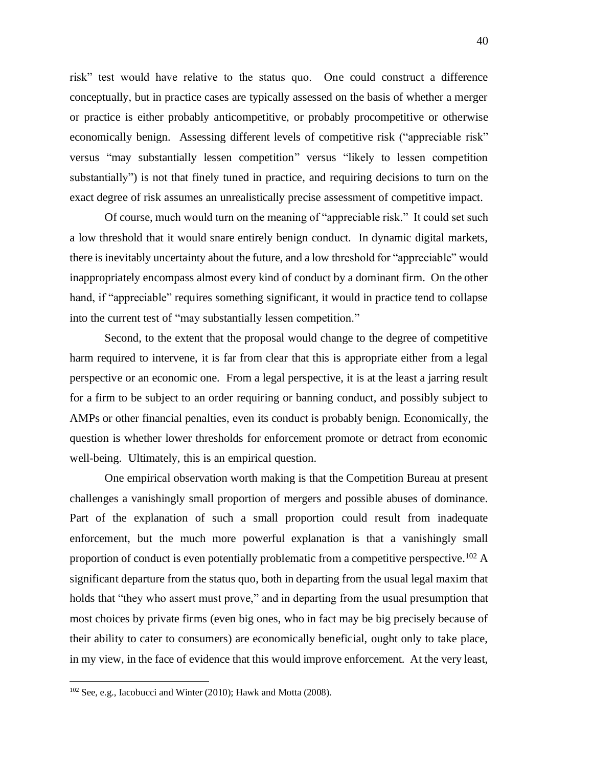risk" test would have relative to the status quo. One could construct a difference conceptually, but in practice cases are typically assessed on the basis of whether a merger or practice is either probably anticompetitive, or probably procompetitive or otherwise economically benign. Assessing different levels of competitive risk ("appreciable risk" versus "may substantially lessen competition" versus "likely to lessen competition substantially") is not that finely tuned in practice, and requiring decisions to turn on the exact degree of risk assumes an unrealistically precise assessment of competitive impact.

Of course, much would turn on the meaning of "appreciable risk." It could set such a low threshold that it would snare entirely benign conduct. In dynamic digital markets, there is inevitably uncertainty about the future, and a low threshold for "appreciable" would inappropriately encompass almost every kind of conduct by a dominant firm. On the other hand, if "appreciable" requires something significant, it would in practice tend to collapse into the current test of "may substantially lessen competition."

Second, to the extent that the proposal would change to the degree of competitive harm required to intervene, it is far from clear that this is appropriate either from a legal perspective or an economic one. From a legal perspective, it is at the least a jarring result for a firm to be subject to an order requiring or banning conduct, and possibly subject to AMPs or other financial penalties, even its conduct is probably benign. Economically, the question is whether lower thresholds for enforcement promote or detract from economic well-being. Ultimately, this is an empirical question.

One empirical observation worth making is that the Competition Bureau at present challenges a vanishingly small proportion of mergers and possible abuses of dominance. Part of the explanation of such a small proportion could result from inadequate enforcement, but the much more powerful explanation is that a vanishingly small proportion of conduct is even potentially problematic from a competitive perspective.<sup>102</sup> A significant departure from the status quo, both in departing from the usual legal maxim that holds that "they who assert must prove," and in departing from the usual presumption that most choices by private firms (even big ones, who in fact may be big precisely because of their ability to cater to consumers) are economically beneficial, ought only to take place, in my view, in the face of evidence that this would improve enforcement. At the very least,

 $102$  See, e.g., Iacobucci and Winter (2010); Hawk and Motta (2008).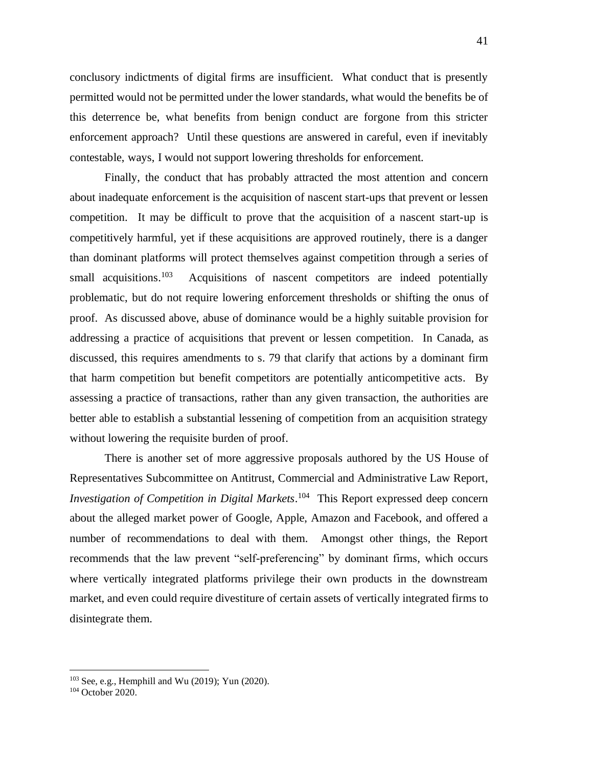conclusory indictments of digital firms are insufficient. What conduct that is presently permitted would not be permitted under the lower standards, what would the benefits be of this deterrence be, what benefits from benign conduct are forgone from this stricter enforcement approach? Until these questions are answered in careful, even if inevitably contestable, ways, I would not support lowering thresholds for enforcement.

Finally, the conduct that has probably attracted the most attention and concern about inadequate enforcement is the acquisition of nascent start-ups that prevent or lessen competition. It may be difficult to prove that the acquisition of a nascent start-up is competitively harmful, yet if these acquisitions are approved routinely, there is a danger than dominant platforms will protect themselves against competition through a series of small acquisitions.<sup>103</sup> Acquisitions of nascent competitors are indeed potentially problematic, but do not require lowering enforcement thresholds or shifting the onus of proof. As discussed above, abuse of dominance would be a highly suitable provision for addressing a practice of acquisitions that prevent or lessen competition. In Canada, as discussed, this requires amendments to s. 79 that clarify that actions by a dominant firm that harm competition but benefit competitors are potentially anticompetitive acts. By assessing a practice of transactions, rather than any given transaction, the authorities are better able to establish a substantial lessening of competition from an acquisition strategy without lowering the requisite burden of proof.

There is another set of more aggressive proposals authored by the US House of Representatives Subcommittee on Antitrust, Commercial and Administrative Law Report, *[Investigation of Competition in Digital Markets](https://int.nyt.com/data/documenttools/house-antitrust-report-on-big-tech/b2ec22cf340e1af1/full.pdf)*. 104 This Report expressed deep concern about the alleged market power of Google, Apple, Amazon and Facebook, and offered a number of recommendations to deal with them. Amongst other things, the Report recommends that the law prevent "self-preferencing" by dominant firms, which occurs where vertically integrated platforms privilege their own products in the downstream market, and even could require divestiture of certain assets of vertically integrated firms to disintegrate them.

 $103$  See, e.g., Hemphill and Wu (2019); Yun (2020).

<sup>&</sup>lt;sup>104</sup> October 2020.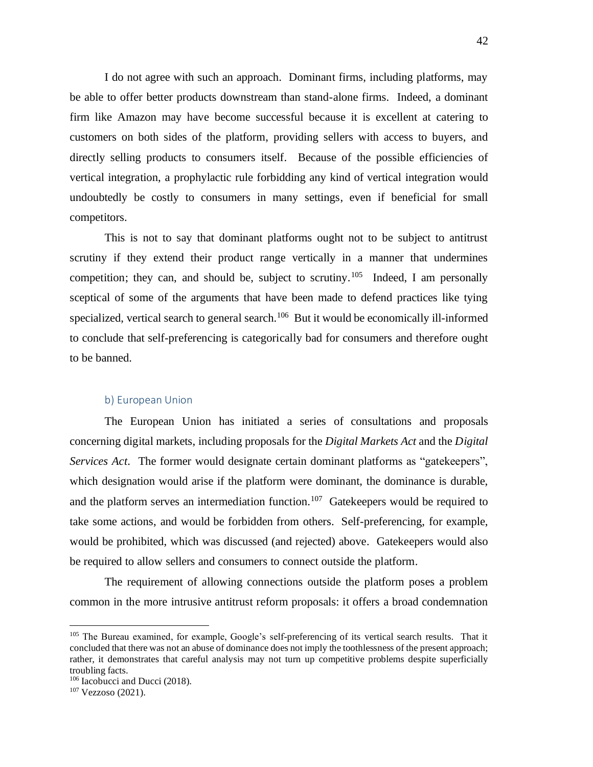I do not agree with such an approach. Dominant firms, including platforms, may be able to offer better products downstream than stand-alone firms. Indeed, a dominant firm like Amazon may have become successful because it is excellent at catering to customers on both sides of the platform, providing sellers with access to buyers, and directly selling products to consumers itself. Because of the possible efficiencies of vertical integration, a prophylactic rule forbidding any kind of vertical integration would undoubtedly be costly to consumers in many settings, even if beneficial for small competitors.

This is not to say that dominant platforms ought not to be subject to antitrust scrutiny if they extend their product range vertically in a manner that undermines competition; they can, and should be, subject to scrutiny.<sup>105</sup> Indeed, I am personally sceptical of some of the arguments that have been made to defend practices like tying specialized, vertical search to general search.<sup>106</sup> But it would be economically ill-informed to conclude that self-preferencing is categorically bad for consumers and therefore ought to be banned.

## b) European Union

The European Union has initiated a series of consultations and proposals concerning digital markets, including proposals for the *Digital Markets Act* and the *Digital Services Act*. The former would designate certain dominant platforms as "gatekeepers", which designation would arise if the platform were dominant, the dominance is durable, and the platform serves an intermediation function.<sup>107</sup> Gatekeepers would be required to take some actions, and would be forbidden from others. Self-preferencing, for example, would be prohibited, which was discussed (and rejected) above. Gatekeepers would also be required to allow sellers and consumers to connect outside the platform.

The requirement of allowing connections outside the platform poses a problem common in the more intrusive antitrust reform proposals: it offers a broad condemnation

<sup>&</sup>lt;sup>105</sup> The Bureau examined, for example, Google's self-preferencing of its vertical search results. That it concluded that there was not an abuse of dominance does not imply the toothlessness of the present approach; rather, it demonstrates that careful analysis may not turn up competitive problems despite superficially troubling facts.

<sup>&</sup>lt;sup>106</sup> Iacobucci and Ducci (2018).

<sup>&</sup>lt;sup>107</sup> Vezzoso (2021).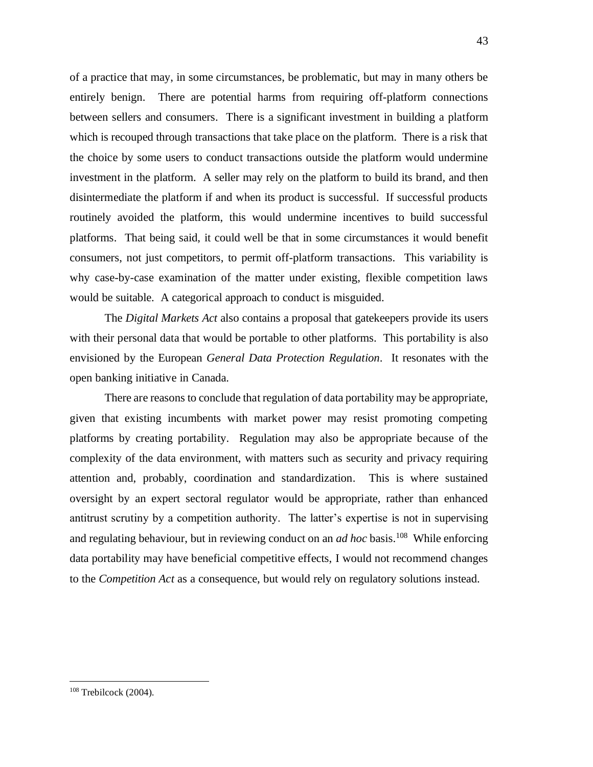of a practice that may, in some circumstances, be problematic, but may in many others be entirely benign. There are potential harms from requiring off-platform connections between sellers and consumers. There is a significant investment in building a platform which is recouped through transactions that take place on the platform. There is a risk that the choice by some users to conduct transactions outside the platform would undermine investment in the platform. A seller may rely on the platform to build its brand, and then disintermediate the platform if and when its product is successful. If successful products routinely avoided the platform, this would undermine incentives to build successful platforms. That being said, it could well be that in some circumstances it would benefit consumers, not just competitors, to permit off-platform transactions. This variability is why case-by-case examination of the matter under existing, flexible competition laws would be suitable. A categorical approach to conduct is misguided.

The *Digital Markets Act* also contains a proposal that gatekeepers provide its users with their personal data that would be portable to other platforms. This portability is also envisioned by the European *General Data Protection Regulation*. It resonates with the open banking initiative in Canada.

There are reasons to conclude that regulation of data portability may be appropriate, given that existing incumbents with market power may resist promoting competing platforms by creating portability. Regulation may also be appropriate because of the complexity of the data environment, with matters such as security and privacy requiring attention and, probably, coordination and standardization. This is where sustained oversight by an expert sectoral regulator would be appropriate, rather than enhanced antitrust scrutiny by a competition authority. The latter's expertise is not in supervising and regulating behaviour, but in reviewing conduct on an *ad hoc* basis.<sup>108</sup> While enforcing data portability may have beneficial competitive effects, I would not recommend changes to the *Competition Act* as a consequence, but would rely on regulatory solutions instead.

<sup>108</sup> Trebilcock (2004).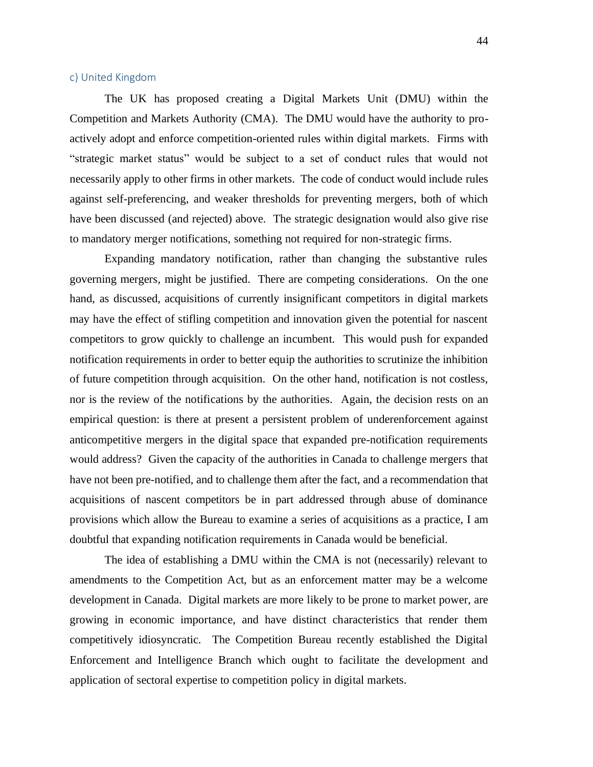## c) United Kingdom

The UK has proposed creating a Digital Markets Unit (DMU) within the Competition and Markets Authority (CMA). The DMU would have the authority to proactively adopt and enforce competition-oriented rules within digital markets. Firms with "strategic market status" would be subject to a set of conduct rules that would not necessarily apply to other firms in other markets. The code of conduct would include rules against self-preferencing, and weaker thresholds for preventing mergers, both of which have been discussed (and rejected) above. The strategic designation would also give rise to mandatory merger notifications, something not required for non-strategic firms.

Expanding mandatory notification, rather than changing the substantive rules governing mergers, might be justified. There are competing considerations. On the one hand, as discussed, acquisitions of currently insignificant competitors in digital markets may have the effect of stifling competition and innovation given the potential for nascent competitors to grow quickly to challenge an incumbent. This would push for expanded notification requirements in order to better equip the authorities to scrutinize the inhibition of future competition through acquisition. On the other hand, notification is not costless, nor is the review of the notifications by the authorities. Again, the decision rests on an empirical question: is there at present a persistent problem of underenforcement against anticompetitive mergers in the digital space that expanded pre-notification requirements would address? Given the capacity of the authorities in Canada to challenge mergers that have not been pre-notified, and to challenge them after the fact, and a recommendation that acquisitions of nascent competitors be in part addressed through abuse of dominance provisions which allow the Bureau to examine a series of acquisitions as a practice, I am doubtful that expanding notification requirements in Canada would be beneficial.

The idea of establishing a DMU within the CMA is not (necessarily) relevant to amendments to the Competition Act, but as an enforcement matter may be a welcome development in Canada. Digital markets are more likely to be prone to market power, are growing in economic importance, and have distinct characteristics that render them competitively idiosyncratic. The Competition Bureau recently established the Digital Enforcement and Intelligence Branch which ought to facilitate the development and application of sectoral expertise to competition policy in digital markets.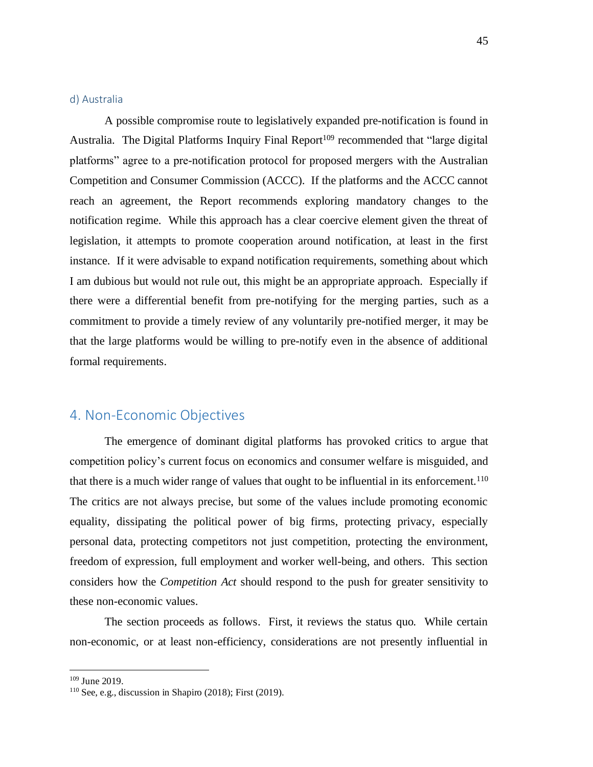#### d) Australia

A possible compromise route to legislatively expanded pre-notification is found in Australia. The Digital Platforms Inquiry Final Report<sup>109</sup> recommended that "large digital platforms" agree to a pre-notification protocol for proposed mergers with the Australian Competition and Consumer Commission (ACCC). If the platforms and the ACCC cannot reach an agreement, the Report recommends exploring mandatory changes to the notification regime. While this approach has a clear coercive element given the threat of legislation, it attempts to promote cooperation around notification, at least in the first instance. If it were advisable to expand notification requirements, something about which I am dubious but would not rule out, this might be an appropriate approach. Especially if there were a differential benefit from pre-notifying for the merging parties, such as a commitment to provide a timely review of any voluntarily pre-notified merger, it may be that the large platforms would be willing to pre-notify even in the absence of additional formal requirements.

# 4. Non-Economic Objectives

The emergence of dominant digital platforms has provoked critics to argue that competition policy's current focus on economics and consumer welfare is misguided, and that there is a much wider range of values that ought to be influential in its enforcement.<sup>110</sup> The critics are not always precise, but some of the values include promoting economic equality, dissipating the political power of big firms, protecting privacy, especially personal data, protecting competitors not just competition, protecting the environment, freedom of expression, full employment and worker well-being, and others. This section considers how the *Competition Act* should respond to the push for greater sensitivity to these non-economic values.

The section proceeds as follows. First, it reviews the status quo. While certain non-economic, or at least non-efficiency, considerations are not presently influential in

<sup>109</sup> June 2019.

<sup>110</sup> See, e.g., discussion in Shapiro (2018); First (2019).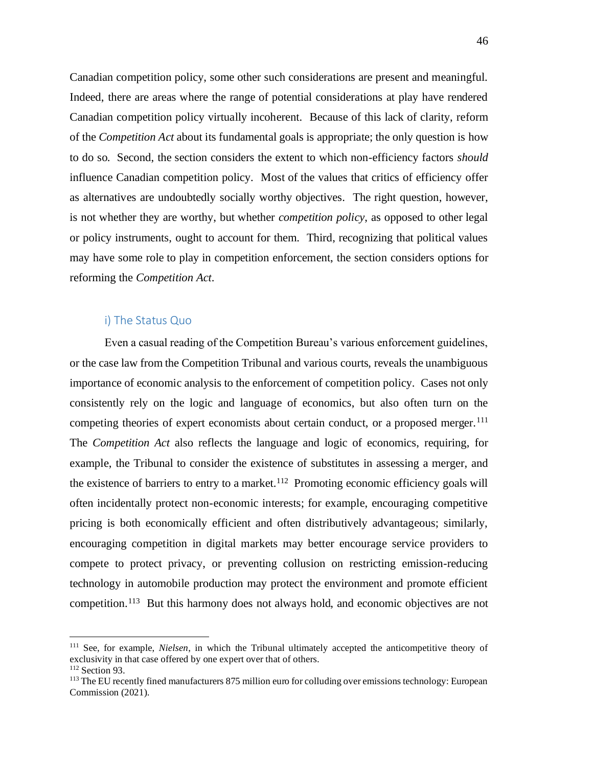Canadian competition policy, some other such considerations are present and meaningful. Indeed, there are areas where the range of potential considerations at play have rendered Canadian competition policy virtually incoherent. Because of this lack of clarity, reform of the *Competition Act* about its fundamental goals is appropriate; the only question is how to do so. Second, the section considers the extent to which non-efficiency factors *should* influence Canadian competition policy. Most of the values that critics of efficiency offer as alternatives are undoubtedly socially worthy objectives. The right question, however, is not whether they are worthy, but whether *competition policy*, as opposed to other legal or policy instruments, ought to account for them. Third, recognizing that political values may have some role to play in competition enforcement, the section considers options for reforming the *Competition Act*.

# i) The Status Quo

Even a casual reading of the Competition Bureau's various enforcement guidelines, or the case law from the Competition Tribunal and various courts, reveals the unambiguous importance of economic analysis to the enforcement of competition policy. Cases not only consistently rely on the logic and language of economics, but also often turn on the competing theories of expert economists about certain conduct, or a proposed merger.<sup>111</sup> The *Competition Act* also reflects the language and logic of economics, requiring, for example, the Tribunal to consider the existence of substitutes in assessing a merger, and the existence of barriers to entry to a market.<sup>112</sup> Promoting economic efficiency goals will often incidentally protect non-economic interests; for example, encouraging competitive pricing is both economically efficient and often distributively advantageous; similarly, encouraging competition in digital markets may better encourage service providers to compete to protect privacy, or preventing collusion on restricting emission-reducing technology in automobile production may protect the environment and promote efficient competition.<sup>113</sup> But this harmony does not always hold, and economic objectives are not

<sup>111</sup> See, for example, *Nielsen*, in which the Tribunal ultimately accepted the anticompetitive theory of exclusivity in that case offered by one expert over that of others.  $112$  Section 93.

<sup>&</sup>lt;sup>113</sup> The EU recently fined manufacturers 875 million euro for colluding over emissions technology: European Commission (2021).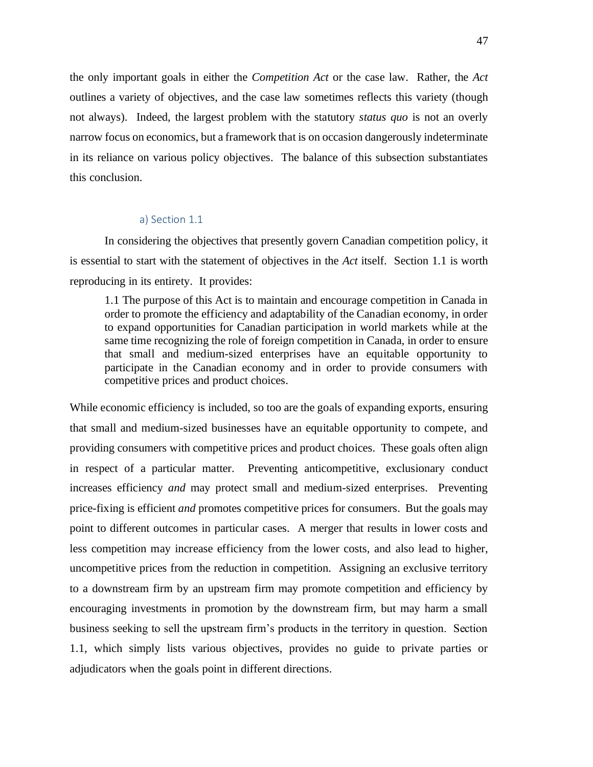the only important goals in either the *Competition Act* or the case law. Rather, the *Act* outlines a variety of objectives, and the case law sometimes reflects this variety (though not always). Indeed, the largest problem with the statutory *status quo* is not an overly narrow focus on economics, but a framework that is on occasion dangerously indeterminate in its reliance on various policy objectives. The balance of this subsection substantiates this conclusion.

#### a) Section 1.1

In considering the objectives that presently govern Canadian competition policy, it is essential to start with the statement of objectives in the *Act* itself. Section 1.1 is worth reproducing in its entirety. It provides:

1.1 The purpose of this Act is to maintain and encourage competition in Canada in order to promote the efficiency and adaptability of the Canadian economy, in order to expand opportunities for Canadian participation in world markets while at the same time recognizing the role of foreign competition in Canada, in order to ensure that small and medium-sized enterprises have an equitable opportunity to participate in the Canadian economy and in order to provide consumers with competitive prices and product choices.

While economic efficiency is included, so too are the goals of expanding exports, ensuring that small and medium-sized businesses have an equitable opportunity to compete, and providing consumers with competitive prices and product choices. These goals often align in respect of a particular matter. Preventing anticompetitive, exclusionary conduct increases efficiency *and* may protect small and medium-sized enterprises. Preventing price-fixing is efficient *and* promotes competitive prices for consumers. But the goals may point to different outcomes in particular cases. A merger that results in lower costs and less competition may increase efficiency from the lower costs, and also lead to higher, uncompetitive prices from the reduction in competition. Assigning an exclusive territory to a downstream firm by an upstream firm may promote competition and efficiency by encouraging investments in promotion by the downstream firm, but may harm a small business seeking to sell the upstream firm's products in the territory in question. Section 1.1, which simply lists various objectives, provides no guide to private parties or adjudicators when the goals point in different directions.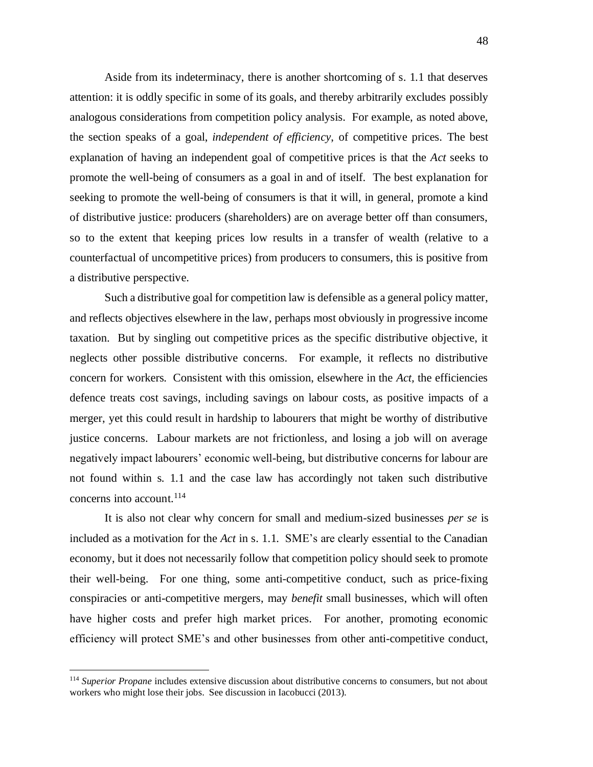Aside from its indeterminacy, there is another shortcoming of s. 1.1 that deserves attention: it is oddly specific in some of its goals, and thereby arbitrarily excludes possibly analogous considerations from competition policy analysis. For example, as noted above, the section speaks of a goal, *independent of efficiency*, of competitive prices. The best explanation of having an independent goal of competitive prices is that the *Act* seeks to promote the well-being of consumers as a goal in and of itself. The best explanation for seeking to promote the well-being of consumers is that it will, in general, promote a kind of distributive justice: producers (shareholders) are on average better off than consumers, so to the extent that keeping prices low results in a transfer of wealth (relative to a counterfactual of uncompetitive prices) from producers to consumers, this is positive from a distributive perspective.

Such a distributive goal for competition law is defensible as a general policy matter, and reflects objectives elsewhere in the law, perhaps most obviously in progressive income taxation. But by singling out competitive prices as the specific distributive objective, it neglects other possible distributive concerns. For example, it reflects no distributive concern for workers. Consistent with this omission, elsewhere in the *Act,* the efficiencies defence treats cost savings, including savings on labour costs, as positive impacts of a merger, yet this could result in hardship to labourers that might be worthy of distributive justice concerns. Labour markets are not frictionless, and losing a job will on average negatively impact labourers' economic well-being, but distributive concerns for labour are not found within s. 1.1 and the case law has accordingly not taken such distributive concerns into account.<sup>114</sup>

It is also not clear why concern for small and medium-sized businesses *per se* is included as a motivation for the *Act* in s. 1.1. SME's are clearly essential to the Canadian economy, but it does not necessarily follow that competition policy should seek to promote their well-being. For one thing, some anti-competitive conduct, such as price-fixing conspiracies or anti-competitive mergers, may *benefit* small businesses, which will often have higher costs and prefer high market prices. For another, promoting economic efficiency will protect SME's and other businesses from other anti-competitive conduct,

<sup>114</sup> *Superior Propane* includes extensive discussion about distributive concerns to consumers, but not about workers who might lose their jobs. See discussion in Iacobucci (2013).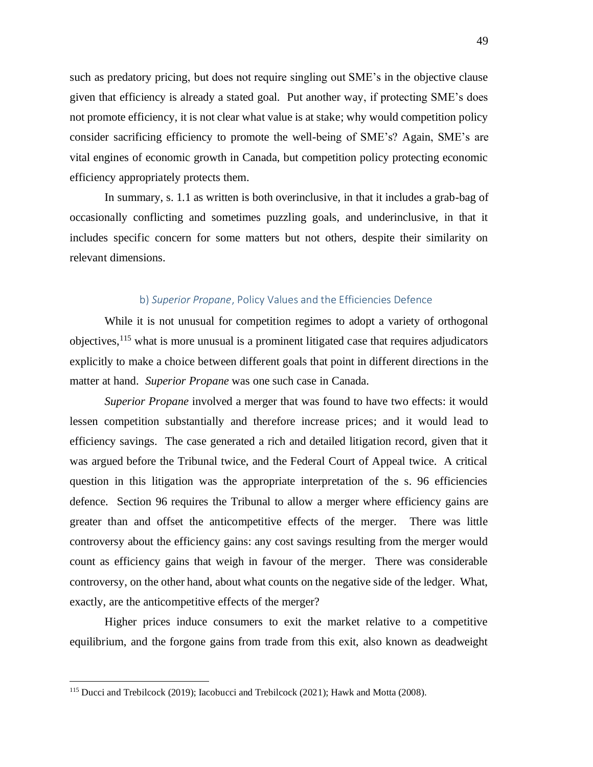such as predatory pricing, but does not require singling out SME's in the objective clause given that efficiency is already a stated goal. Put another way, if protecting SME's does not promote efficiency, it is not clear what value is at stake; why would competition policy consider sacrificing efficiency to promote the well-being of SME's? Again, SME's are vital engines of economic growth in Canada, but competition policy protecting economic efficiency appropriately protects them.

In summary, s. 1.1 as written is both overinclusive, in that it includes a grab-bag of occasionally conflicting and sometimes puzzling goals, and underinclusive, in that it includes specific concern for some matters but not others, despite their similarity on relevant dimensions.

#### b) *Superior Propane*, Policy Values and the Efficiencies Defence

While it is not unusual for competition regimes to adopt a variety of orthogonal objectives,  $115$  what is more unusual is a prominent litigated case that requires adjudicators explicitly to make a choice between different goals that point in different directions in the matter at hand. *Superior Propane* was one such case in Canada.

*Superior Propane* involved a merger that was found to have two effects: it would lessen competition substantially and therefore increase prices; and it would lead to efficiency savings. The case generated a rich and detailed litigation record, given that it was argued before the Tribunal twice, and the Federal Court of Appeal twice. A critical question in this litigation was the appropriate interpretation of the s. 96 efficiencies defence. Section 96 requires the Tribunal to allow a merger where efficiency gains are greater than and offset the anticompetitive effects of the merger. There was little controversy about the efficiency gains: any cost savings resulting from the merger would count as efficiency gains that weigh in favour of the merger. There was considerable controversy, on the other hand, about what counts on the negative side of the ledger. What, exactly, are the anticompetitive effects of the merger?

Higher prices induce consumers to exit the market relative to a competitive equilibrium, and the forgone gains from trade from this exit, also known as deadweight

<sup>&</sup>lt;sup>115</sup> Ducci and Trebilcock (2019); Iacobucci and Trebilcock (2021); Hawk and Motta (2008).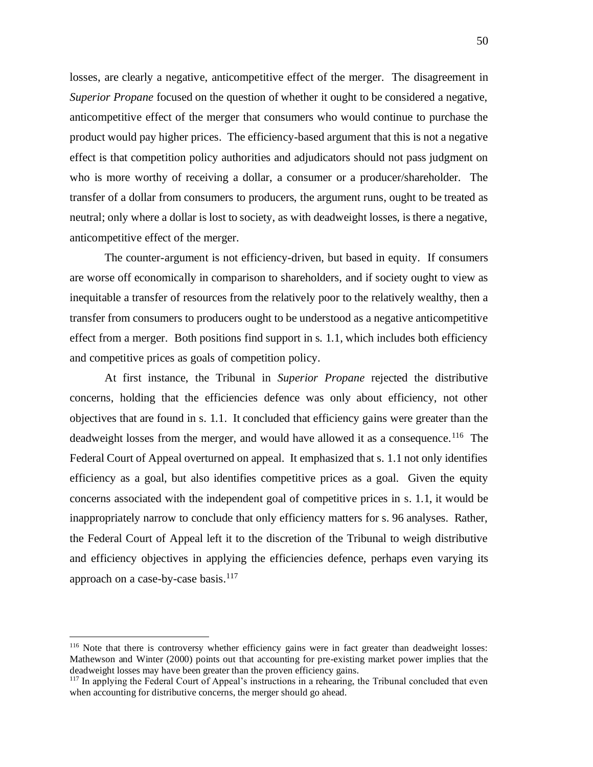losses, are clearly a negative, anticompetitive effect of the merger. The disagreement in *Superior Propane* focused on the question of whether it ought to be considered a negative, anticompetitive effect of the merger that consumers who would continue to purchase the product would pay higher prices. The efficiency-based argument that this is not a negative effect is that competition policy authorities and adjudicators should not pass judgment on who is more worthy of receiving a dollar, a consumer or a producer/shareholder. The transfer of a dollar from consumers to producers, the argument runs, ought to be treated as neutral; only where a dollar is lost to society, as with deadweight losses, is there a negative, anticompetitive effect of the merger.

The counter-argument is not efficiency-driven, but based in equity. If consumers are worse off economically in comparison to shareholders, and if society ought to view as inequitable a transfer of resources from the relatively poor to the relatively wealthy, then a transfer from consumers to producers ought to be understood as a negative anticompetitive effect from a merger. Both positions find support in s. 1.1, which includes both efficiency and competitive prices as goals of competition policy.

At first instance, the Tribunal in *Superior Propane* rejected the distributive concerns, holding that the efficiencies defence was only about efficiency, not other objectives that are found in s. 1.1. It concluded that efficiency gains were greater than the deadweight losses from the merger, and would have allowed it as a consequence.<sup>116</sup> The Federal Court of Appeal overturned on appeal. It emphasized that s. 1.1 not only identifies efficiency as a goal, but also identifies competitive prices as a goal. Given the equity concerns associated with the independent goal of competitive prices in s. 1.1, it would be inappropriately narrow to conclude that only efficiency matters for s. 96 analyses. Rather, the Federal Court of Appeal left it to the discretion of the Tribunal to weigh distributive and efficiency objectives in applying the efficiencies defence, perhaps even varying its approach on a case-by-case basis. $117$ 

<sup>&</sup>lt;sup>116</sup> Note that there is controversy whether efficiency gains were in fact greater than deadweight losses: Mathewson and Winter (2000) points out that accounting for pre-existing market power implies that the deadweight losses may have been greater than the proven efficiency gains.

<sup>&</sup>lt;sup>117</sup> In applying the Federal Court of Appeal's instructions in a rehearing, the Tribunal concluded that even when accounting for distributive concerns, the merger should go ahead.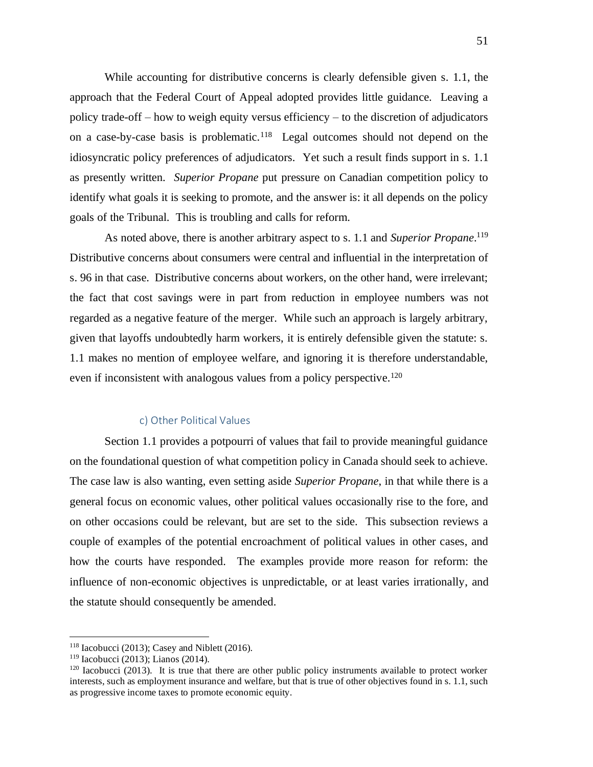While accounting for distributive concerns is clearly defensible given s. 1.1, the approach that the Federal Court of Appeal adopted provides little guidance. Leaving a policy trade-off – how to weigh equity versus efficiency – to the discretion of adjudicators on a case-by-case basis is problematic. 118 Legal outcomes should not depend on the idiosyncratic policy preferences of adjudicators. Yet such a result finds support in s. 1.1 as presently written. *Superior Propane* put pressure on Canadian competition policy to identify what goals it is seeking to promote, and the answer is: it all depends on the policy goals of the Tribunal. This is troubling and calls for reform.

As noted above, there is another arbitrary aspect to s. 1.1 and *Superior Propane*.<sup>119</sup> Distributive concerns about consumers were central and influential in the interpretation of s. 96 in that case. Distributive concerns about workers, on the other hand, were irrelevant; the fact that cost savings were in part from reduction in employee numbers was not regarded as a negative feature of the merger. While such an approach is largely arbitrary, given that layoffs undoubtedly harm workers, it is entirely defensible given the statute: s. 1.1 makes no mention of employee welfare, and ignoring it is therefore understandable, even if inconsistent with analogous values from a policy perspective.<sup>120</sup>

## c) Other Political Values

Section 1.1 provides a potpourri of values that fail to provide meaningful guidance on the foundational question of what competition policy in Canada should seek to achieve. The case law is also wanting, even setting aside *Superior Propane*, in that while there is a general focus on economic values, other political values occasionally rise to the fore, and on other occasions could be relevant, but are set to the side. This subsection reviews a couple of examples of the potential encroachment of political values in other cases, and how the courts have responded. The examples provide more reason for reform: the influence of non-economic objectives is unpredictable, or at least varies irrationally, and the statute should consequently be amended.

 $118$  Iacobucci (2013); Casey and Niblett (2016).

<sup>119</sup> Iacobucci (2013); Lianos (2014).

 $120$  Iacobucci (2013). It is true that there are other public policy instruments available to protect worker interests, such as employment insurance and welfare, but that is true of other objectives found in s. 1.1, such as progressive income taxes to promote economic equity.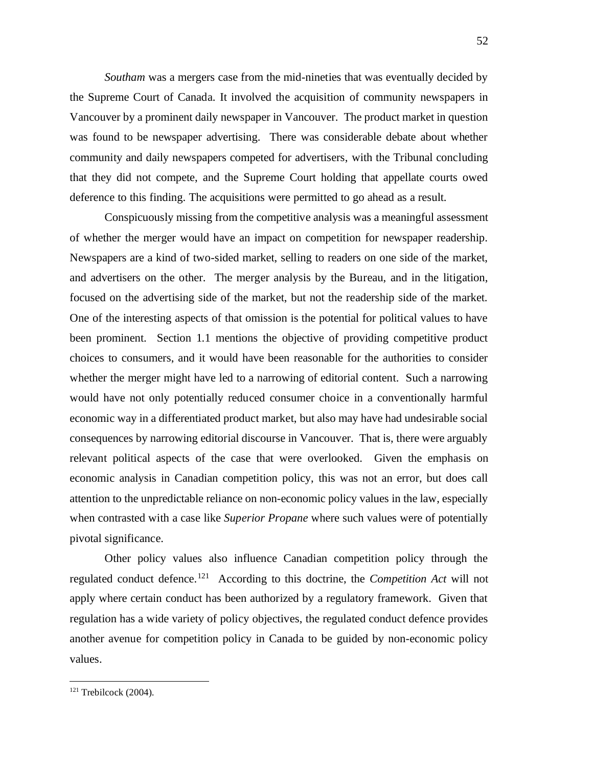*Southam* was a mergers case from the mid-nineties that was eventually decided by the Supreme Court of Canada. It involved the acquisition of community newspapers in Vancouver by a prominent daily newspaper in Vancouver. The product market in question was found to be newspaper advertising. There was considerable debate about whether community and daily newspapers competed for advertisers, with the Tribunal concluding that they did not compete, and the Supreme Court holding that appellate courts owed deference to this finding. The acquisitions were permitted to go ahead as a result.

Conspicuously missing from the competitive analysis was a meaningful assessment of whether the merger would have an impact on competition for newspaper readership. Newspapers are a kind of two-sided market, selling to readers on one side of the market, and advertisers on the other. The merger analysis by the Bureau, and in the litigation, focused on the advertising side of the market, but not the readership side of the market. One of the interesting aspects of that omission is the potential for political values to have been prominent. Section 1.1 mentions the objective of providing competitive product choices to consumers, and it would have been reasonable for the authorities to consider whether the merger might have led to a narrowing of editorial content. Such a narrowing would have not only potentially reduced consumer choice in a conventionally harmful economic way in a differentiated product market, but also may have had undesirable social consequences by narrowing editorial discourse in Vancouver. That is, there were arguably relevant political aspects of the case that were overlooked. Given the emphasis on economic analysis in Canadian competition policy, this was not an error, but does call attention to the unpredictable reliance on non-economic policy values in the law, especially when contrasted with a case like *Superior Propane* where such values were of potentially pivotal significance.

Other policy values also influence Canadian competition policy through the regulated conduct defence.<sup>121</sup> According to this doctrine, the *Competition Act* will not apply where certain conduct has been authorized by a regulatory framework. Given that regulation has a wide variety of policy objectives, the regulated conduct defence provides another avenue for competition policy in Canada to be guided by non-economic policy values.

 $121$  Trebilcock (2004).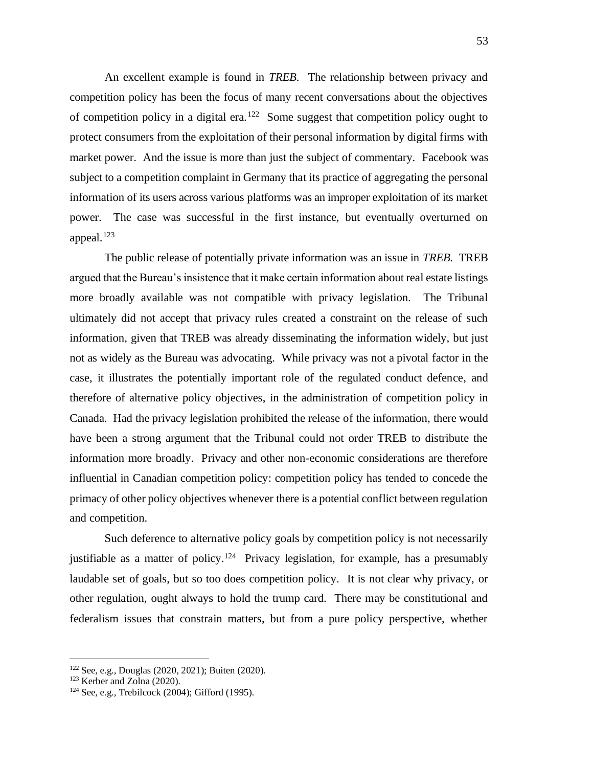An excellent example is found in *TREB*. The relationship between privacy and competition policy has been the focus of many recent conversations about the objectives of competition policy in a digital era.<sup>122</sup> Some suggest that competition policy ought to protect consumers from the exploitation of their personal information by digital firms with market power. And the issue is more than just the subject of commentary. Facebook was subject to a competition complaint in Germany that its practice of aggregating the personal information of its users across various platforms was an improper exploitation of its market power. The case was successful in the first instance, but eventually overturned on appeal. $123$ 

The public release of potentially private information was an issue in *TREB.* TREB argued that the Bureau's insistence that it make certain information about real estate listings more broadly available was not compatible with privacy legislation. The Tribunal ultimately did not accept that privacy rules created a constraint on the release of such information, given that TREB was already disseminating the information widely, but just not as widely as the Bureau was advocating. While privacy was not a pivotal factor in the case, it illustrates the potentially important role of the regulated conduct defence, and therefore of alternative policy objectives, in the administration of competition policy in Canada. Had the privacy legislation prohibited the release of the information, there would have been a strong argument that the Tribunal could not order TREB to distribute the information more broadly. Privacy and other non-economic considerations are therefore influential in Canadian competition policy: competition policy has tended to concede the primacy of other policy objectives whenever there is a potential conflict between regulation and competition.

Such deference to alternative policy goals by competition policy is not necessarily justifiable as a matter of policy.<sup>124</sup> Privacy legislation, for example, has a presumably laudable set of goals, but so too does competition policy. It is not clear why privacy, or other regulation, ought always to hold the trump card. There may be constitutional and federalism issues that constrain matters, but from a pure policy perspective, whether

<sup>122</sup> See, e.g., Douglas (2020, 2021); Buiten (2020).

<sup>123</sup> Kerber and Zolna (2020).

 $124$  See, e.g., Trebilcock (2004); Gifford (1995).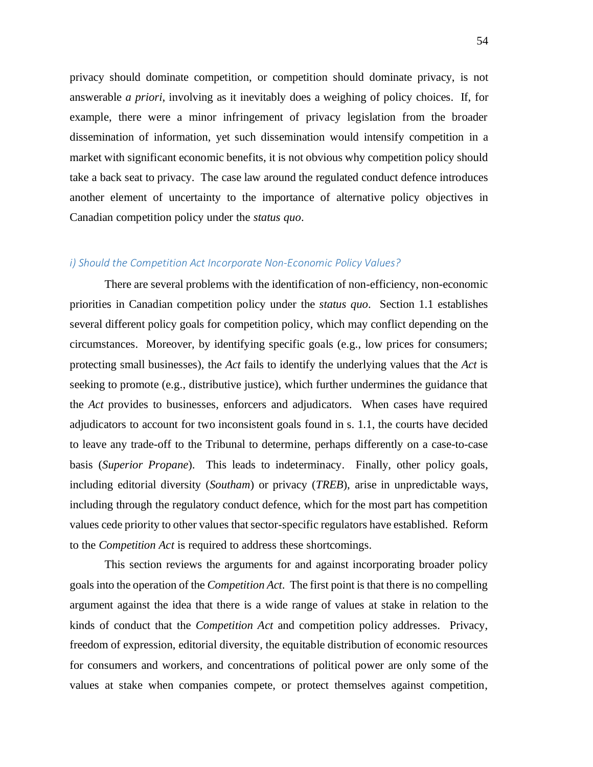privacy should dominate competition, or competition should dominate privacy, is not answerable *a priori*, involving as it inevitably does a weighing of policy choices. If, for example, there were a minor infringement of privacy legislation from the broader dissemination of information, yet such dissemination would intensify competition in a market with significant economic benefits, it is not obvious why competition policy should take a back seat to privacy. The case law around the regulated conduct defence introduces another element of uncertainty to the importance of alternative policy objectives in Canadian competition policy under the *status quo*.

## *i) Should the Competition Act Incorporate Non-Economic Policy Values?*

There are several problems with the identification of non-efficiency, non-economic priorities in Canadian competition policy under the *status quo*. Section 1.1 establishes several different policy goals for competition policy, which may conflict depending on the circumstances. Moreover, by identifying specific goals (e.g., low prices for consumers; protecting small businesses), the *Act* fails to identify the underlying values that the *Act* is seeking to promote (e.g., distributive justice), which further undermines the guidance that the *Act* provides to businesses, enforcers and adjudicators. When cases have required adjudicators to account for two inconsistent goals found in s. 1.1, the courts have decided to leave any trade-off to the Tribunal to determine, perhaps differently on a case-to-case basis (*Superior Propane*). This leads to indeterminacy. Finally, other policy goals, including editorial diversity (*Southam*) or privacy (*TREB*), arise in unpredictable ways, including through the regulatory conduct defence, which for the most part has competition values cede priority to other values that sector-specific regulators have established. Reform to the *Competition Act* is required to address these shortcomings.

This section reviews the arguments for and against incorporating broader policy goals into the operation of the *Competition Act*. The first point is that there is no compelling argument against the idea that there is a wide range of values at stake in relation to the kinds of conduct that the *Competition Act* and competition policy addresses. Privacy, freedom of expression, editorial diversity, the equitable distribution of economic resources for consumers and workers, and concentrations of political power are only some of the values at stake when companies compete, or protect themselves against competition,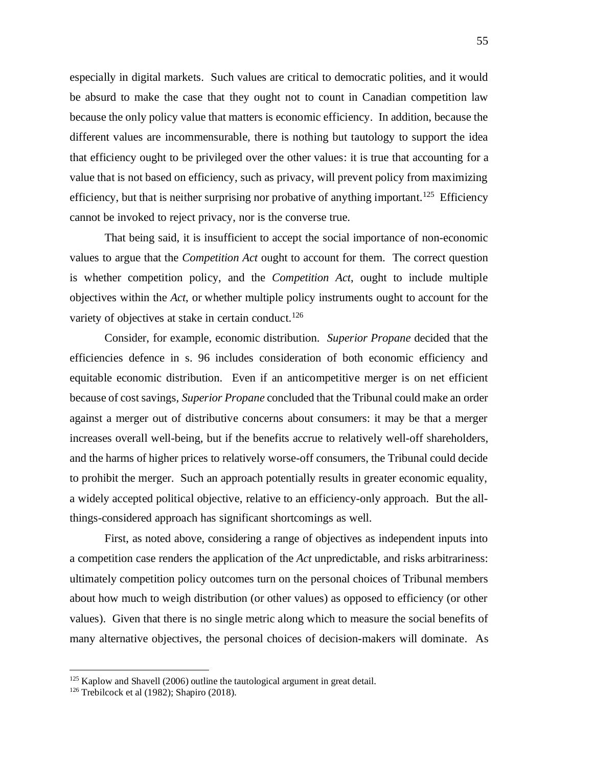especially in digital markets. Such values are critical to democratic polities, and it would be absurd to make the case that they ought not to count in Canadian competition law because the only policy value that matters is economic efficiency. In addition, because the different values are incommensurable, there is nothing but tautology to support the idea that efficiency ought to be privileged over the other values: it is true that accounting for a value that is not based on efficiency, such as privacy, will prevent policy from maximizing efficiency, but that is neither surprising nor probative of anything important.<sup>125</sup> Efficiency cannot be invoked to reject privacy, nor is the converse true.

That being said, it is insufficient to accept the social importance of non-economic values to argue that the *Competition Act* ought to account for them. The correct question is whether competition policy, and the *Competition Act*, ought to include multiple objectives within the *Act*, or whether multiple policy instruments ought to account for the variety of objectives at stake in certain conduct.<sup>126</sup>

Consider, for example, economic distribution. *Superior Propane* decided that the efficiencies defence in s. 96 includes consideration of both economic efficiency and equitable economic distribution. Even if an anticompetitive merger is on net efficient because of cost savings, *Superior Propane* concluded that the Tribunal could make an order against a merger out of distributive concerns about consumers: it may be that a merger increases overall well-being, but if the benefits accrue to relatively well-off shareholders, and the harms of higher prices to relatively worse-off consumers, the Tribunal could decide to prohibit the merger. Such an approach potentially results in greater economic equality, a widely accepted political objective, relative to an efficiency-only approach. But the allthings-considered approach has significant shortcomings as well.

First, as noted above, considering a range of objectives as independent inputs into a competition case renders the application of the *Act* unpredictable, and risks arbitrariness: ultimately competition policy outcomes turn on the personal choices of Tribunal members about how much to weigh distribution (or other values) as opposed to efficiency (or other values). Given that there is no single metric along which to measure the social benefits of many alternative objectives, the personal choices of decision-makers will dominate. As

 $125$  Kaplow and Shavell (2006) outline the tautological argument in great detail.

<sup>&</sup>lt;sup>126</sup> Trebilcock et al (1982); Shapiro (2018).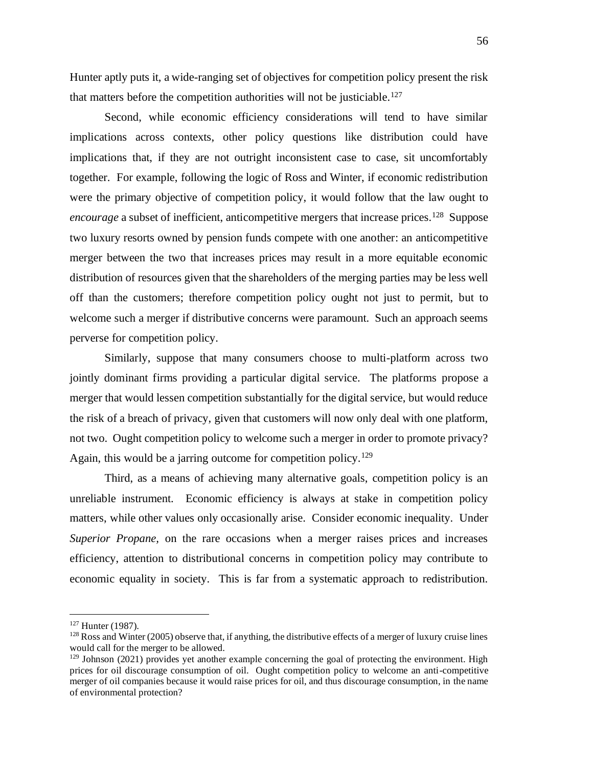Hunter aptly puts it, a wide-ranging set of objectives for competition policy present the risk that matters before the competition authorities will not be justiciable.<sup>127</sup>

Second, while economic efficiency considerations will tend to have similar implications across contexts, other policy questions like distribution could have implications that, if they are not outright inconsistent case to case, sit uncomfortably together. For example, following the logic of Ross and Winter, if economic redistribution were the primary objective of competition policy, it would follow that the law ought to encourage a subset of inefficient, anticompetitive mergers that increase prices.<sup>128</sup> Suppose two luxury resorts owned by pension funds compete with one another: an anticompetitive merger between the two that increases prices may result in a more equitable economic distribution of resources given that the shareholders of the merging parties may be less well off than the customers; therefore competition policy ought not just to permit, but to welcome such a merger if distributive concerns were paramount. Such an approach seems perverse for competition policy.

Similarly, suppose that many consumers choose to multi-platform across two jointly dominant firms providing a particular digital service. The platforms propose a merger that would lessen competition substantially for the digital service, but would reduce the risk of a breach of privacy, given that customers will now only deal with one platform, not two. Ought competition policy to welcome such a merger in order to promote privacy? Again, this would be a jarring outcome for competition policy.<sup>129</sup>

Third, as a means of achieving many alternative goals, competition policy is an unreliable instrument. Economic efficiency is always at stake in competition policy matters, while other values only occasionally arise. Consider economic inequality. Under *Superior Propane,* on the rare occasions when a merger raises prices and increases efficiency, attention to distributional concerns in competition policy may contribute to economic equality in society. This is far from a systematic approach to redistribution.

<sup>&</sup>lt;sup>127</sup> Hunter (1987).

 $128$  Ross and Winter (2005) observe that, if anything, the distributive effects of a merger of luxury cruise lines would call for the merger to be allowed.

 $129$  Johnson (2021) provides yet another example concerning the goal of protecting the environment. High prices for oil discourage consumption of oil. Ought competition policy to welcome an anti-competitive merger of oil companies because it would raise prices for oil, and thus discourage consumption, in the name of environmental protection?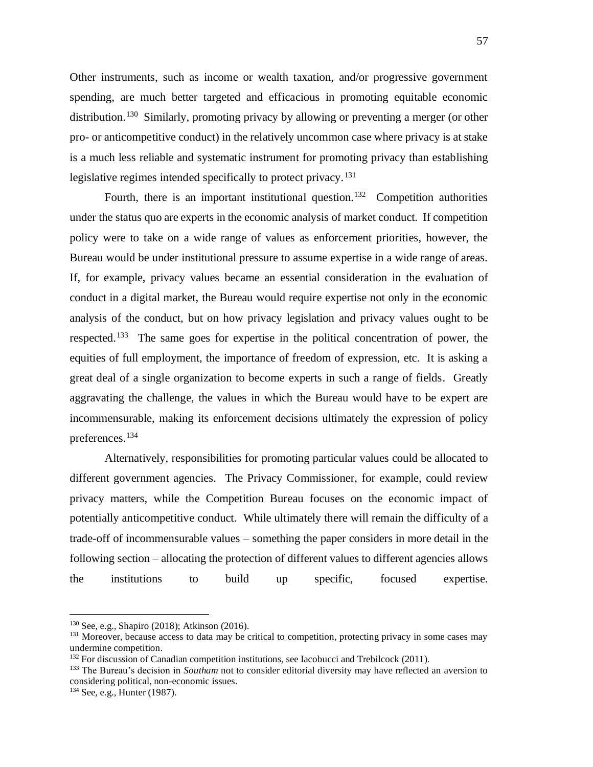Other instruments, such as income or wealth taxation, and/or progressive government spending, are much better targeted and efficacious in promoting equitable economic distribution.<sup>130</sup> Similarly, promoting privacy by allowing or preventing a merger (or other pro- or anticompetitive conduct) in the relatively uncommon case where privacy is at stake is a much less reliable and systematic instrument for promoting privacy than establishing legislative regimes intended specifically to protect privacy.<sup>131</sup>

Fourth, there is an important institutional question.<sup>132</sup> Competition authorities under the status quo are experts in the economic analysis of market conduct. If competition policy were to take on a wide range of values as enforcement priorities, however, the Bureau would be under institutional pressure to assume expertise in a wide range of areas. If, for example, privacy values became an essential consideration in the evaluation of conduct in a digital market, the Bureau would require expertise not only in the economic analysis of the conduct, but on how privacy legislation and privacy values ought to be respected.<sup>133</sup> The same goes for expertise in the political concentration of power, the equities of full employment, the importance of freedom of expression, etc. It is asking a great deal of a single organization to become experts in such a range of fields. Greatly aggravating the challenge, the values in which the Bureau would have to be expert are incommensurable, making its enforcement decisions ultimately the expression of policy preferences.<sup>134</sup>

Alternatively, responsibilities for promoting particular values could be allocated to different government agencies. The Privacy Commissioner, for example, could review privacy matters, while the Competition Bureau focuses on the economic impact of potentially anticompetitive conduct. While ultimately there will remain the difficulty of a trade-off of incommensurable values – something the paper considers in more detail in the following section – allocating the protection of different values to different agencies allows the institutions to build up specific, focused expertise.

<sup>130</sup> See, e.g., Shapiro (2018); Atkinson (2016).

<sup>&</sup>lt;sup>131</sup> Moreover, because access to data may be critical to competition, protecting privacy in some cases may undermine competition.

<sup>&</sup>lt;sup>132</sup> For discussion of Canadian competition institutions, see Iacobucci and Trebilcock (2011).

<sup>133</sup> The Bureau's decision in *Southam* not to consider editorial diversity may have reflected an aversion to considering political, non-economic issues.

<sup>134</sup> See, e.g., Hunter (1987).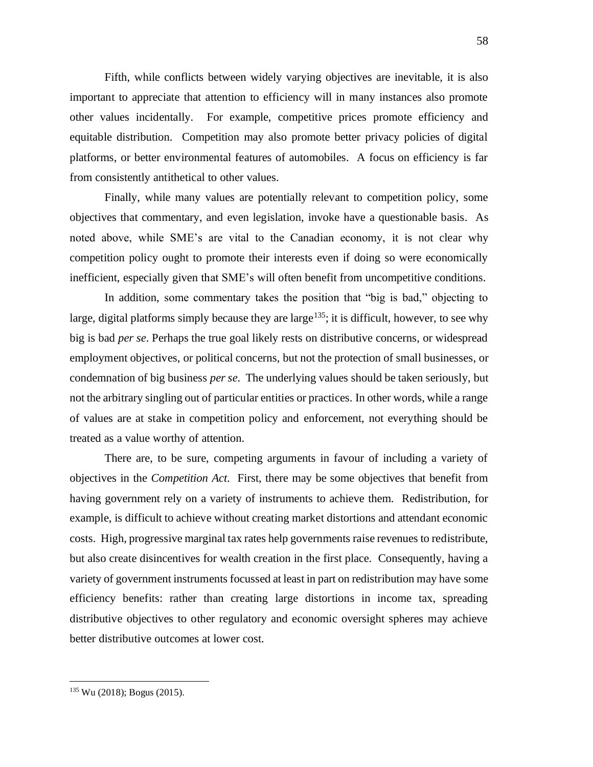Fifth, while conflicts between widely varying objectives are inevitable, it is also important to appreciate that attention to efficiency will in many instances also promote other values incidentally. For example, competitive prices promote efficiency and equitable distribution. Competition may also promote better privacy policies of digital platforms, or better environmental features of automobiles. A focus on efficiency is far from consistently antithetical to other values.

Finally, while many values are potentially relevant to competition policy, some objectives that commentary, and even legislation, invoke have a questionable basis. As noted above, while SME's are vital to the Canadian economy, it is not clear why competition policy ought to promote their interests even if doing so were economically inefficient, especially given that SME's will often benefit from uncompetitive conditions.

In addition, some commentary takes the position that "big is bad," objecting to large, digital platforms simply because they are large<sup>135</sup>; it is difficult, however, to see why big is bad *per se*. Perhaps the true goal likely rests on distributive concerns, or widespread employment objectives, or political concerns, but not the protection of small businesses, or condemnation of big business *per se*. The underlying values should be taken seriously, but not the arbitrary singling out of particular entities or practices. In other words, while a range of values are at stake in competition policy and enforcement, not everything should be treated as a value worthy of attention.

There are, to be sure, competing arguments in favour of including a variety of objectives in the *Competition Act*. First, there may be some objectives that benefit from having government rely on a variety of instruments to achieve them. Redistribution, for example, is difficult to achieve without creating market distortions and attendant economic costs. High, progressive marginal tax rates help governments raise revenues to redistribute, but also create disincentives for wealth creation in the first place. Consequently, having a variety of government instruments focussed at least in part on redistribution may have some efficiency benefits: rather than creating large distortions in income tax, spreading distributive objectives to other regulatory and economic oversight spheres may achieve better distributive outcomes at lower cost.

<sup>135</sup> Wu (2018); Bogus (2015).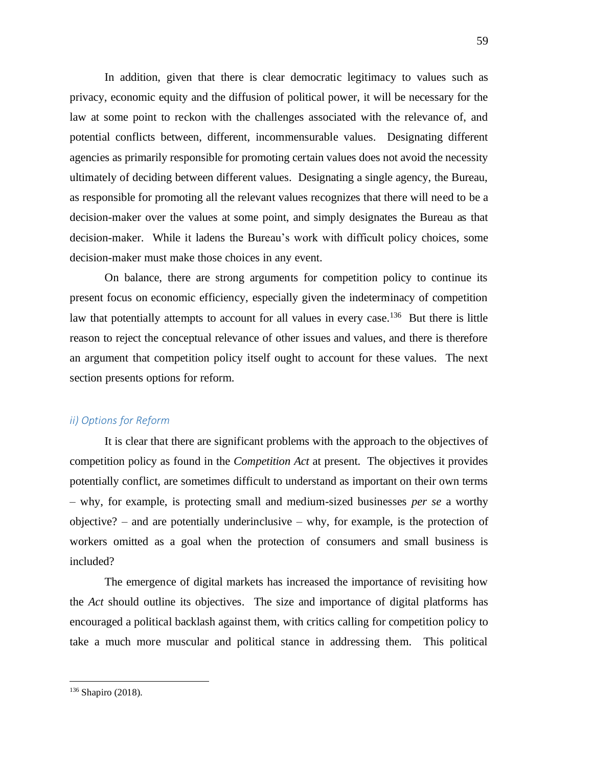In addition, given that there is clear democratic legitimacy to values such as privacy, economic equity and the diffusion of political power, it will be necessary for the law at some point to reckon with the challenges associated with the relevance of, and potential conflicts between, different, incommensurable values. Designating different agencies as primarily responsible for promoting certain values does not avoid the necessity ultimately of deciding between different values. Designating a single agency, the Bureau, as responsible for promoting all the relevant values recognizes that there will need to be a decision-maker over the values at some point, and simply designates the Bureau as that decision-maker. While it ladens the Bureau's work with difficult policy choices, some decision-maker must make those choices in any event.

On balance, there are strong arguments for competition policy to continue its present focus on economic efficiency, especially given the indeterminacy of competition law that potentially attempts to account for all values in every case.<sup>136</sup> But there is little reason to reject the conceptual relevance of other issues and values, and there is therefore an argument that competition policy itself ought to account for these values. The next section presents options for reform.

## *ii) Options for Reform*

It is clear that there are significant problems with the approach to the objectives of competition policy as found in the *Competition Act* at present. The objectives it provides potentially conflict, are sometimes difficult to understand as important on their own terms – why, for example, is protecting small and medium-sized businesses *per se* a worthy objective? – and are potentially underinclusive – why, for example, is the protection of workers omitted as a goal when the protection of consumers and small business is included?

The emergence of digital markets has increased the importance of revisiting how the *Act* should outline its objectives. The size and importance of digital platforms has encouraged a political backlash against them, with critics calling for competition policy to take a much more muscular and political stance in addressing them. This political

<sup>&</sup>lt;sup>136</sup> Shapiro (2018).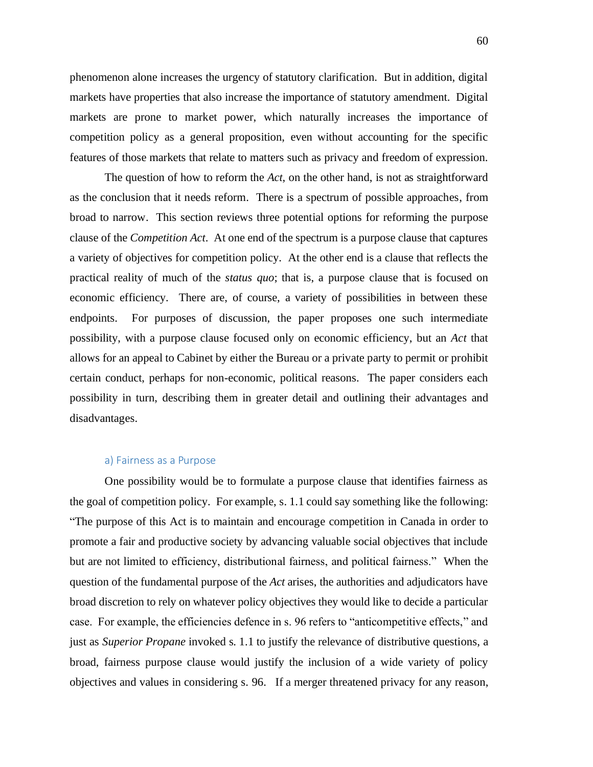phenomenon alone increases the urgency of statutory clarification. But in addition, digital markets have properties that also increase the importance of statutory amendment. Digital markets are prone to market power, which naturally increases the importance of competition policy as a general proposition, even without accounting for the specific features of those markets that relate to matters such as privacy and freedom of expression.

The question of how to reform the *Act*, on the other hand, is not as straightforward as the conclusion that it needs reform. There is a spectrum of possible approaches, from broad to narrow. This section reviews three potential options for reforming the purpose clause of the *Competition Act*. At one end of the spectrum is a purpose clause that captures a variety of objectives for competition policy. At the other end is a clause that reflects the practical reality of much of the *status quo*; that is, a purpose clause that is focused on economic efficiency. There are, of course, a variety of possibilities in between these endpoints. For purposes of discussion, the paper proposes one such intermediate possibility, with a purpose clause focused only on economic efficiency, but an *Act* that allows for an appeal to Cabinet by either the Bureau or a private party to permit or prohibit certain conduct, perhaps for non-economic, political reasons. The paper considers each possibility in turn, describing them in greater detail and outlining their advantages and disadvantages.

## a) Fairness as a Purpose

One possibility would be to formulate a purpose clause that identifies fairness as the goal of competition policy. For example, s. 1.1 could say something like the following: "The purpose of this Act is to maintain and encourage competition in Canada in order to promote a fair and productive society by advancing valuable social objectives that include but are not limited to efficiency, distributional fairness, and political fairness." When the question of the fundamental purpose of the *Act* arises, the authorities and adjudicators have broad discretion to rely on whatever policy objectives they would like to decide a particular case. For example, the efficiencies defence in s. 96 refers to "anticompetitive effects," and just as *Superior Propane* invoked s. 1.1 to justify the relevance of distributive questions, a broad, fairness purpose clause would justify the inclusion of a wide variety of policy objectives and values in considering s. 96. If a merger threatened privacy for any reason,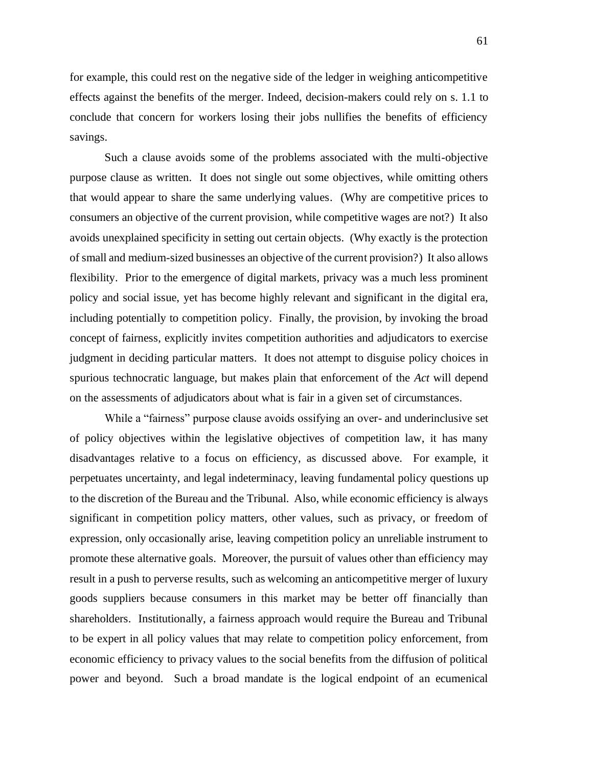for example, this could rest on the negative side of the ledger in weighing anticompetitive effects against the benefits of the merger. Indeed, decision-makers could rely on s. 1.1 to conclude that concern for workers losing their jobs nullifies the benefits of efficiency savings.

Such a clause avoids some of the problems associated with the multi-objective purpose clause as written. It does not single out some objectives, while omitting others that would appear to share the same underlying values. (Why are competitive prices to consumers an objective of the current provision, while competitive wages are not?) It also avoids unexplained specificity in setting out certain objects. (Why exactly is the protection of small and medium-sized businesses an objective of the current provision?) It also allows flexibility. Prior to the emergence of digital markets, privacy was a much less prominent policy and social issue, yet has become highly relevant and significant in the digital era, including potentially to competition policy. Finally, the provision, by invoking the broad concept of fairness, explicitly invites competition authorities and adjudicators to exercise judgment in deciding particular matters. It does not attempt to disguise policy choices in spurious technocratic language, but makes plain that enforcement of the *Act* will depend on the assessments of adjudicators about what is fair in a given set of circumstances.

While a "fairness" purpose clause avoids ossifying an over- and underinclusive set of policy objectives within the legislative objectives of competition law, it has many disadvantages relative to a focus on efficiency, as discussed above. For example, it perpetuates uncertainty, and legal indeterminacy, leaving fundamental policy questions up to the discretion of the Bureau and the Tribunal. Also, while economic efficiency is always significant in competition policy matters, other values, such as privacy, or freedom of expression, only occasionally arise, leaving competition policy an unreliable instrument to promote these alternative goals. Moreover, the pursuit of values other than efficiency may result in a push to perverse results, such as welcoming an anticompetitive merger of luxury goods suppliers because consumers in this market may be better off financially than shareholders. Institutionally, a fairness approach would require the Bureau and Tribunal to be expert in all policy values that may relate to competition policy enforcement, from economic efficiency to privacy values to the social benefits from the diffusion of political power and beyond. Such a broad mandate is the logical endpoint of an ecumenical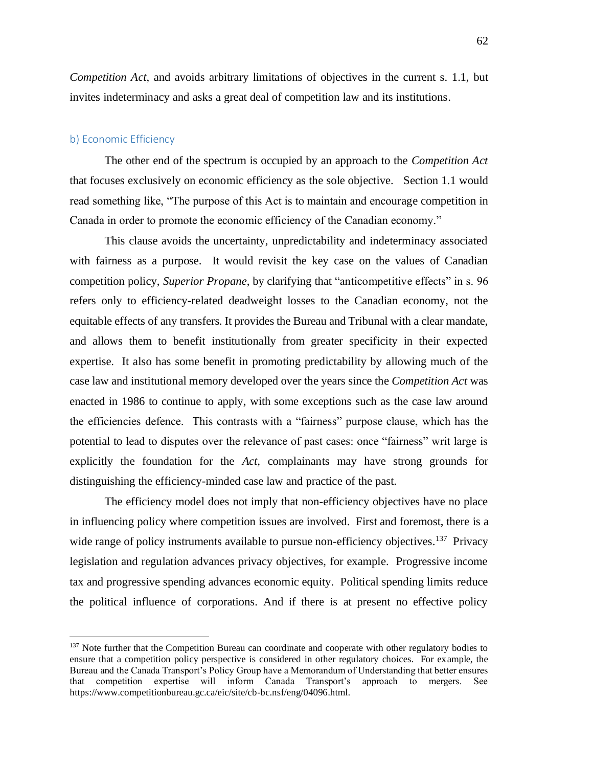*Competition Act*, and avoids arbitrary limitations of objectives in the current s. 1.1, but invites indeterminacy and asks a great deal of competition law and its institutions.

## b) Economic Efficiency

The other end of the spectrum is occupied by an approach to the *Competition Act* that focuses exclusively on economic efficiency as the sole objective. Section 1.1 would read something like, "The purpose of this Act is to maintain and encourage competition in Canada in order to promote the economic efficiency of the Canadian economy."

This clause avoids the uncertainty, unpredictability and indeterminacy associated with fairness as a purpose. It would revisit the key case on the values of Canadian competition policy, *Superior Propane*, by clarifying that "anticompetitive effects" in s. 96 refers only to efficiency-related deadweight losses to the Canadian economy, not the equitable effects of any transfers. It provides the Bureau and Tribunal with a clear mandate, and allows them to benefit institutionally from greater specificity in their expected expertise. It also has some benefit in promoting predictability by allowing much of the case law and institutional memory developed over the years since the *Competition Act* was enacted in 1986 to continue to apply, with some exceptions such as the case law around the efficiencies defence. This contrasts with a "fairness" purpose clause, which has the potential to lead to disputes over the relevance of past cases: once "fairness" writ large is explicitly the foundation for the *Act*, complainants may have strong grounds for distinguishing the efficiency-minded case law and practice of the past.

The efficiency model does not imply that non-efficiency objectives have no place in influencing policy where competition issues are involved. First and foremost, there is a wide range of policy instruments available to pursue non-efficiency objectives.<sup>137</sup> Privacy legislation and regulation advances privacy objectives, for example. Progressive income tax and progressive spending advances economic equity. Political spending limits reduce the political influence of corporations. And if there is at present no effective policy

<sup>&</sup>lt;sup>137</sup> Note further that the Competition Bureau can coordinate and cooperate with other regulatory bodies to ensure that a competition policy perspective is considered in other regulatory choices. For example, the Bureau and the Canada Transport's Policy Group have a Memorandum of Understanding that better ensures that competition expertise will inform Canada Transport's approach to mergers. See https://www.competitionbureau.gc.ca/eic/site/cb-bc.nsf/eng/04096.html.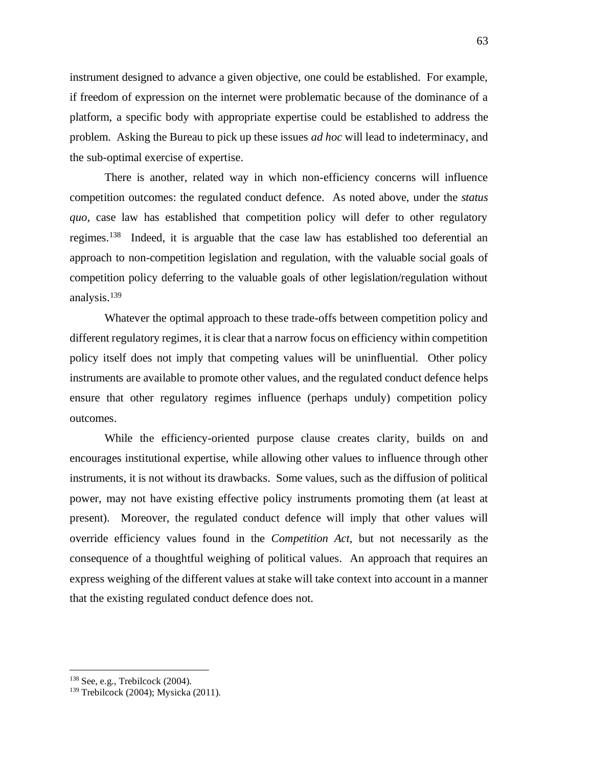instrument designed to advance a given objective, one could be established. For example, if freedom of expression on the internet were problematic because of the dominance of a platform, a specific body with appropriate expertise could be established to address the problem. Asking the Bureau to pick up these issues *ad hoc* will lead to indeterminacy, and the sub-optimal exercise of expertise.

There is another, related way in which non-efficiency concerns will influence competition outcomes: the regulated conduct defence. As noted above, under the *status quo*, case law has established that competition policy will defer to other regulatory regimes.<sup>138</sup> Indeed, it is arguable that the case law has established too deferential an approach to non-competition legislation and regulation, with the valuable social goals of competition policy deferring to the valuable goals of other legislation/regulation without analysis.<sup>139</sup>

Whatever the optimal approach to these trade-offs between competition policy and different regulatory regimes, it is clear that a narrow focus on efficiency within competition policy itself does not imply that competing values will be uninfluential. Other policy instruments are available to promote other values, and the regulated conduct defence helps ensure that other regulatory regimes influence (perhaps unduly) competition policy outcomes.

While the efficiency-oriented purpose clause creates clarity, builds on and encourages institutional expertise, while allowing other values to influence through other instruments, it is not without its drawbacks. Some values, such as the diffusion of political power, may not have existing effective policy instruments promoting them (at least at present). Moreover, the regulated conduct defence will imply that other values will override efficiency values found in the *Competition Act*, but not necessarily as the consequence of a thoughtful weighing of political values. An approach that requires an express weighing of the different values at stake will take context into account in a manner that the existing regulated conduct defence does not.

 $138$  See, e.g., Trebilcock (2004).

<sup>139</sup> Trebilcock (2004); Mysicka (2011).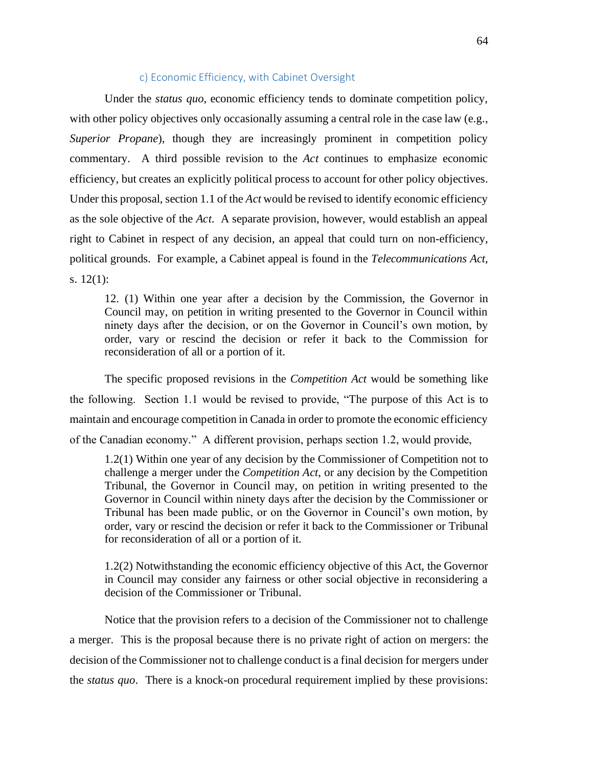# c) Economic Efficiency, with Cabinet Oversight

Under the *status quo*, economic efficiency tends to dominate competition policy, with other policy objectives only occasionally assuming a central role in the case law (e.g., *Superior Propane*), though they are increasingly prominent in competition policy commentary. A third possible revision to the *Act* continues to emphasize economic efficiency, but creates an explicitly political process to account for other policy objectives. Under this proposal, section 1.1 of the *Act* would be revised to identify economic efficiency as the sole objective of the *Act*. A separate provision, however, would establish an appeal right to Cabinet in respect of any decision, an appeal that could turn on non-efficiency, political grounds. For example, a Cabinet appeal is found in the *Telecommunications Act*, s. 12(1):

12. (1) Within one year after a decision by the Commission, the Governor in Council may, on petition in writing presented to the Governor in Council within ninety days after the decision, or on the Governor in Council's own motion, by order, vary or rescind the decision or refer it back to the Commission for reconsideration of all or a portion of it.

The specific proposed revisions in the *Competition Act* would be something like the following. Section 1.1 would be revised to provide, "The purpose of this Act is to maintain and encourage competition in Canada in order to promote the economic efficiency of the Canadian economy." A different provision, perhaps section 1.2, would provide,

1.2(1) Within one year of any decision by the Commissioner of Competition not to challenge a merger under the *Competition Act*, or any decision by the Competition Tribunal, the Governor in Council may, on petition in writing presented to the Governor in Council within ninety days after the decision by the Commissioner or Tribunal has been made public, or on the Governor in Council's own motion, by order, vary or rescind the decision or refer it back to the Commissioner or Tribunal for reconsideration of all or a portion of it.

1.2(2) Notwithstanding the economic efficiency objective of this Act, the Governor in Council may consider any fairness or other social objective in reconsidering a decision of the Commissioner or Tribunal.

Notice that the provision refers to a decision of the Commissioner not to challenge a merger. This is the proposal because there is no private right of action on mergers: the decision of the Commissioner not to challenge conduct is a final decision for mergers under the *status quo*. There is a knock-on procedural requirement implied by these provisions: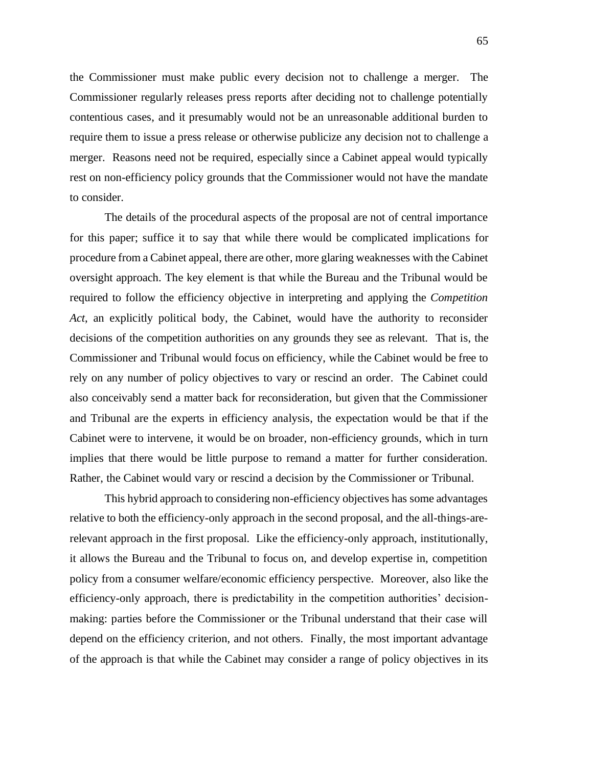the Commissioner must make public every decision not to challenge a merger. The Commissioner regularly releases press reports after deciding not to challenge potentially contentious cases, and it presumably would not be an unreasonable additional burden to require them to issue a press release or otherwise publicize any decision not to challenge a merger. Reasons need not be required, especially since a Cabinet appeal would typically rest on non-efficiency policy grounds that the Commissioner would not have the mandate to consider.

The details of the procedural aspects of the proposal are not of central importance for this paper; suffice it to say that while there would be complicated implications for procedure from a Cabinet appeal, there are other, more glaring weaknesses with the Cabinet oversight approach. The key element is that while the Bureau and the Tribunal would be required to follow the efficiency objective in interpreting and applying the *Competition Act*, an explicitly political body, the Cabinet, would have the authority to reconsider decisions of the competition authorities on any grounds they see as relevant. That is, the Commissioner and Tribunal would focus on efficiency, while the Cabinet would be free to rely on any number of policy objectives to vary or rescind an order. The Cabinet could also conceivably send a matter back for reconsideration, but given that the Commissioner and Tribunal are the experts in efficiency analysis, the expectation would be that if the Cabinet were to intervene, it would be on broader, non-efficiency grounds, which in turn implies that there would be little purpose to remand a matter for further consideration. Rather, the Cabinet would vary or rescind a decision by the Commissioner or Tribunal.

This hybrid approach to considering non-efficiency objectives has some advantages relative to both the efficiency-only approach in the second proposal, and the all-things-arerelevant approach in the first proposal. Like the efficiency-only approach, institutionally, it allows the Bureau and the Tribunal to focus on, and develop expertise in, competition policy from a consumer welfare/economic efficiency perspective. Moreover, also like the efficiency-only approach, there is predictability in the competition authorities' decisionmaking: parties before the Commissioner or the Tribunal understand that their case will depend on the efficiency criterion, and not others. Finally, the most important advantage of the approach is that while the Cabinet may consider a range of policy objectives in its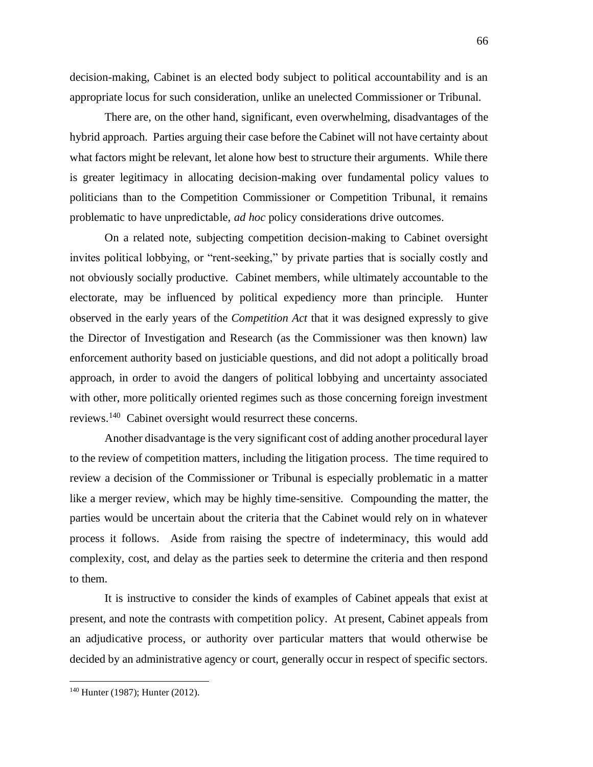decision-making, Cabinet is an elected body subject to political accountability and is an appropriate locus for such consideration, unlike an unelected Commissioner or Tribunal.

There are, on the other hand, significant, even overwhelming, disadvantages of the hybrid approach. Parties arguing their case before the Cabinet will not have certainty about what factors might be relevant, let alone how best to structure their arguments. While there is greater legitimacy in allocating decision-making over fundamental policy values to politicians than to the Competition Commissioner or Competition Tribunal, it remains problematic to have unpredictable, *ad hoc* policy considerations drive outcomes.

On a related note, subjecting competition decision-making to Cabinet oversight invites political lobbying, or "rent-seeking," by private parties that is socially costly and not obviously socially productive. Cabinet members, while ultimately accountable to the electorate, may be influenced by political expediency more than principle. Hunter observed in the early years of the *Competition Act* that it was designed expressly to give the Director of Investigation and Research (as the Commissioner was then known) law enforcement authority based on justiciable questions, and did not adopt a politically broad approach, in order to avoid the dangers of political lobbying and uncertainty associated with other, more politically oriented regimes such as those concerning foreign investment reviews.<sup>140</sup> Cabinet oversight would resurrect these concerns.

Another disadvantage is the very significant cost of adding another procedural layer to the review of competition matters, including the litigation process. The time required to review a decision of the Commissioner or Tribunal is especially problematic in a matter like a merger review, which may be highly time-sensitive. Compounding the matter, the parties would be uncertain about the criteria that the Cabinet would rely on in whatever process it follows. Aside from raising the spectre of indeterminacy, this would add complexity, cost, and delay as the parties seek to determine the criteria and then respond to them.

It is instructive to consider the kinds of examples of Cabinet appeals that exist at present, and note the contrasts with competition policy. At present, Cabinet appeals from an adjudicative process, or authority over particular matters that would otherwise be decided by an administrative agency or court, generally occur in respect of specific sectors.

<sup>140</sup> Hunter (1987); Hunter (2012).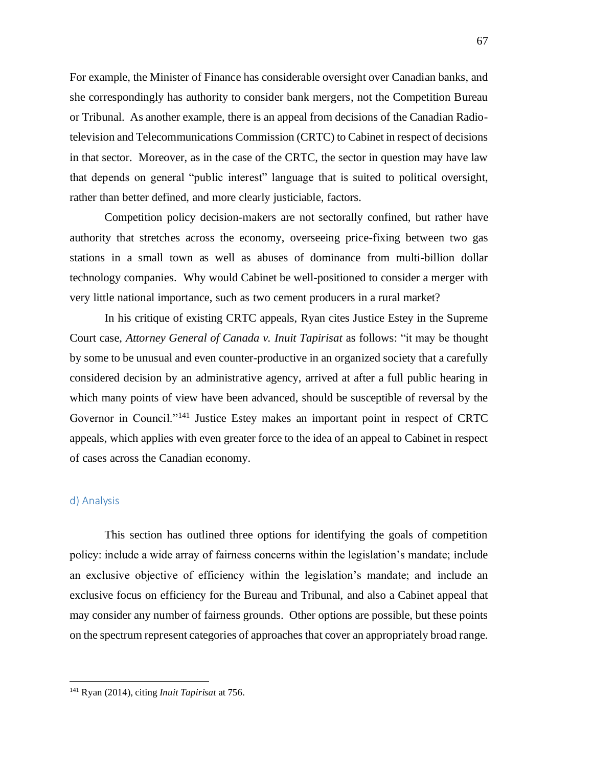For example, the Minister of Finance has considerable oversight over Canadian banks, and she correspondingly has authority to consider bank mergers, not the Competition Bureau or Tribunal. As another example, there is an appeal from decisions of the Canadian Radiotelevision and Telecommunications Commission (CRTC) to Cabinet in respect of decisions in that sector. Moreover, as in the case of the CRTC, the sector in question may have law that depends on general "public interest" language that is suited to political oversight, rather than better defined, and more clearly justiciable, factors.

Competition policy decision-makers are not sectorally confined, but rather have authority that stretches across the economy, overseeing price-fixing between two gas stations in a small town as well as abuses of dominance from multi-billion dollar technology companies. Why would Cabinet be well-positioned to consider a merger with very little national importance, such as two cement producers in a rural market?

In his critique of existing CRTC appeals, Ryan cites Justice Estey in the Supreme Court case, *Attorney General of Canada v. Inuit Tapirisat* as follows: "it may be thought by some to be unusual and even counter-productive in an organized society that a carefully considered decision by an administrative agency, arrived at after a full public hearing in which many points of view have been advanced, should be susceptible of reversal by the Governor in Council."<sup>141</sup> Justice Estey makes an important point in respect of CRTC appeals, which applies with even greater force to the idea of an appeal to Cabinet in respect of cases across the Canadian economy.

# d) Analysis

This section has outlined three options for identifying the goals of competition policy: include a wide array of fairness concerns within the legislation's mandate; include an exclusive objective of efficiency within the legislation's mandate; and include an exclusive focus on efficiency for the Bureau and Tribunal, and also a Cabinet appeal that may consider any number of fairness grounds. Other options are possible, but these points on the spectrum represent categories of approaches that cover an appropriately broad range.

<sup>141</sup> Ryan (2014), citing *Inuit Tapirisat* at 756.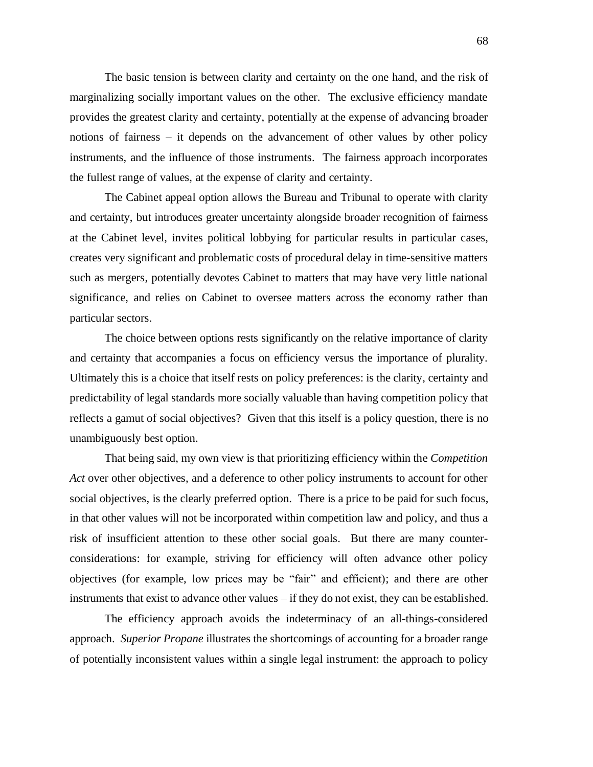The basic tension is between clarity and certainty on the one hand, and the risk of marginalizing socially important values on the other. The exclusive efficiency mandate provides the greatest clarity and certainty, potentially at the expense of advancing broader notions of fairness – it depends on the advancement of other values by other policy instruments, and the influence of those instruments. The fairness approach incorporates the fullest range of values, at the expense of clarity and certainty.

The Cabinet appeal option allows the Bureau and Tribunal to operate with clarity and certainty, but introduces greater uncertainty alongside broader recognition of fairness at the Cabinet level, invites political lobbying for particular results in particular cases, creates very significant and problematic costs of procedural delay in time-sensitive matters such as mergers, potentially devotes Cabinet to matters that may have very little national significance, and relies on Cabinet to oversee matters across the economy rather than particular sectors.

The choice between options rests significantly on the relative importance of clarity and certainty that accompanies a focus on efficiency versus the importance of plurality. Ultimately this is a choice that itself rests on policy preferences: is the clarity, certainty and predictability of legal standards more socially valuable than having competition policy that reflects a gamut of social objectives? Given that this itself is a policy question, there is no unambiguously best option.

That being said, my own view is that prioritizing efficiency within the *Competition Act* over other objectives, and a deference to other policy instruments to account for other social objectives, is the clearly preferred option. There is a price to be paid for such focus, in that other values will not be incorporated within competition law and policy, and thus a risk of insufficient attention to these other social goals. But there are many counterconsiderations: for example, striving for efficiency will often advance other policy objectives (for example, low prices may be "fair" and efficient); and there are other instruments that exist to advance other values – if they do not exist, they can be established.

The efficiency approach avoids the indeterminacy of an all-things-considered approach. *Superior Propane* illustrates the shortcomings of accounting for a broader range of potentially inconsistent values within a single legal instrument: the approach to policy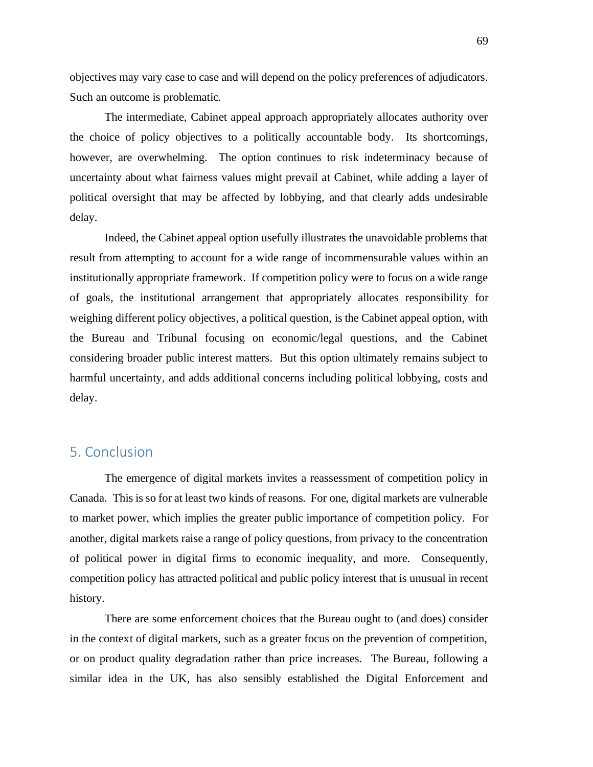objectives may vary case to case and will depend on the policy preferences of adjudicators. Such an outcome is problematic.

The intermediate, Cabinet appeal approach appropriately allocates authority over the choice of policy objectives to a politically accountable body. Its shortcomings, however, are overwhelming. The option continues to risk indeterminacy because of uncertainty about what fairness values might prevail at Cabinet, while adding a layer of political oversight that may be affected by lobbying, and that clearly adds undesirable delay.

Indeed, the Cabinet appeal option usefully illustrates the unavoidable problems that result from attempting to account for a wide range of incommensurable values within an institutionally appropriate framework. If competition policy were to focus on a wide range of goals, the institutional arrangement that appropriately allocates responsibility for weighing different policy objectives, a political question, is the Cabinet appeal option, with the Bureau and Tribunal focusing on economic/legal questions, and the Cabinet considering broader public interest matters. But this option ultimately remains subject to harmful uncertainty, and adds additional concerns including political lobbying, costs and delay.

# 5. Conclusion

The emergence of digital markets invites a reassessment of competition policy in Canada. This is so for at least two kinds of reasons. For one, digital markets are vulnerable to market power, which implies the greater public importance of competition policy. For another, digital markets raise a range of policy questions, from privacy to the concentration of political power in digital firms to economic inequality, and more. Consequently, competition policy has attracted political and public policy interest that is unusual in recent history.

There are some enforcement choices that the Bureau ought to (and does) consider in the context of digital markets, such as a greater focus on the prevention of competition, or on product quality degradation rather than price increases. The Bureau, following a similar idea in the UK, has also sensibly established the Digital Enforcement and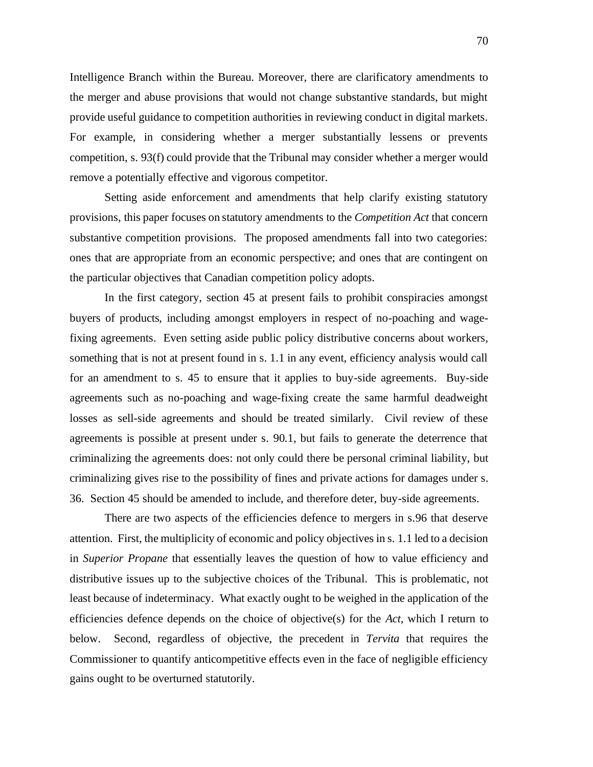Intelligence Branch within the Bureau. Moreover, there are clarificatory amendments to the merger and abuse provisions that would not change substantive standards, but might provide useful guidance to competition authorities in reviewing conduct in digital markets. For example, in considering whether a merger substantially lessens or prevents competition, s. 93(f) could provide that the Tribunal may consider whether a merger would remove a potentially effective and vigorous competitor.

Setting aside enforcement and amendments that help clarify existing statutory provisions, this paper focuses on statutory amendments to the *Competition Act* that concern substantive competition provisions. The proposed amendments fall into two categories: ones that are appropriate from an economic perspective; and ones that are contingent on the particular objectives that Canadian competition policy adopts.

In the first category, section 45 at present fails to prohibit conspiracies amongst buyers of products, including amongst employers in respect of no-poaching and wagefixing agreements. Even setting aside public policy distributive concerns about workers, something that is not at present found in s. 1.1 in any event, efficiency analysis would call for an amendment to s. 45 to ensure that it applies to buy-side agreements. Buy-side agreements such as no-poaching and wage-fixing create the same harmful deadweight losses as sell-side agreements and should be treated similarly. Civil review of these agreements is possible at present under s. 90.1, but fails to generate the deterrence that criminalizing the agreements does: not only could there be personal criminal liability, but criminalizing gives rise to the possibility of fines and private actions for damages under s. 36. Section 45 should be amended to include, and therefore deter, buy-side agreements.

There are two aspects of the efficiencies defence to mergers in s.96 that deserve attention. First, the multiplicity of economic and policy objectives in s. 1.1 led to a decision in *Superior Propane* that essentially leaves the question of how to value efficiency and distributive issues up to the subjective choices of the Tribunal. This is problematic, not least because of indeterminacy. What exactly ought to be weighed in the application of the efficiencies defence depends on the choice of objective(s) for the *Act*, which I return to below. Second, regardless of objective, the precedent in *Tervita* that requires the Commissioner to quantify anticompetitive effects even in the face of negligible efficiency gains ought to be overturned statutorily.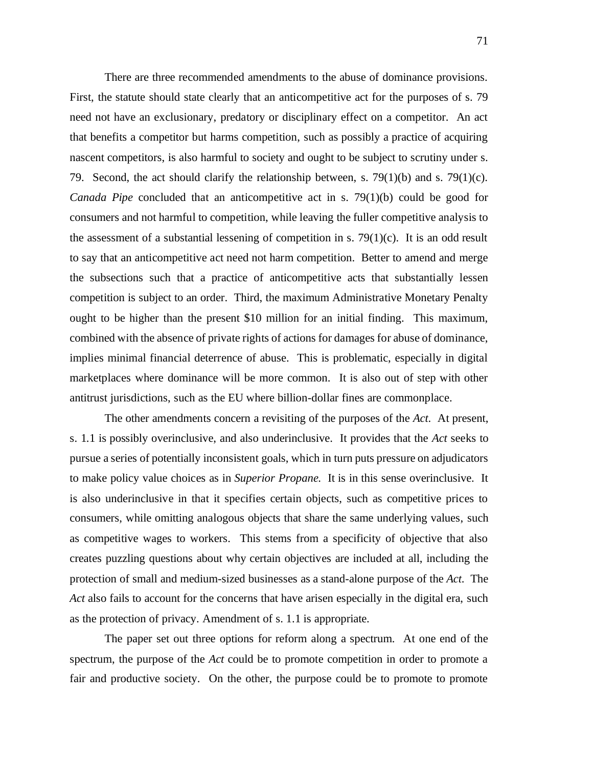There are three recommended amendments to the abuse of dominance provisions. First, the statute should state clearly that an anticompetitive act for the purposes of s. 79 need not have an exclusionary, predatory or disciplinary effect on a competitor. An act that benefits a competitor but harms competition, such as possibly a practice of acquiring nascent competitors, is also harmful to society and ought to be subject to scrutiny under s. 79. Second, the act should clarify the relationship between, s. 79(1)(b) and s. 79(1)(c). *Canada Pipe* concluded that an anticompetitive act in s. 79(1)(b) could be good for consumers and not harmful to competition, while leaving the fuller competitive analysis to the assessment of a substantial lessening of competition in s. 79(1)(c). It is an odd result to say that an anticompetitive act need not harm competition. Better to amend and merge the subsections such that a practice of anticompetitive acts that substantially lessen competition is subject to an order. Third, the maximum Administrative Monetary Penalty ought to be higher than the present \$10 million for an initial finding. This maximum, combined with the absence of private rights of actions for damages for abuse of dominance, implies minimal financial deterrence of abuse. This is problematic, especially in digital marketplaces where dominance will be more common. It is also out of step with other antitrust jurisdictions, such as the EU where billion-dollar fines are commonplace.

The other amendments concern a revisiting of the purposes of the *Act*. At present, s. 1.1 is possibly overinclusive, and also underinclusive. It provides that the *Act* seeks to pursue a series of potentially inconsistent goals, which in turn puts pressure on adjudicators to make policy value choices as in *Superior Propane*. It is in this sense overinclusive. It is also underinclusive in that it specifies certain objects, such as competitive prices to consumers, while omitting analogous objects that share the same underlying values, such as competitive wages to workers. This stems from a specificity of objective that also creates puzzling questions about why certain objectives are included at all, including the protection of small and medium-sized businesses as a stand-alone purpose of the *Act*. The Act also fails to account for the concerns that have arisen especially in the digital era, such as the protection of privacy. Amendment of s. 1.1 is appropriate.

The paper set out three options for reform along a spectrum. At one end of the spectrum, the purpose of the *Act* could be to promote competition in order to promote a fair and productive society. On the other, the purpose could be to promote to promote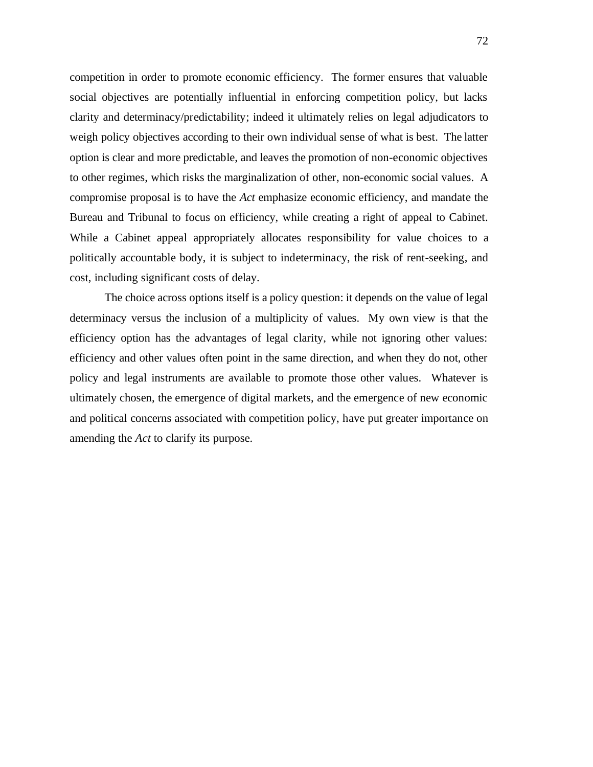competition in order to promote economic efficiency. The former ensures that valuable social objectives are potentially influential in enforcing competition policy, but lacks clarity and determinacy/predictability; indeed it ultimately relies on legal adjudicators to weigh policy objectives according to their own individual sense of what is best. The latter option is clear and more predictable, and leaves the promotion of non-economic objectives to other regimes, which risks the marginalization of other, non-economic social values. A compromise proposal is to have the *Act* emphasize economic efficiency, and mandate the Bureau and Tribunal to focus on efficiency, while creating a right of appeal to Cabinet. While a Cabinet appeal appropriately allocates responsibility for value choices to a politically accountable body, it is subject to indeterminacy, the risk of rent-seeking, and cost, including significant costs of delay.

The choice across options itself is a policy question: it depends on the value of legal determinacy versus the inclusion of a multiplicity of values. My own view is that the efficiency option has the advantages of legal clarity, while not ignoring other values: efficiency and other values often point in the same direction, and when they do not, other policy and legal instruments are available to promote those other values. Whatever is ultimately chosen, the emergence of digital markets, and the emergence of new economic and political concerns associated with competition policy, have put greater importance on amending the *Act* to clarify its purpose.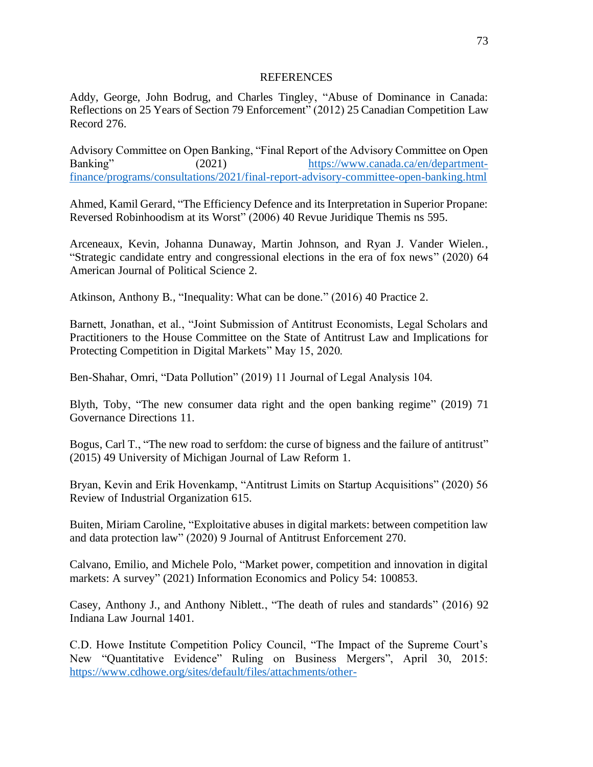## REFERENCES

Addy, George, John Bodrug, and Charles Tingley, "Abuse of Dominance in Canada: Reflections on 25 Years of Section 79 Enforcement" (2012) 25 Canadian Competition Law Record 276.

Advisory Committee on Open Banking, "Final Report of the Advisory Committee on Open Banking" (2021) [https://www.canada.ca/en/department](https://www.canada.ca/en/department-finance/programs/consultations/2021/final-report-advisory-committee-open-banking.html)[finance/programs/consultations/2021/final-report-advisory-committee-open-banking.html](https://www.canada.ca/en/department-finance/programs/consultations/2021/final-report-advisory-committee-open-banking.html)

Ahmed, Kamil Gerard, "The Efficiency Defence and its Interpretation in Superior Propane: Reversed Robinhoodism at its Worst" (2006) 40 Revue Juridique Themis ns 595.

Arceneaux, Kevin, Johanna Dunaway, Martin Johnson, and Ryan J. Vander Wielen., "Strategic candidate entry and congressional elections in the era of fox news" (2020) 64 American Journal of Political Science 2.

Atkinson, Anthony B., "Inequality: What can be done." (2016) 40 Practice 2.

Barnett, Jonathan, et al., "Joint Submission of Antitrust Economists, Legal Scholars and Practitioners to the House Committee on the State of Antitrust Law and Implications for Protecting Competition in Digital Markets" May 15, 2020.

Ben-Shahar, Omri, "Data Pollution" (2019) 11 Journal of Legal Analysis 104.

Blyth, Toby, "The new consumer data right and the open banking regime" (2019) 71 Governance Directions 11.

Bogus, Carl T., "The new road to serfdom: the curse of bigness and the failure of antitrust" (2015) 49 University of Michigan Journal of Law Reform 1.

Bryan, Kevin and Erik Hovenkamp, "Antitrust Limits on Startup Acquisitions" (2020) 56 Review of Industrial Organization 615.

Buiten, Miriam Caroline, "Exploitative abuses in digital markets: between competition law and data protection law" (2020) 9 Journal of Antitrust Enforcement 270.

Calvano, Emilio, and Michele Polo, "Market power, competition and innovation in digital markets: A survey" (2021) Information Economics and Policy 54: 100853.

Casey, Anthony J., and Anthony Niblett., "The death of rules and standards" (2016) 92 Indiana Law Journal 1401.

C.D. Howe Institute Competition Policy Council, "The Impact of the Supreme Court's New "Quantitative Evidence" Ruling on Business Mergers", April 30, 2015: [https://www.cdhowe.org/sites/default/files/attachments/other-](https://www.cdhowe.org/sites/default/files/attachments/other-research/pdf/The%20Impact%20of%20the%20Supreme%20Court%E2%80%99s%20New%20%E2%80%9CQuantitative%20Evidence%E2%80%9D_0.pdf)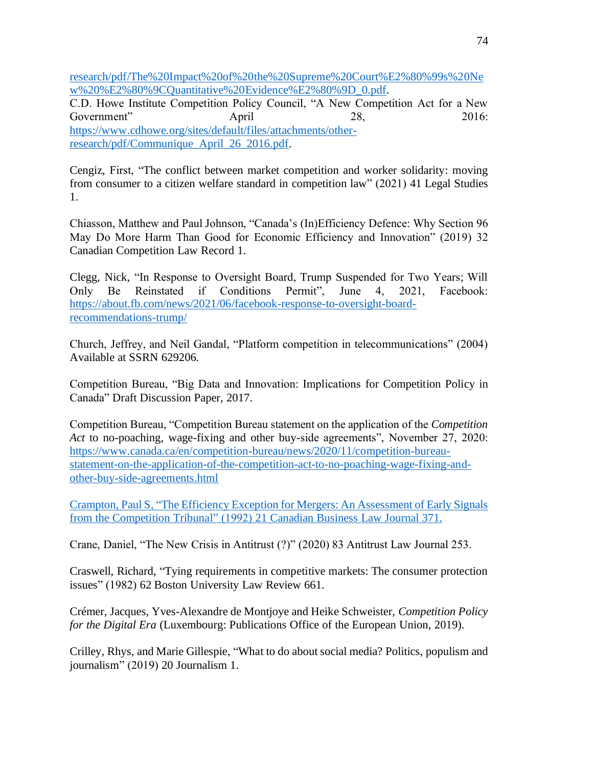[research/pdf/The%20Impact%20of%20the%20Supreme%20Court%E2%80%99s%20Ne](https://www.cdhowe.org/sites/default/files/attachments/other-research/pdf/The%20Impact%20of%20the%20Supreme%20Court%E2%80%99s%20New%20%E2%80%9CQuantitative%20Evidence%E2%80%9D_0.pdf) [w%20%E2%80%9CQuantitative%20Evidence%E2%80%9D\\_0.pdf.](https://www.cdhowe.org/sites/default/files/attachments/other-research/pdf/The%20Impact%20of%20the%20Supreme%20Court%E2%80%99s%20New%20%E2%80%9CQuantitative%20Evidence%E2%80%9D_0.pdf)

C.D. Howe Institute Competition Policy Council, "A New Competition Act for a New Government" April 28, 2016: [https://www.cdhowe.org/sites/default/files/attachments/other](https://www.cdhowe.org/sites/default/files/attachments/other-research/pdf/Communique_April_26_2016.pdf)[research/pdf/Communique\\_April\\_26\\_2016.pdf.](https://www.cdhowe.org/sites/default/files/attachments/other-research/pdf/Communique_April_26_2016.pdf)

Cengiz, First, "The conflict between market competition and worker solidarity: moving from consumer to a citizen welfare standard in competition law" (2021) 41 Legal Studies 1.

Chiasson, Matthew and Paul Johnson, "Canada's (In)Efficiency Defence: Why Section 96 May Do More Harm Than Good for Economic Efficiency and Innovation" (2019) 32 Canadian Competition Law Record 1.

Clegg, Nick, "In Response to Oversight Board, Trump Suspended for Two Years; Will Only Be Reinstated if Conditions Permit", June 4, 2021, Facebook: [https://about.fb.com/news/2021/06/facebook-response-to-oversight-board](https://about.fb.com/news/2021/06/facebook-response-to-oversight-board-recommendations-trump/)[recommendations-trump/](https://about.fb.com/news/2021/06/facebook-response-to-oversight-board-recommendations-trump/)

Church, Jeffrey, and Neil Gandal, "Platform competition in telecommunications" (2004) Available at SSRN 629206.

Competition Bureau, "Big Data and Innovation: Implications for Competition Policy in Canada" Draft Discussion Paper, 2017.

Competition Bureau, "Competition Bureau statement on the application of the *Competition Act* to no-poaching, wage-fixing and other buy-side agreements", November 27, 2020: [https://www.canada.ca/en/competition-bureau/news/2020/11/competition-bureau](https://www.canada.ca/en/competition-bureau/news/2020/11/competition-bureau-statement-on-the-application-of-the-competition-act-to-no-poaching-wage-fixing-and-other-buy-side-agreements.html)[statement-on-the-application-of-the-competition-act-to-no-poaching-wage-fixing-and](https://www.canada.ca/en/competition-bureau/news/2020/11/competition-bureau-statement-on-the-application-of-the-competition-act-to-no-poaching-wage-fixing-and-other-buy-side-agreements.html)[other-buy-side-agreements.html](https://www.canada.ca/en/competition-bureau/news/2020/11/competition-bureau-statement-on-the-application-of-the-competition-act-to-no-poaching-wage-fixing-and-other-buy-side-agreements.html)

Crampton, Paul S, "The Efficiency Exception for Mergers: An Assessment of Early Signals from the Competition Tribunal" (1992) 21 Canadian Business Law Journal 371.

Crane, Daniel, "The New Crisis in Antitrust (?)" (2020) 83 Antitrust Law Journal 253.

Craswell, Richard, "Tying requirements in competitive markets: The consumer protection issues" (1982) 62 Boston University Law Review 661.

Crémer, Jacques, Yves-Alexandre de Montjoye and Heike Schweister, *Competition Policy for the Digital Era* (Luxembourg: Publications Office of the European Union, 2019).

Crilley, Rhys, and Marie Gillespie, "What to do aboutsocial media? Politics, populism and journalism" (2019) 20 Journalism 1.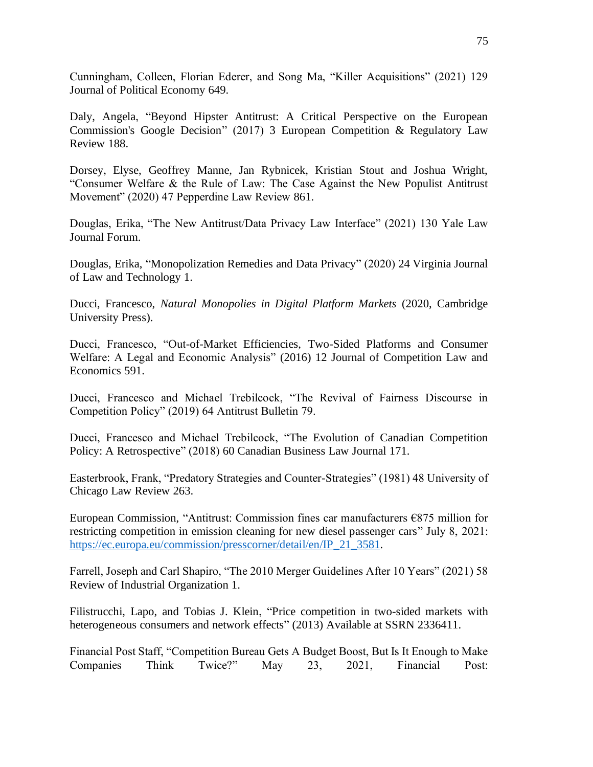Cunningham, Colleen, Florian Ederer, and Song Ma, "Killer Acquisitions" (2021) 129 Journal of Political Economy 649.

Daly, Angela, "Beyond Hipster Antitrust: A Critical Perspective on the European Commission's Google Decision" (2017) 3 European Competition & Regulatory Law Review 188.

Dorsey, Elyse, Geoffrey Manne, Jan Rybnicek, Kristian Stout and Joshua Wright, "Consumer Welfare & the Rule of Law: The Case Against the New Populist Antitrust Movement" (2020) 47 Pepperdine Law Review 861.

Douglas, Erika, "The New Antitrust/Data Privacy Law Interface" (2021) 130 Yale Law Journal Forum.

Douglas, Erika, "Monopolization Remedies and Data Privacy" (2020) 24 Virginia Journal of Law and Technology 1.

Ducci, Francesco, *Natural Monopolies in Digital Platform Markets* (2020, Cambridge University Press).

Ducci, Francesco, "Out-of-Market Efficiencies, Two-Sided Platforms and Consumer Welfare: A Legal and Economic Analysis" (2016) 12 Journal of Competition Law and Economics 591.

Ducci, Francesco and Michael Trebilcock, "The Revival of Fairness Discourse in Competition Policy" (2019) 64 Antitrust Bulletin 79.

Ducci, Francesco and Michael Trebilcock, "The Evolution of Canadian Competition Policy: A Retrospective" (2018) 60 Canadian Business Law Journal 171.

Easterbrook, Frank, "Predatory Strategies and Counter-Strategies" (1981) 48 University of Chicago Law Review 263.

European Commission, "Antitrust: Commission fines car manufacturers €875 million for restricting competition in emission cleaning for new diesel passenger cars" July 8, 2021: [https://ec.europa.eu/commission/presscorner/detail/en/IP\\_21\\_3581.](https://ec.europa.eu/commission/presscorner/detail/en/IP_21_3581)

Farrell, Joseph and Carl Shapiro, "The 2010 Merger Guidelines After 10 Years" (2021) 58 Review of Industrial Organization 1.

Filistrucchi, Lapo, and Tobias J. Klein, "Price competition in two-sided markets with heterogeneous consumers and network effects" (2013) Available at SSRN 2336411.

Financial Post Staff, "Competition Bureau Gets A Budget Boost, But Is It Enough to Make Companies Think Twice?" May 23, 2021, Financial Post: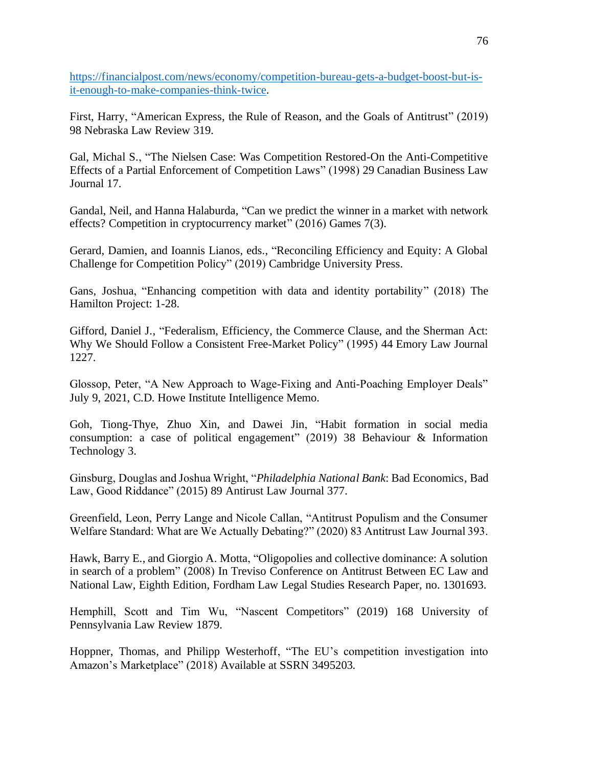[https://financialpost.com/news/economy/competition-bureau-gets-a-budget-boost-but-is](https://financialpost.com/news/economy/competition-bureau-gets-a-budget-boost-but-is-it-enough-to-make-companies-think-twice)[it-enough-to-make-companies-think-twice.](https://financialpost.com/news/economy/competition-bureau-gets-a-budget-boost-but-is-it-enough-to-make-companies-think-twice)

First, Harry, "American Express, the Rule of Reason, and the Goals of Antitrust" (2019) 98 Nebraska Law Review 319.

Gal, Michal S., "The Nielsen Case: Was Competition Restored-On the Anti-Competitive Effects of a Partial Enforcement of Competition Laws" (1998) 29 Canadian Business Law Journal 17.

Gandal, Neil, and Hanna Halaburda, "Can we predict the winner in a market with network effects? Competition in cryptocurrency market" (2016) Games 7(3).

Gerard, Damien, and Ioannis Lianos, eds., "Reconciling Efficiency and Equity: A Global Challenge for Competition Policy" (2019) Cambridge University Press.

Gans, Joshua, "Enhancing competition with data and identity portability" (2018) The Hamilton Project: 1-28.

Gifford, Daniel J., "Federalism, Efficiency, the Commerce Clause, and the Sherman Act: Why We Should Follow a Consistent Free-Market Policy" (1995) 44 Emory Law Journal 1227.

Glossop, Peter, "A New Approach to Wage-Fixing and Anti-Poaching Employer Deals" July 9, 2021, C.D. Howe Institute Intelligence Memo.

Goh, Tiong-Thye, Zhuo Xin, and Dawei Jin, "Habit formation in social media consumption: a case of political engagement" (2019) 38 Behaviour & Information Technology 3.

Ginsburg, Douglas and Joshua Wright, "*Philadelphia National Bank*: Bad Economics, Bad Law, Good Riddance" (2015) 89 Antirust Law Journal 377.

Greenfield, Leon, Perry Lange and Nicole Callan, "Antitrust Populism and the Consumer Welfare Standard: What are We Actually Debating?" (2020) 83 Antitrust Law Journal 393.

Hawk, Barry E., and Giorgio A. Motta, "Oligopolies and collective dominance: A solution in search of a problem" (2008) In Treviso Conference on Antitrust Between EC Law and National Law, Eighth Edition, Fordham Law Legal Studies Research Paper, no. 1301693.

Hemphill, Scott and Tim Wu, "Nascent Competitors" (2019) 168 University of Pennsylvania Law Review 1879.

Hoppner, Thomas, and Philipp Westerhoff, "The EU's competition investigation into Amazon's Marketplace" (2018) Available at SSRN 3495203.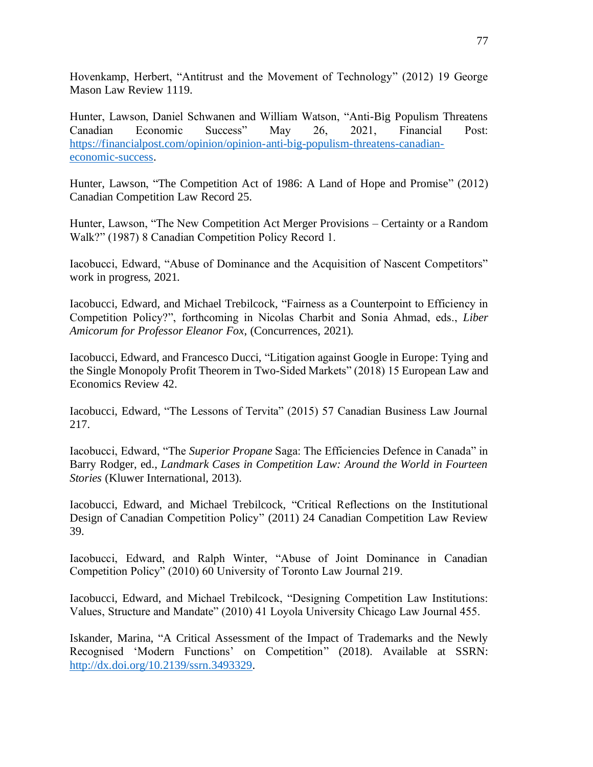Hovenkamp, Herbert, "Antitrust and the Movement of Technology" (2012) 19 George Mason Law Review 1119.

Hunter, Lawson, Daniel Schwanen and William Watson, "Anti-Big Populism Threatens Canadian Economic Success" May 26, 2021, Financial Post: [https://financialpost.com/opinion/opinion-anti-big-populism-threatens-canadian](https://financialpost.com/opinion/opinion-anti-big-populism-threatens-canadian-economic-success)[economic-success.](https://financialpost.com/opinion/opinion-anti-big-populism-threatens-canadian-economic-success)

Hunter, Lawson, "The Competition Act of 1986: A Land of Hope and Promise" (2012) Canadian Competition Law Record 25.

Hunter, Lawson, "The New Competition Act Merger Provisions – Certainty or a Random Walk?" (1987) 8 Canadian Competition Policy Record 1.

Iacobucci, Edward, "Abuse of Dominance and the Acquisition of Nascent Competitors" work in progress, 2021.

Iacobucci, Edward, and Michael Trebilcock, "Fairness as a Counterpoint to Efficiency in Competition Policy?", forthcoming in Nicolas Charbit and Sonia Ahmad, eds., *Liber Amicorum for Professor Eleanor Fox*, (Concurrences, 2021).

Iacobucci, Edward, and Francesco Ducci, "Litigation against Google in Europe: Tying and the Single Monopoly Profit Theorem in Two-Sided Markets" (2018) 15 European Law and Economics Review 42.

Iacobucci, Edward, "The Lessons of Tervita" (2015) 57 Canadian Business Law Journal 217.

Iacobucci, Edward, "The *Superior Propane* Saga: The Efficiencies Defence in Canada" in Barry Rodger, ed., *Landmark Cases in Competition Law: Around the World in Fourteen Stories* (Kluwer International, 2013).

Iacobucci, Edward, and Michael Trebilcock, "Critical Reflections on the Institutional Design of Canadian Competition Policy" (2011) 24 Canadian Competition Law Review 39.

Iacobucci, Edward, and Ralph Winter, "Abuse of Joint Dominance in Canadian Competition Policy" (2010) 60 University of Toronto Law Journal 219.

Iacobucci, Edward, and Michael Trebilcock, "Designing Competition Law Institutions: Values, Structure and Mandate" (2010) 41 Loyola University Chicago Law Journal 455.

Iskander, Marina, "A Critical Assessment of the Impact of Trademarks and the Newly Recognised 'Modern Functions' on Competition" (2018). Available at SSRN: [http://dx.doi.org/10.2139/ssrn.3493329.](http://dx.doi.org/10.2139/ssrn.3493329)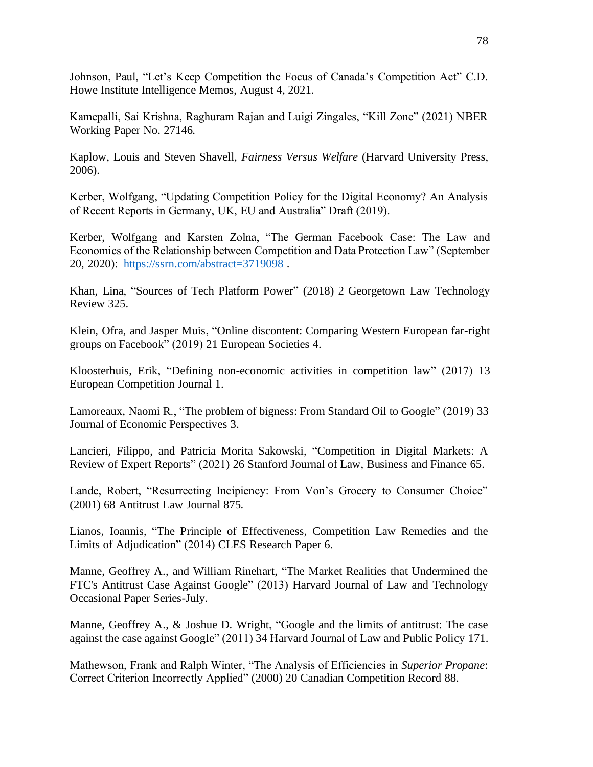Johnson, Paul, "Let's Keep Competition the Focus of Canada's Competition Act" C.D. Howe Institute Intelligence Memos, August 4, 2021.

Kamepalli, Sai Krishna, Raghuram Rajan and Luigi Zingales, "Kill Zone" (2021) NBER Working Paper No. 27146.

Kaplow, Louis and Steven Shavell, *Fairness Versus Welfare* (Harvard University Press, 2006).

Kerber, Wolfgang, "Updating Competition Policy for the Digital Economy? An Analysis of Recent Reports in Germany, UK, EU and Australia" Draft (2019).

Kerber, Wolfgang and Karsten Zolna, "The German Facebook Case: The Law and Economics of the Relationship between Competition and Data Protection Law" (September 20, 2020): <https://ssrn.com/abstract=3719098> .

Khan, Lina, "Sources of Tech Platform Power" (2018) 2 Georgetown Law Technology Review 325.

Klein, Ofra, and Jasper Muis, "Online discontent: Comparing Western European far-right groups on Facebook" (2019) 21 European Societies 4.

Kloosterhuis, Erik, "Defining non-economic activities in competition law" (2017) 13 European Competition Journal 1.

Lamoreaux, Naomi R., "The problem of bigness: From Standard Oil to Google" (2019) 33 Journal of Economic Perspectives 3.

Lancieri, Filippo, and Patricia Morita Sakowski, "Competition in Digital Markets: A Review of Expert Reports" (2021) 26 Stanford Journal of Law, Business and Finance 65.

Lande, Robert, "Resurrecting Incipiency: From Von's Grocery to Consumer Choice" (2001) 68 Antitrust Law Journal 875.

Lianos, Ioannis, "The Principle of Effectiveness, Competition Law Remedies and the Limits of Adjudication" (2014) CLES Research Paper 6.

Manne, Geoffrey A., and William Rinehart, "The Market Realities that Undermined the FTC's Antitrust Case Against Google" (2013) Harvard Journal of Law and Technology Occasional Paper Series-July.

Manne, Geoffrey A., & Joshue D. Wright, "Google and the limits of antitrust: The case against the case against Google" (2011) 34 Harvard Journal of Law and Public Policy 171.

Mathewson, Frank and Ralph Winter, "The Analysis of Efficiencies in *Superior Propane*: Correct Criterion Incorrectly Applied" (2000) 20 Canadian Competition Record 88.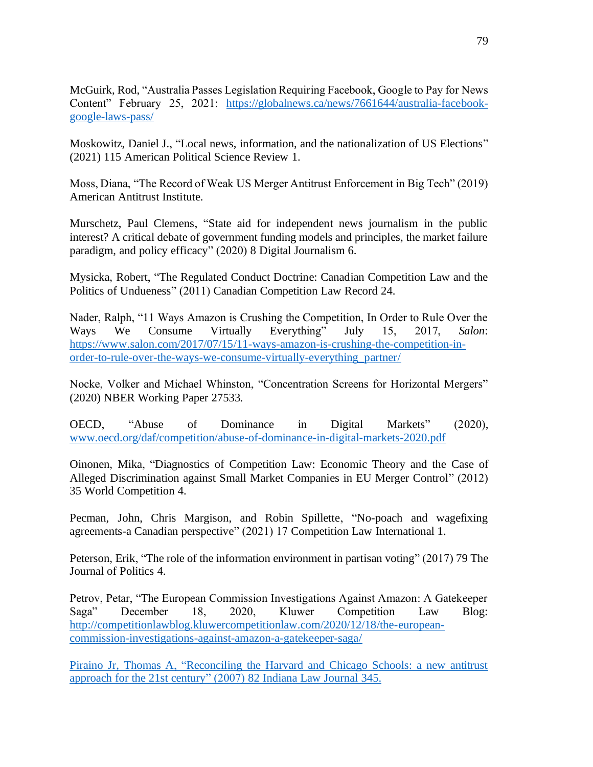McGuirk, Rod, "Australia Passes Legislation Requiring Facebook, Google to Pay for News Content" February 25, 2021: [https://globalnews.ca/news/7661644/australia-facebook](https://globalnews.ca/news/7661644/australia-facebook-google-laws-pass/)[google-laws-pass/](https://globalnews.ca/news/7661644/australia-facebook-google-laws-pass/)

Moskowitz, Daniel J., "Local news, information, and the nationalization of US Elections" (2021) 115 American Political Science Review 1.

Moss, Diana, "The Record of Weak US Merger Antitrust Enforcement in Big Tech" (2019) American Antitrust Institute.

Murschetz, Paul Clemens, "State aid for independent news journalism in the public interest? A critical debate of government funding models and principles, the market failure paradigm, and policy efficacy" (2020) 8 Digital Journalism 6.

Mysicka, Robert, "The Regulated Conduct Doctrine: Canadian Competition Law and the Politics of Undueness" (2011) Canadian Competition Law Record 24.

Nader, Ralph, "11 Ways Amazon is Crushing the Competition, In Order to Rule Over the Ways We Consume Virtually Everything" July 15, 2017, *Salon*: [https://www.salon.com/2017/07/15/11-ways-amazon-is-crushing-the-competition-in](https://www.salon.com/2017/07/15/11-ways-amazon-is-crushing-the-competition-in-order-to-rule-over-the-ways-we-consume-virtually-everything_partner/)[order-to-rule-over-the-ways-we-consume-virtually-everything\\_partner/](https://www.salon.com/2017/07/15/11-ways-amazon-is-crushing-the-competition-in-order-to-rule-over-the-ways-we-consume-virtually-everything_partner/)

Nocke, Volker and Michael Whinston, "Concentration Screens for Horizontal Mergers" (2020) NBER Working Paper 27533.

OECD, "Abuse of Dominance in Digital Markets" (2020), [www.oecd.org/daf/competition/abuse-of-dominance-in-digital-markets-2020.pdf](http://www.oecd.org/daf/competition/abuse-of-dominance-in-digital-markets-2020.pdf)

Oinonen, Mika, "Diagnostics of Competition Law: Economic Theory and the Case of Alleged Discrimination against Small Market Companies in EU Merger Control" (2012) 35 World Competition 4.

Pecman, John, Chris Margison, and Robin Spillette, "No-poach and wagefixing agreements-a Canadian perspective" (2021) 17 Competition Law International 1.

Peterson, Erik, "The role of the information environment in partisan voting" (2017) 79 The Journal of Politics 4.

Petrov, Petar, "The European Commission Investigations Against Amazon: A Gatekeeper Saga" December 18, 2020, Kluwer Competition Law Blog: [http://competitionlawblog.kluwercompetitionlaw.com/2020/12/18/the-european](http://competitionlawblog.kluwercompetitionlaw.com/2020/12/18/the-european-commission-investigations-against-amazon-a-gatekeeper-saga/)[commission-investigations-against-amazon-a-gatekeeper-saga/](http://competitionlawblog.kluwercompetitionlaw.com/2020/12/18/the-european-commission-investigations-against-amazon-a-gatekeeper-saga/)

Piraino Jr, Thomas A, "Reconciling the Harvard and Chicago Schools: a new antitrust approach for the 21st century" (2007) 82 Indiana Law Journal 345.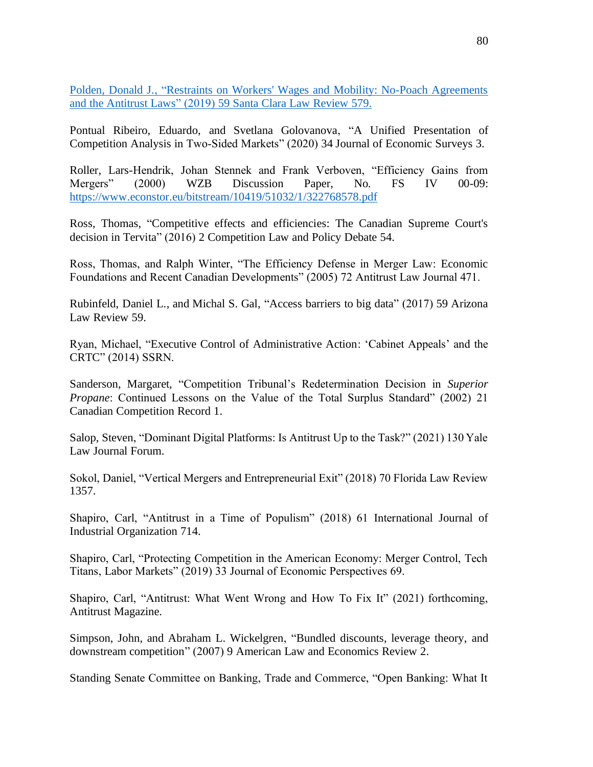Polden, Donald J., "Restraints on Workers' Wages and Mobility: No-Poach Agreements and the Antitrust Laws" (2019) 59 Santa Clara Law Review 579.

Pontual Ribeiro, Eduardo, and Svetlana Golovanova, "A Unified Presentation of Competition Analysis in Two‐Sided Markets" (2020) 34 Journal of Economic Surveys 3.

Roller, Lars-Hendrik, Johan Stennek and Frank Verboven, "Efficiency Gains from Mergers" (2000) WZB Discussion Paper, No. FS IV 00-09: <https://www.econstor.eu/bitstream/10419/51032/1/322768578.pdf>

Ross, Thomas, "Competitive effects and efficiencies: The Canadian Supreme Court's decision in Tervita" (2016) 2 Competition Law and Policy Debate 54.

Ross, Thomas, and Ralph Winter, "The Efficiency Defense in Merger Law: Economic Foundations and Recent Canadian Developments" (2005) 72 Antitrust Law Journal 471.

Rubinfeld, Daniel L., and Michal S. Gal, "Access barriers to big data" (2017) 59 Arizona Law Review 59.

Ryan, Michael, "Executive Control of Administrative Action: 'Cabinet Appeals' and the CRTC" (2014) SSRN.

Sanderson, Margaret, "Competition Tribunal's Redetermination Decision in *Superior Propane*: Continued Lessons on the Value of the Total Surplus Standard" (2002) 21 Canadian Competition Record 1.

Salop, Steven, "Dominant Digital Platforms: Is Antitrust Up to the Task?" (2021) 130 Yale Law Journal Forum.

Sokol, Daniel, "Vertical Mergers and Entrepreneurial Exit" (2018) 70 Florida Law Review 1357.

Shapiro, Carl, "Antitrust in a Time of Populism" (2018) 61 International Journal of Industrial Organization 714.

Shapiro, Carl, "Protecting Competition in the American Economy: Merger Control, Tech Titans, Labor Markets" (2019) 33 Journal of Economic Perspectives 69.

Shapiro, Carl, "Antitrust: What Went Wrong and How To Fix It" (2021) forthcoming, Antitrust Magazine.

Simpson, John, and Abraham L. Wickelgren, "Bundled discounts, leverage theory, and downstream competition" (2007) 9 American Law and Economics Review 2.

Standing Senate Committee on Banking, Trade and Commerce, "Open Banking: What It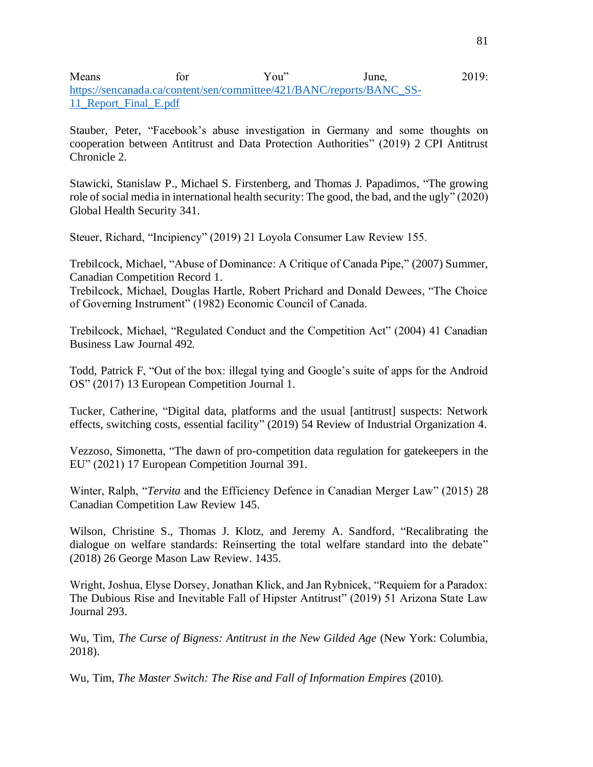## Means for You" June, 2019: [https://sencanada.ca/content/sen/committee/421/BANC/reports/BANC\\_SS-](https://sencanada.ca/content/sen/committee/421/BANC/reports/BANC_SS-11_Report_Final_E.pdf)11 Report Final E.pdf

Stauber, Peter, "Facebook's abuse investigation in Germany and some thoughts on cooperation between Antitrust and Data Protection Authorities" (2019) 2 CPI Antitrust Chronicle 2.

Stawicki, Stanislaw P., Michael S. Firstenberg, and Thomas J. Papadimos, "The growing role of social media in international health security: The good, the bad, and the ugly" (2020) Global Health Security 341.

Steuer, Richard, "Incipiency" (2019) 21 Loyola Consumer Law Review 155.

Trebilcock, Michael, "Abuse of Dominance: A Critique of Canada Pipe," (2007) Summer, Canadian Competition Record 1.

Trebilcock, Michael, Douglas Hartle, Robert Prichard and Donald Dewees, "The Choice of Governing Instrument" (1982) Economic Council of Canada.

Trebilcock, Michael, "Regulated Conduct and the Competition Act" (2004) 41 Canadian Business Law Journal 492.

Todd, Patrick F, "Out of the box: illegal tying and Google's suite of apps for the Android OS" (2017) 13 European Competition Journal 1.

Tucker, Catherine, "Digital data, platforms and the usual [antitrust] suspects: Network effects, switching costs, essential facility" (2019) 54 Review of Industrial Organization 4.

Vezzoso, Simonetta, "The dawn of pro-competition data regulation for gatekeepers in the EU" (2021) 17 European Competition Journal 391.

Winter, Ralph, "*Tervita* and the Efficiency Defence in Canadian Merger Law" (2015) 28 Canadian Competition Law Review 145.

Wilson, Christine S., Thomas J. Klotz, and Jeremy A. Sandford, "Recalibrating the dialogue on welfare standards: Reinserting the total welfare standard into the debate" (2018) 26 George Mason Law Review. 1435.

Wright, Joshua, Elyse Dorsey, Jonathan Klick, and Jan Rybnicek, "Requiem for a Paradox: The Dubious Rise and Inevitable Fall of Hipster Antitrust" (2019) 51 Arizona State Law Journal 293.

Wu, Tim, *The Curse of Bigness: Antitrust in the New Gilded Age* (New York: Columbia, 2018).

Wu, Tim, *The Master Switch: The Rise and Fall of Information Empires* (2010).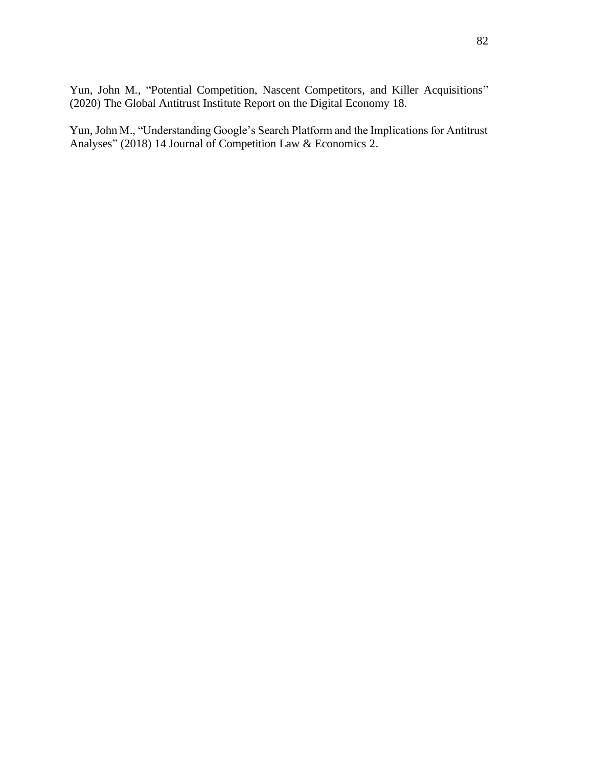Yun, John M., "Potential Competition, Nascent Competitors, and Killer Acquisitions" (2020) The Global Antitrust Institute Report on the Digital Economy 18.

Yun, John M., "Understanding Google's Search Platform and the Implications for Antitrust Analyses" (2018) 14 Journal of Competition Law & Economics 2.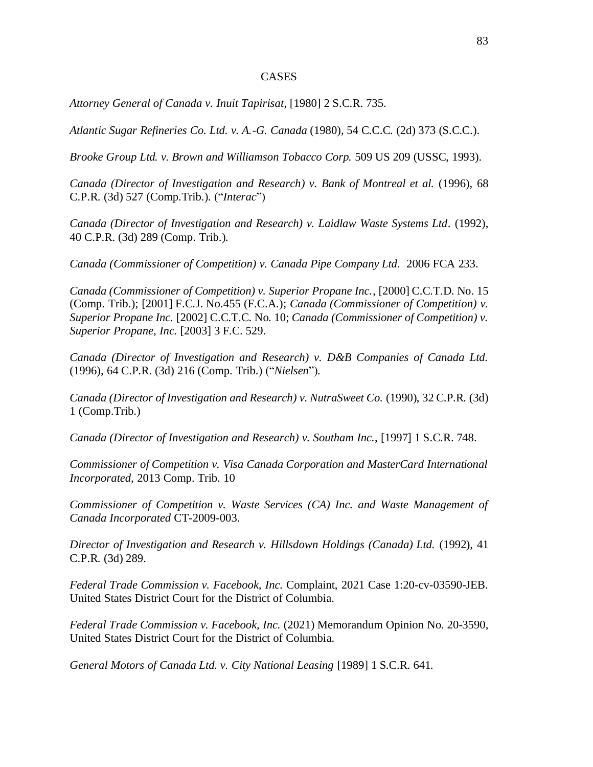## CASES

*Attorney General of Canada v. Inuit Tapirisat*, [1980] 2 S.C.R. 735.

*Atlantic Sugar Refineries Co. Ltd. v. A.-G. Canada* (1980), 54 C.C.C. (2d) 373 (S.C.C.).

*Brooke Group Ltd. v. Brown and Williamson Tobacco Corp.* 509 US 209 (USSC, 1993).

*Canada (Director of Investigation and Research) v. Bank of Montreal et al.* (1996), 68 C.P.R. (3d) 527 (Comp.Trib.). ("*Interac*")

*Canada (Director of Investigation and Research) v. Laidlaw Waste Systems Ltd.* (1992), 40 C.P.R. (3d) 289 (Comp. Trib.).

*Canada (Commissioner of Competition) v. Canada Pipe Company Ltd.* 2006 FCA 233.

*Canada (Commissioner of Competition) v. Superior Propane Inc.*, [2000] C.C.T.D. No. 15 (Comp. Trib.); [2001] F.C.J. No.455 (F.C.A.); *Canada (Commissioner of Competition) v. Superior Propane Inc.* [2002] C.C.T.C. No. 10; *Canada (Commissioner of Competition) v. Superior Propane, Inc.* [2003] 3 F.C. 529.

*Canada (Director of Investigation and Research) v. D&B Companies of Canada Ltd.*  (1996), 64 C.P.R. (3d) 216 (Comp. Trib.) ("*Nielsen*")*.*

*Canada (Director of Investigation and Research) v. NutraSweet Co*. (1990), 32 C.P.R. (3d) 1 (Comp.Trib.)

*[Canada \(Director of Investigation and Research\) v. Southam Inc.](http://scc.lexum.org/en/1997/1997scr1-748/1997scr1-748.html)*, [1997] 1 S.C.R. 748.

*Commissioner of Competition v. Visa Canada Corporation and MasterCard International Incorporated*, 2013 Comp. Trib. 10

*Commissioner of Competition v. Waste Services (CA) Inc. and Waste Management of Canada Incorporated* CT-2009-003.

*Director of Investigation and Research v. Hillsdown Holdings (Canada) Ltd.* (1992), 41 C.P.R. (3d) 289.

*Federal Trade Commission v. Facebook, Inc.* Complaint, 2021 Case 1:20-cv-03590-JEB. United States District Court for the District of Columbia.

*Federal Trade Commission v. Facebook, Inc.* (2021) Memorandum Opinion No. 20-3590, United States District Court for the District of Columbia.

*General Motors of Canada Ltd. v. City National Leasing* [1989] 1 S.C.R. 641.